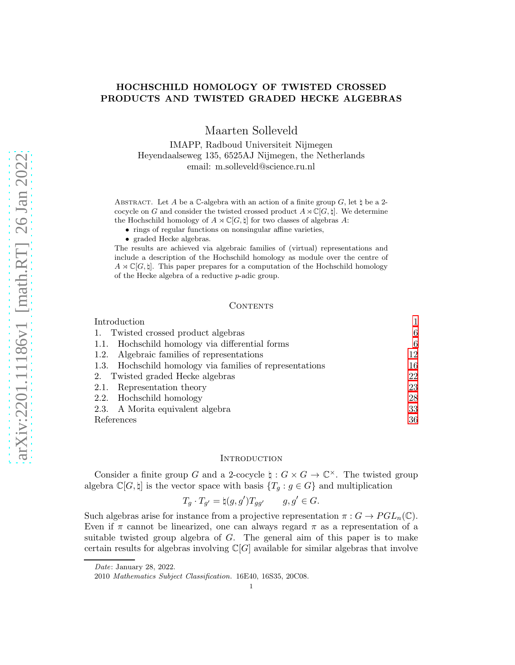# HOCHSCHILD HOMOLOGY OF TWISTED CROSSED PRODUCTS AND TWISTED GRADED HECKE ALGEBRAS

Maarten Solleveld

IMAPP, Radboud Universiteit Nijmegen Heyendaalseweg 135, 6525AJ Nijmegen, the Netherlands email: m.solleveld@science.ru.nl

ABSTRACT. Let A be a C-algebra with an action of a finite group  $G$ , let  $\natural$  be a 2cocycle on G and consider the twisted crossed product  $A \rtimes \mathbb{C}[G, \natural]$ . We determine the Hochschild homology of  $A \rtimes \mathbb{C}[G, \natural]$  for two classes of algebras A:

- rings of regular functions on nonsingular affine varieties,
- graded Hecke algebras.

The results are achieved via algebraic families of (virtual) representations and include a description of the Hochschild homology as module over the centre of  $A \rtimes \mathbb{C}[G, \natural]$ . This paper prepares for a computation of the Hochschild homology of the Hecke algebra of a reductive p-adic group.

#### CONTENTS

| Introduction                                             |    |
|----------------------------------------------------------|----|
| 1. Twisted crossed product algebras                      | 6  |
| 1.1. Hochschild homology via differential forms          | 6  |
| 1.2. Algebraic families of representations               | 12 |
| 1.3. Hochschild homology via families of representations | 16 |
| 2. Twisted graded Hecke algebras                         | 22 |
| 2.1. Representation theory                               | 23 |
| 2.2. Hochschild homology                                 | 28 |
| 2.3. A Morita equivalent algebra                         | 33 |
| References                                               | 36 |

#### <span id="page-0-0"></span>**INTRODUCTION**

Consider a finite group G and a 2-cocycle  $\sharp: G \times G \to \mathbb{C}^{\times}$ . The twisted group algebra  $\mathbb{C}[G,\natural]$  is the vector space with basis  $\{T_q : g \in G\}$  and multiplication

$$
T_g \cdot T_{g'} = \natural(g, g') T_{gg'} \qquad g, g' \in G.
$$

Such algebras arise for instance from a projective representation  $\pi: G \to PGL_n(\mathbb{C})$ . Even if  $\pi$  cannot be linearized, one can always regard  $\pi$  as a representation of a suitable twisted group algebra of  $G$ . The general aim of this paper is to make certain results for algebras involving  $\mathbb{C}[G]$  available for similar algebras that involve

1

Date: January 28, 2022.

<sup>2010</sup> Mathematics Subject Classification. 16E40, 16S35, 20C08.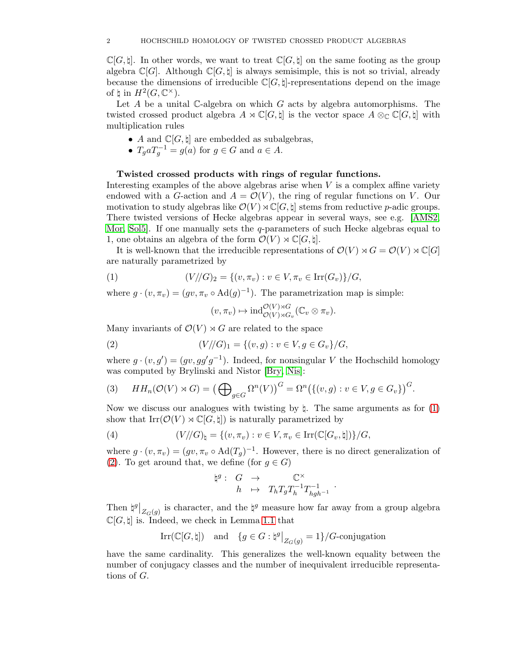$\mathbb{C}[G,\sharp]$ . In other words, we want to treat  $\mathbb{C}[G,\sharp]$  on the same footing as the group algebra  $\mathbb{C}[G]$ . Although  $\mathbb{C}[G, \natural]$  is always semisimple, this is not so trivial, already because the dimensions of irreducible  $\mathbb{C}[G, \sharp]$ -representations depend on the image of  $\natural$  in  $H^2(G, \mathbb{C}^\times)$ .

Let A be a unital C-algebra on which G acts by algebra automorphisms. The twisted crossed product algebra  $A \rtimes \mathbb{C}[G, \natural]$  is the vector space  $A \otimes_{\mathbb{C}} \mathbb{C}[G, \natural]$  with multiplication rules

- A and  $\mathbb{C}[G,\natural]$  are embedded as subalgebras,
- $T_g a T_g^{-1} = g(a)$  for  $g \in G$  and  $a \in A$ .

## Twisted crossed products with rings of regular functions.

Interesting examples of the above algebras arise when V is a complex affine variety endowed with a G-action and  $A = \mathcal{O}(V)$ , the ring of regular functions on V. Our motivation to study algebras like  $\mathcal{O}(V) \rtimes \mathbb{C}[G, \natural]$  stems from reductive p-adic groups. There twisted versions of Hecke algebras appear in several ways, see e.g. [\[AMS2,](#page-35-1) [Mor,](#page-35-2) [Sol5\]](#page-35-3). If one manually sets the q-parameters of such Hecke algebras equal to 1, one obtains an algebra of the form  $\mathcal{O}(V) \rtimes \mathbb{C}[G, \natural]$ .

It is well-known that the irreducible representations of  $\mathcal{O}(V) \rtimes G = \mathcal{O}(V) \rtimes \mathbb{C}[G]$ are naturally parametrized by

(1) 
$$
(V/\!/G)_2 = \{(v, \pi_v) : v \in V, \pi_v \in \text{Irr}(G_v)\}/G,
$$

where  $g \cdot (v, \pi_v) = (gv, \pi_v \circ \text{Ad}(g)^{-1})$ . The parametrization map is simple:

<span id="page-1-1"></span><span id="page-1-0"></span>
$$
(v, \pi_v) \mapsto \mathrm{ind}_{\mathcal{O}(V) \rtimes G_v}^{\mathcal{O}(V) \rtimes G}(\mathbb{C}_v \otimes \pi_v).
$$

Many invariants of  $\mathcal{O}(V) \rtimes G$  are related to the space

(2) 
$$
(V/\!/G)_1 = \{(v,g) : v \in V, g \in G_v\}/G,
$$

where  $g \cdot (v, g') = (gv, gg'g^{-1})$ . Indeed, for nonsingular V the Hochschild homology was computed by Brylinski and Nistor [\[Bry,](#page-35-4) [Nis\]](#page-35-5):

<span id="page-1-2"></span>(3) 
$$
HH_n(\mathcal{O}(V) \rtimes G) = \left(\bigoplus_{g \in G} \Omega^n(V)\right)^G = \Omega^n\big(\{(v,g) : v \in V, g \in G_v\}\big)^G.
$$

Now we discuss our analogues with twisting by  $\natural$ . The same arguments as for [\(1\)](#page-1-0) show that  $\text{Irr}(\mathcal{O}(V) \rtimes \mathbb{C}[G, \mathcal{b}])$  is naturally parametrized by

(4) 
$$
(V/\!/G)_{\natural} = \{(v,\pi_v) : v \in V, \pi_v \in \operatorname{Irr}(\mathbb{C}[G_v,\natural])\}/G,
$$

where  $g \cdot (v, \pi_v) = (gv, \pi_v \circ \text{Ad}(T_g)^{-1})$ . However, there is no direct generalization of [\(2\)](#page-1-1). To get around that, we define (for  $g \in G$ )

$$
\natural^g: \begin{array}{rcl} G & \to & \mathbb{C}^\times \\ h & \mapsto & T_h T_g T_h^{-1} T_{hgh^{-1}}^{-1} \end{array}.
$$

Then  $\sharp^g|_{Z_G(g)}$  is character, and the  $\xi^g$  measure how far away from a group algebra  $\mathbb{C}[G,\natural]$  is. Indeed, we check in Lemma 1.1 that

$$
\operatorname{Irr}(\mathbb{C}[G,\natural]) \quad \text{and} \quad \{g \in G : |\natural^g|_{Z_G(g)} = 1\}/G\text{-conjugation}
$$

have the same cardinality. This generalizes the well-known equality between the number of conjugacy classes and the number of inequivalent irreducible representations of G.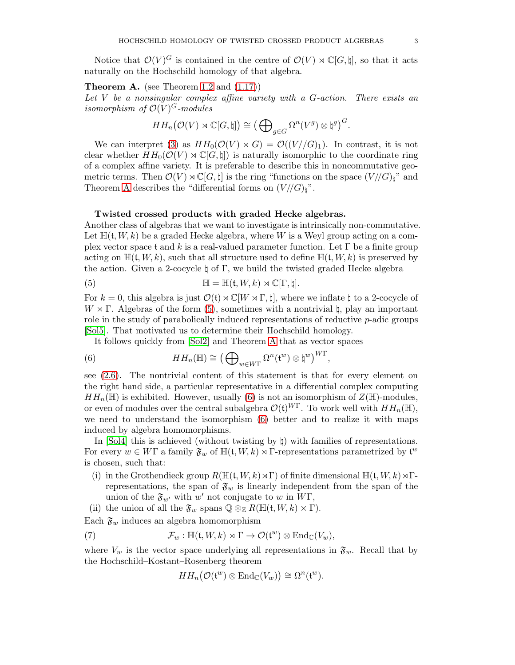Notice that  $\mathcal{O}(V)^G$  is contained in the centre of  $\mathcal{O}(V) \rtimes \mathbb{C}[G,\natural]$ , so that it acts naturally on the Hochschild homology of that algebra.

## <span id="page-2-0"></span>**Theorem A.** (see Theorem [1.2](#page-6-0) and  $(1.17)$ )

Let  $V$  be a nonsingular complex affine variety with a  $G$ -action. There exists an isomorphism of  $\mathcal{O}(V)^G$ -modules

$$
HH_n(\mathcal{O}(V) \rtimes \mathbb{C}[G,\natural]) \cong \big(\bigoplus\nolimits_{g \in G} \Omega^n(V^g) \otimes \natural^g\big)^G.
$$

We can interpret [\(3\)](#page-1-2) as  $HH_0(\mathcal{O}(V) \rtimes G) = \mathcal{O}((V//G)_1)$ . In contrast, it is not clear whether  $HH_0(\mathcal{O}(V) \rtimes \mathbb{C}[G,\sharp])$  is naturally isomorphic to the coordinate ring of a complex affine variety. It is preferable to describe this in noncommutative geometric terms. Then  $\mathcal{O}(V) \rtimes \mathbb{C}[G, \natural]$  is the ring "functions on the space  $(V/(G)_{\natural})^*$ " and Theorem [A](#page-2-0) describes the "differential forms on  $(V/(G)_{\mathfrak{h}})$ ".

## Twisted crossed products with graded Hecke algebras.

Another class of algebras that we want to investigate is intrinsically non-commutative. Let  $\mathbb{H}(\mathfrak{t}, W, k)$  be a graded Hecke algebra, where W is a Weyl group acting on a complex vector space t and k is a real-valued parameter function. Let  $\Gamma$  be a finite group acting on  $\mathbb{H}(\mathfrak{t}, W, k)$ , such that all structure used to define  $\mathbb{H}(\mathfrak{t}, W, k)$  is preserved by the action. Given a 2-cocycle  $\natural$  of  $\Gamma$ , we build the twisted graded Hecke algebra

<span id="page-2-1"></span>(5) 
$$
\mathbb{H} = \mathbb{H}(\mathfrak{t}, W, k) \rtimes \mathbb{C}[\Gamma, \natural].
$$

For k = 0, this algebra is just  $\mathcal{O}(t) \rtimes \mathbb{C}[W \rtimes \Gamma, \sharp]$ , where we inflate  $\sharp$  to a 2-cocycle of  $W \rtimes \Gamma$ . Algebras of the form [\(5\)](#page-2-1), sometimes with a nontrivial  $\sharp$ , play an important role in the study of parabolically induced representations of reductive p-adic groups [\[Sol5\]](#page-35-3). That motivated us to determine their Hochschild homology.

<span id="page-2-2"></span>It follows quickly from [\[Sol2\]](#page-35-6) and Theorem [A](#page-2-0) that as vector spaces

(6) 
$$
HH_n(\mathbb{H}) \cong \left(\bigoplus\nolimits_{w\in W\Gamma} \Omega^n(\mathfrak{t}^w) \otimes \mathfrak{h}^w\right)^{W\Gamma},
$$

see [\(2.6\)](#page-22-1). The nontrivial content of this statement is that for every element on the right hand side, a particular representative in a differential complex computing  $HH_n(\mathbb{H})$  is exhibited. However, usually [\(6\)](#page-2-2) is not an isomorphism of  $Z(\mathbb{H})$ -modules, or even of modules over the central subalgebra  $\mathcal{O}(\mathfrak{t})^{WT}$ . To work well with  $HH_n(\mathbb{H})$ , we need to understand the isomorphism [\(6\)](#page-2-2) better and to realize it with maps induced by algebra homomorphisms.

In  $[Sol4]$  this is achieved (without twisting by  $\natural$ ) with families of representations. For every  $w \in W\Gamma$  a family  $\mathfrak{F}_w$  of  $\mathbb{H}(\mathfrak{t},W,k) \rtimes \Gamma$ -representations parametrized by  $\mathfrak{t}^w$ is chosen, such that:

- (i) in the Grothendieck group  $R(\mathbb{H}(\mathfrak{t}, W, k) \rtimes \Gamma)$  of finite dimensional  $\mathbb{H}(\mathfrak{t}, W, k) \rtimes \Gamma$ representations, the span of  $\mathfrak{F}_w$  is linearly independent from the span of the union of the  $\mathfrak{F}_{w'}$  with w' not conjugate to w in  $W\Gamma$ ,
- (ii) the union of all the  $\mathfrak{F}_w$  spans  $\mathbb{Q} \otimes_{\mathbb{Z}} R(\mathbb{H}(\mathfrak{t},W,k) \times \Gamma)$ .

Each  $\mathfrak{F}_w$  induces an algebra homomorphism

(7) 
$$
\mathcal{F}_w: \mathbb{H}(\mathfrak{t},W,k) \rtimes \Gamma \to \mathcal{O}(\mathfrak{t}^w) \otimes \mathrm{End}_{\mathbb{C}}(V_w),
$$

where  $V_w$  is the vector space underlying all representations in  $\mathfrak{F}_w$ . Recall that by the Hochschild–Kostant–Rosenberg theorem

$$
HH_n(\mathcal{O}(\mathfrak{t}^w)\otimes \mathrm{End}_{\mathbb{C}}(V_w))\cong \Omega^n(\mathfrak{t}^w).
$$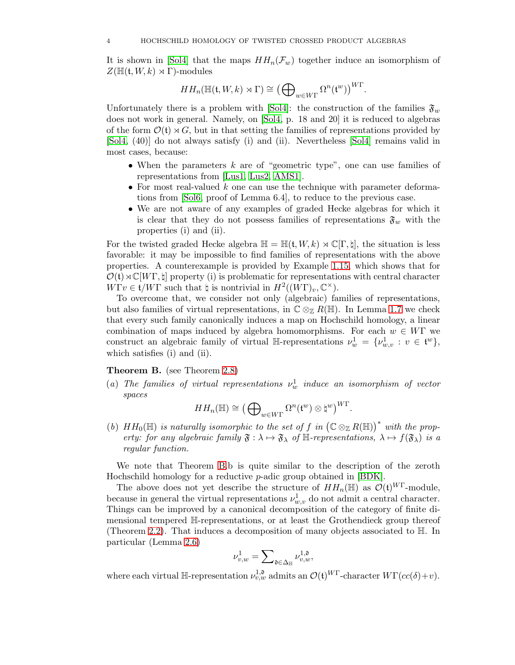It is shown in [\[Sol4\]](#page-35-7) that the maps  $HH_n(\mathcal{F}_w)$  together induce an isomorphism of  $Z(\mathbb{H}(\mathfrak{t},W,k)\rtimes\Gamma)$ -modules

$$
HH_n(\mathbb{H}(\mathfrak{t},W,k)\rtimes\Gamma)\cong\big(\bigoplus\nolimits_{w\in W\Gamma}\Omega^n(\mathfrak{t}^w)\big)^{W\Gamma}.
$$

Unfortunately there is a problem with [\[Sol4\]](#page-35-7): the construction of the families  $\mathfrak{F}_w$ does not work in general. Namely, on [\[Sol4,](#page-35-7) p. 18 and 20] it is reduced to algebras of the form  $\mathcal{O}(\mathfrak{t}) \rtimes G$ , but in that setting the families of representations provided by [\[Sol4,](#page-35-7) (40)] do not always satisfy (i) and (ii). Nevertheless [\[Sol4\]](#page-35-7) remains valid in most cases, because:

- When the parameters  $k$  are of "geometric type", one can use families of representations from [\[Lus1,](#page-35-8) [Lus2,](#page-35-9) [AMS1\]](#page-35-10).
- For most real-valued  $k$  one can use the technique with parameter deformations from [\[Sol6,](#page-35-11) proof of Lemma 6.4], to reduce to the previous case.
- We are not aware of any examples of graded Hecke algebras for which it is clear that they do not possess families of representations  $\mathfrak{F}_w$  with the properties (i) and (ii).

For the twisted graded Hecke algebra  $\mathbb{H} = \mathbb{H}(\mathfrak{t}, W, k) \rtimes \mathbb{C}[\Gamma, \natural]$ , the situation is less favorable: it may be impossible to find families of representations with the above properties. A counterexample is provided by Example [1.15,](#page-19-0) which shows that for  $\mathcal{O}(\mathfrak{t}) \rtimes \mathbb{C}[W\Gamma, \natural]$  property (i) is problematic for representations with central character  $W\Gamma v \in \mathfrak{t}/W\Gamma$  such that  $\natural$  is nontrivial in  $H^2((W\Gamma)_v, \mathbb{C}^\times)$ .

To overcome that, we consider not only (algebraic) families of representations, but also families of virtual representations, in  $\mathbb{C} \otimes_{\mathbb{Z}} R(\mathbb{H})$ . In Lemma [1.7](#page-12-0) we check that every such family canonically induces a map on Hochschild homology, a linear combination of maps induced by algebra homomorphisms. For each  $w \in W\Gamma$  we construct an algebraic family of virtual H-representations  $\nu_w^1 = {\nu_{w,v}^1 : v \in \mathfrak{t}^w},$ which satisfies (i) and (ii).

## <span id="page-3-0"></span>Theorem B. (see Theorem [2.8\)](#page-28-0)

(a) The families of virtual representations  $\nu_w^1$  induce an isomorphism of vector spaces

$$
HH_n(\mathbb{H}) \cong \big(\bigoplus\nolimits_{w\in W\Gamma}\Omega^n(\mathfrak{t}^w)\otimes \mathfrak{h}^w\big)^{W\Gamma}.
$$

(b)  $HH_0(\mathbb{H})$  is naturally isomorphic to the set of f in  $(\mathbb{C} \otimes_{\mathbb{Z}} R(\mathbb{H}))^*$  with the property: for any algebraic family  $\mathfrak{F} : \lambda \mapsto \mathfrak{F}_{\lambda}$  of  $\mathbb{H}$ -representations,  $\lambda \mapsto f(\mathfrak{F}_{\lambda})$  is a regular function.

We note that Theorem [B.](#page-3-0)b is quite similar to the description of the zeroth Hochschild homology for a reductive p-adic group obtained in [\[BDK\]](#page-35-12).

The above does not yet describe the structure of  $HH_n(\mathbb{H})$  as  $\mathcal{O}(\mathfrak{t})^{WT}$ -module, because in general the virtual representations  $\nu_{w,v}^1$  do not admit a central character. Things can be improved by a canonical decomposition of the category of finite dimensional tempered H-representations, or at least the Grothendieck group thereof (Theorem [2.2\)](#page-23-0). That induces a decomposition of many objects associated to H. In particular (Lemma [2.6\)](#page-26-0)

$$
\nu^1_{v,w}=\sum\nolimits_{\mathfrak{d}\in \Delta_{\mathbb{H}}} \nu^{1,\mathfrak{d}}_{v,w},
$$

where each virtual  $\mathbb{H}\text{-representation } \nu_{v,w}^{1,\mathfrak{d}}$  admits an  $\mathcal{O}(\mathfrak{t})^{W\Gamma}\text{-character } W\Gamma(cc(\delta)+v)$ .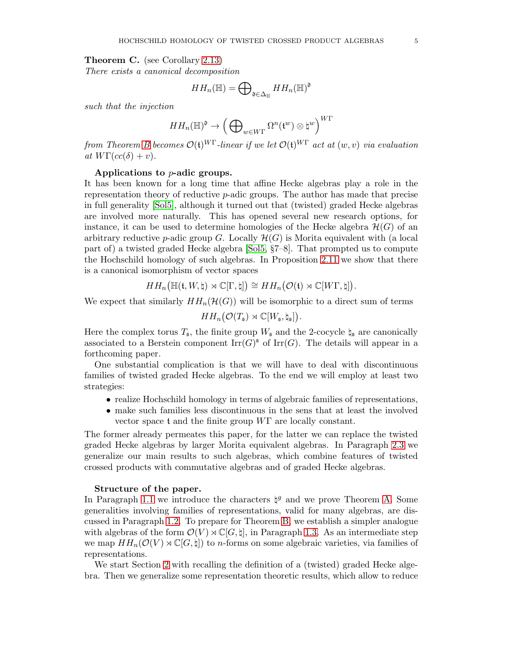<span id="page-4-0"></span>Theorem C. (see Corollary [2.13\)](#page-31-0)

There exists a canonical decomposition

$$
HH_n(\mathbb{H})=\bigoplus\nolimits_{\mathfrak{d}\in \Delta_{\mathbb{H}}}HH_n(\mathbb{H})^{\mathfrak{d}}
$$

such that the injection

$$
HH_n(\mathbb{H})^{\mathfrak{d}}\to \left(\bigoplus\nolimits_{w\in W\Gamma}\Omega^n(\mathfrak{t}^w)\otimes \natural^w\right)^{W\Gamma}
$$

from Theorem [B](#page-3-0) becomes  $\mathcal{O}(\mathfrak{t})^{W\Gamma}$ -linear if we let  $\mathcal{O}(\mathfrak{t})^{W\Gamma}$  act at  $(w, v)$  via evaluation at  $W\Gamma(cc(\delta)+v)$ .

### Applications to p-adic groups.

It has been known for a long time that affine Hecke algebras play a role in the representation theory of reductive  $p$ -adic groups. The author has made that precise in full generality [\[Sol5\]](#page-35-3), although it turned out that (twisted) graded Hecke algebras are involved more naturally. This has opened several new research options, for instance, it can be used to determine homologies of the Hecke algebra  $\mathcal{H}(G)$  of an arbitrary reductive p-adic group G. Locally  $\mathcal{H}(G)$  is Morita equivalent with (a local part of) a twisted graded Hecke algebra [\[Sol5,](#page-35-3) §7–8]. That prompted us to compute the Hochschild homology of such algebras. In Proposition [2.11](#page-29-0) we show that there is a canonical isomorphism of vector spaces

 $HH_n(\mathbb{H}(\mathfrak{t},W,\natural)\rtimes\mathbb{C}[\Gamma,\natural])\cong HH_n(\mathcal{O}(\mathfrak{t})\rtimes\mathbb{C}[W\Gamma,\natural]).$ 

We expect that similarly  $HH_n(\mathcal{H}(G))$  will be isomorphic to a direct sum of terms

$$
HH_n(\mathcal{O}(T_{\mathfrak{s}})\rtimes \mathbb{C}[W_{\mathfrak{s}},\natural_{\mathfrak{s}}]).
$$

Here the complex torus  $T_s$ , the finite group  $W_s$  and the 2-cocycle  $\natural_s$  are canonically associated to a Berstein component  $\mathrm{Irr}(G)^{\mathfrak{s}}$  of  $\mathrm{Irr}(G)$ . The details will appear in a forthcoming paper.

One substantial complication is that we will have to deal with discontinuous families of twisted graded Hecke algebras. To the end we will employ at least two strategies:

- realize Hochschild homology in terms of algebraic families of representations,
- make such families less discontinuous in the sens that at least the involved vector space t and the finite group WΓ are locally constant.

The former already permeates this paper, for the latter we can replace the twisted graded Hecke algebras by larger Morita equivalent algebras. In Paragraph [2.3](#page-32-0) we generalize our main results to such algebras, which combine features of twisted crossed products with commutative algebras and of graded Hecke algebras.

## Structure of the paper.

In Paragraph [1.1](#page-5-1) we introduce the characters  $\natural^g$  and we prove Theorem [A.](#page-2-0) Some generalities involving families of representations, valid for many algebras, are discussed in Paragraph [1.2.](#page-11-0) To prepare for Theorem [B,](#page-3-0) we establish a simpler analogue with algebras of the form  $\mathcal{O}(V) \rtimes \mathbb{C}[G, \natural]$ , in Paragraph [1.3.](#page-15-0) As an intermediate step we map  $HH_n(\mathcal{O}(V) \rtimes \mathbb{C}[G, \natural])$  to *n*-forms on some algebraic varieties, via families of representations.

We start Section [2](#page-21-0) with recalling the definition of a (twisted) graded Hecke algebra. Then we generalize some representation theoretic results, which allow to reduce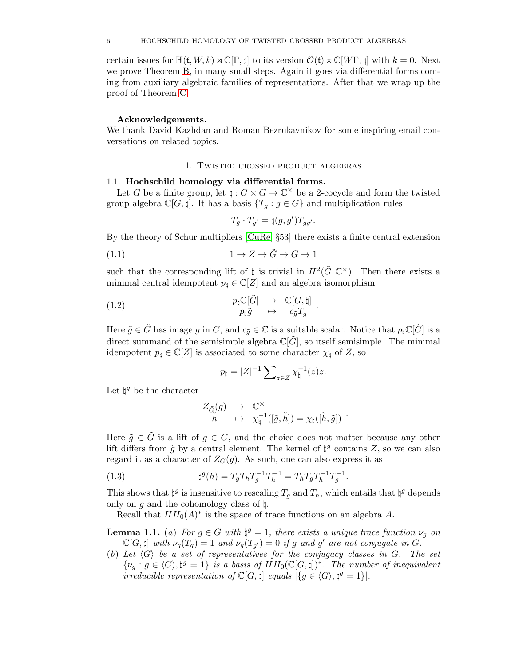certain issues for  $\mathbb{H}(\mathfrak{t}, W, k) \rtimes \mathbb{C}[\Gamma, \mathfrak{h}]$  to its version  $\mathcal{O}(\mathfrak{t}) \rtimes \mathbb{C}[W\Gamma, \mathfrak{h}]$  with  $k = 0$ . Next we prove Theorem [B,](#page-3-0) in many small steps. Again it goes via differential forms coming from auxiliary algebraic families of representations. After that we wrap up the proof of Theorem [C.](#page-4-0)

## Acknowledgements.

<span id="page-5-0"></span>We thank David Kazhdan and Roman Bezrukavnikov for some inspiring email conversations on related topics.

## 1. Twisted crossed product algebras

### <span id="page-5-1"></span>1.1. Hochschild homology via differential forms.

Let G be a finite group, let  $\natural : G \times G \to \mathbb{C}^\times$  be a 2-cocycle and form the twisted group algebra  $\mathbb{C}[G, \natural]$ . It has a basis  $\{T_g : g \in G\}$  and multiplication rules

<span id="page-5-3"></span>
$$
T_g \cdot T_{g'} = \natural(g, g') T_{gg'}.
$$

By the theory of Schur multipliers [\[CuRe,](#page-35-13) §53] there exists a finite central extension

(1.1) 
$$
1 \to Z \to \tilde{G} \to G \to 1
$$

such that the corresponding lift of  $\natural$  is trivial in  $H^2(\tilde{G}, \mathbb{C}^\times)$ . Then there exists a minimal central idempotent  $p_{\natural} \in \mathbb{C}[Z]$  and an algebra isomorphism

.

(1.2) 
$$
p_{\sharp} \mathbb{C}[\tilde{G}] \rightarrow \mathbb{C}[G, \sharp]
$$

$$
p_{\sharp} \tilde{g} \rightarrow c_{\tilde{g}} T_g
$$

Here  $\tilde{g} \in \tilde{G}$  has image g in G, and  $c_{\tilde{g}} \in \mathbb{C}$  is a suitable scalar. Notice that  $p_{\sharp} \mathbb{C}[\tilde{G}]$  is a direct summand of the semisimple algebra  $\mathbb{C}[\tilde{G}]$ , so itself semisimple. The minimal idempotent  $p_{\natural} \in \mathbb{C}[Z]$  is associated to some character  $\chi_{\natural}$  of Z, so

<span id="page-5-2"></span>
$$
p_{\natural} = |Z|^{-1} \sum_{z \in Z} \chi_{\natural}^{-1}(z) z.
$$

Let  $\natural^g$  be the character

$$
\begin{array}{ccl} Z_{\tilde{G}}(g) & \to & \mathbb{C}^{\times} \\ \tilde{h} & \mapsto & \chi^{-1}_{\natural}([\tilde{g},\tilde{h}]) = \chi_{\natural}([\tilde{h},\tilde{g}]) \end{array}.
$$

Here  $\tilde{g} \in \tilde{G}$  is a lift of  $g \in G$ , and the choice does not matter because any other lift differs from  $\tilde{g}$  by a central element. The kernel of  $\natural^g$  contains Z, so we can also regard it as a character of  $Z<sub>G</sub>(g)$ . As such, one can also express it as

(1.3) 
$$
\natural^{g}(h) = T_{g}T_{h}T_{g}^{-1}T_{h}^{-1} = T_{h}T_{g}T_{h}^{-1}T_{g}^{-1}.
$$

This shows that  $\natural^g$  is insensitive to rescaling  $T_g$  and  $T_h$ , which entails that  $\natural^g$  depends only on g and the cohomology class of  $\natural$ .

Recall that  $HH_0(A)^*$  is the space of trace functions on an algebra A.

**Lemma 1.1.** (a) For  $g \in G$  with  $\natural^g = 1$ , there exists a unique trace function  $\nu_g$  on  $\mathbb{C}[G,\natural]$  with  $\nu_g(T_g) = 1$  and  $\nu_g(T_{g'}) = 0$  if g and g' are not conjugate in G.

(b) Let  $\langle G \rangle$  be a set of representatives for the conjugacy classes in G. The set  $\{\nu_g: g \in \langle G \rangle, \mathfrak{h}^g = 1\}$  is a basis of  $HH_0(\mathbb{C}[G, \mathfrak{h}])^*$ . The number of inequivalent irreducible representation of  $\mathbb{C}[G, \natural]$  equals  $|\{g \in \langle G \rangle, \natural^g = 1\}|$ .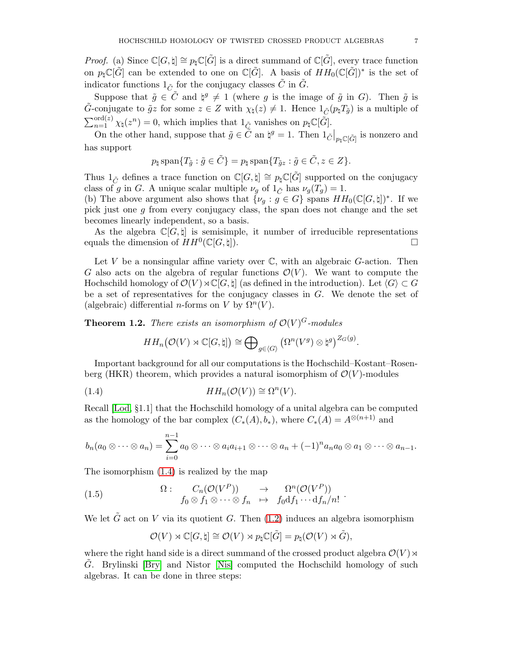*Proof.* (a) Since  $\mathbb{C}[G,\sharp] \cong p_{\sharp}\mathbb{C}[\tilde{G}]$  is a direct summand of  $\mathbb{C}[\tilde{G}]$ , every trace function on  $p_{\sharp}\mathbb{C}[\tilde{G}]$  can be extended to one on  $\mathbb{C}[\tilde{G}]$ . A basis of  $HH_0(\mathbb{C}[\tilde{G}])^*$  is the set of indicator functions  $1_{\tilde{C}}$  for the conjugacy classes  $\tilde{C}$  in  $\tilde{G}$ .

Suppose that  $\tilde{g} \in \tilde{C}$  and  $\natural^g \neq 1$  (where g is the image of  $\tilde{g}$  in G). Then  $\tilde{g}$  is G-conjugate to  $\tilde{g}z$  for some  $z \in Z$  with  $\chi_{\natural}(z) \neq 1$ . Hence  $1_{\tilde{C}}(p_{\natural}T_{\tilde{q}})$  is a multiple of  $\sum_{n=1}^{\text{ord}(z)} \chi_{\natural}(z^n) = 0$ , which implies that  $1_{\tilde{C}}$  vanishes on  $p_{\natural} \mathbb{C}[\tilde{G}]$ .

On the other hand, suppose that  $\tilde{g} \in \tilde{C}$  an  $\natural^g = 1$ . Then  $1_{\tilde{C}}|_{p_{\sharp} \mathbb{C}[\tilde{G}]}$  is nonzero and has support

$$
p_{\natural} \operatorname{span} \{ T_{\tilde{g}} : \tilde{g} \in \tilde{C} \} = p_{\natural} \operatorname{span} \{ T_{\tilde{g}z} : \tilde{g} \in \tilde{C}, z \in Z \}.
$$

Thus  $1_{\tilde{C}}$  defines a trace function on  $\mathbb{C}[G, \natural] \cong p_{\natural} \mathbb{C}[\tilde{G}]$  supported on the conjugacy class of g in G. A unique scalar multiple  $\nu_g$  of  $1_{\tilde{C}}$  has  $\nu_g(T_g) = 1$ .

(b) The above argument also shows that  $\{\nu_g : g \in G\}$  spans  $HH_0(\mathbb{C}[G,\natural])^*$ . If we pick just one g from every conjugacy class, the span does not change and the set becomes linearly independent, so a basis.

As the algebra  $\mathbb{C}[G, \natural]$  is semisimple, it number of irreducible representations equals the dimension of  $HH^0(\mathbb{C}[G,\natural])$ .

Let  $V$  be a nonsingular affine variety over  $\mathbb{C}$ , with an algebraic  $G$ -action. Then G also acts on the algebra of regular functions  $\mathcal{O}(V)$ . We want to compute the Hochschild homology of  $\mathcal{O}(V) \rtimes \mathbb{C}[G, \natural]$  (as defined in the introduction). Let  $\langle G \rangle \subset G$ be a set of representatives for the conjugacy classes in G. We denote the set of (algebraic) differential *n*-forms on V by  $\Omega^n(V)$ .

<span id="page-6-0"></span>**Theorem 1.2.** There exists an isomorphism of  $\mathcal{O}(V)^G$ -modules

<span id="page-6-1"></span>
$$
HH_n(\mathcal{O}(V) \rtimes \mathbb{C}[G,\natural]) \cong \bigoplus\nolimits_{g \in \langle G \rangle} \left( \Omega^n(V^g) \otimes \natural^g \right)^{Z_G(g)}.
$$

Important background for all our computations is the Hochschild–Kostant–Rosenberg (HKR) theorem, which provides a natural isomorphism of  $\mathcal{O}(V)$ -modules

(1.4) 
$$
HH_n(\mathcal{O}(V)) \cong \Omega^n(V).
$$

Recall [\[Lod,](#page-35-14) §1.1] that the Hochschild homology of a unital algebra can be computed as the homology of the bar complex  $(C_*(A), b_*)$ , where  $C_*(A) = A^{\otimes (n+1)}$  and

$$
b_n(a_0\otimes\cdots\otimes a_n)=\sum_{i=0}^{n-1}a_0\otimes\cdots\otimes a_ia_{i+1}\otimes\cdots\otimes a_n+(-1)^na_na_0\otimes a_1\otimes\cdots\otimes a_{n-1}.
$$

The isomorphism [\(1.4\)](#page-6-1) is realized by the map

(1.5) 
$$
\Omega: \quad C_n(\mathcal{O}(V^P)) \rightarrow \Omega^n(\mathcal{O}(V^P)) \n f_0 \otimes f_1 \otimes \cdots \otimes f_n \rightarrow f_0 df_1 \cdots df_n/n! .
$$

We let  $\tilde{G}$  act on V via its quotient G. Then [\(1.2\)](#page-5-2) induces an algebra isomorphism

<span id="page-6-2"></span>
$$
\mathcal{O}(V) \rtimes \mathbb{C}[G, \natural] \cong \mathcal{O}(V) \rtimes p_{\natural} \mathbb{C}[\tilde{G}] = p_{\natural}(\mathcal{O}(V) \rtimes \tilde{G}),
$$

where the right hand side is a direct summand of the crossed product algebra  $\mathcal{O}(V) \rtimes$ G. Brylinski [\[Bry\]](#page-35-4) and Nistor [\[Nis\]](#page-35-5) computed the Hochschild homology of such algebras. It can be done in three steps: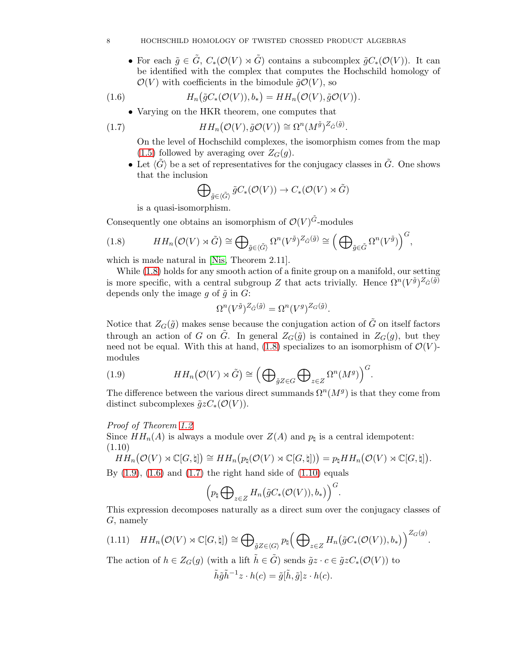## 8 HOCHSCHILD HOMOLOGY OF TWISTED CROSSED PRODUCT ALGEBRAS

• For each  $\tilde{g} \in \tilde{G}$ ,  $C_*(\mathcal{O}(V) \rtimes \tilde{G})$  contains a subcomplex  $\tilde{g}C_*(\mathcal{O}(V))$ . It can be identified with the complex that computes the Hochschild homology of  $\mathcal{O}(V)$  with coefficients in the bimodule  $\tilde{g}\mathcal{O}(V)$ , so

(1.6) 
$$
H_n(\tilde{g}C_*(\mathcal{O}(V)), b_*) = HH_n(\mathcal{O}(V), \tilde{g}\mathcal{O}(V)).
$$

<span id="page-7-2"></span>• Varying on the HKR theorem, one computes that

(1.7) 
$$
HH_n(\mathcal{O}(V), \tilde{g}\mathcal{O}(V)) \cong \Omega^n(M^{\tilde{g}})^{Z_{\tilde{G}}(\tilde{g})}.
$$

On the level of Hochschild complexes, the isomorphism comes from the map  $(1.5)$  followed by averaging over  $Z_G(g)$ .

• Let  $\langle \tilde{G} \rangle$  be a set of representatives for the conjugacy classes in  $\tilde{G}$ . One shows that the inclusion

<span id="page-7-3"></span>
$$
\bigoplus\nolimits_{\tilde{g}\in \langle \tilde{G}\rangle}\tilde{g}C_*(\mathcal{O}(V))\to C_*(\mathcal{O}(V)\rtimes \tilde{G})
$$

<span id="page-7-0"></span>is a quasi-isomorphism.

Consequently one obtains an isomorphism of  $\mathcal{O}(V)^{\tilde{G}}$ -modules

(1.8) 
$$
HH_n(\mathcal{O}(V) \rtimes \tilde{G}) \cong \bigoplus_{\tilde{g} \in \langle \tilde{G} \rangle} \Omega^n(V^{\tilde{g}})^{Z_{\tilde{G}}(\tilde{g})} \cong \left(\bigoplus_{\tilde{g} \in \tilde{G}} \Omega^n(V^{\tilde{g}})\right)^{G},
$$

which is made natural in [\[Nis,](#page-35-5) Theorem 2.11].

While [\(1.8\)](#page-7-0) holds for any smooth action of a finite group on a manifold, our setting is more specific, with a central subgroup Z that acts trivially. Hence  $\Omega^n(V^{\tilde{g}})^{Z_{\tilde{G}}(\tilde{g})}$ depends only the image g of  $\tilde{g}$  in G:

$$
\Omega^n(V^{\tilde{g}})^{Z_{\tilde{G}}(\tilde{g})} = \Omega^n(V^g)^{Z_G(\tilde{g})}.
$$

Notice that  $Z_G(\tilde{g})$  makes sense because the conjugation action of  $\tilde{G}$  on itself factors through an action of G on G. In general  $Z_G(\tilde{g})$  is contained in  $Z_G(g)$ , but they need not be equal. With this at hand, [\(1.8\)](#page-7-0) specializes to an isomorphism of  $\mathcal{O}(V)$ modules

<span id="page-7-1"></span>(1.9) 
$$
HH_n(\mathcal{O}(V) \rtimes \tilde{G}) \cong \left(\bigoplus_{\tilde{g}Z \in G} \bigoplus_{z \in Z} \Omega^n(M^g)\right)^G.
$$

The difference between the various direct summands  $\Omega^n(M^g)$  is that they come from distinct subcomplexes  $\tilde{g}zC_*(\mathcal{O}(V))$ .

Proof of Theorem [1.2](#page-6-0)

Since  $HH_n(A)$  is always a module over  $Z(A)$  and  $p_\natural$  is a central idempotent: (1.10)

<span id="page-7-4"></span> $HH_n(\mathcal{O}(V) \rtimes \mathbb{C}[G,\natural]) \cong HH_n(p_\natural(\mathcal{O}(V) \rtimes \mathbb{C}[G,\natural])) = p_\natural HH_n(\mathcal{O}(V) \rtimes \mathbb{C}[G,\natural]).$ 

By  $(1.9)$ ,  $(1.6)$  and  $(1.7)$  the right hand side of  $(1.10)$  equals

$$
\Big(p_{\natural}\bigoplus\nolimits_{z\in Z}H_n\big(\tilde{g}C_*({\cal O}(V)),b_*\big)\Big)^G.
$$

This expression decomposes naturally as a direct sum over the conjugacy classes of G, namely

.

<span id="page-7-5"></span>
$$
(1.11) \quad HH_n(\mathcal{O}(V) \rtimes \mathbb{C}[G,\natural]) \cong \bigoplus_{\tilde{g}Z \in \langle G \rangle} p_{\natural} \Big(\bigoplus\nolimits_{z \in Z} H_n(\tilde{g}C_*(\mathcal{O}(V)),b_*)\Big)^{Z_G(g)}
$$

The action of  $h \in Z_G(g)$  (with a lift  $\tilde{h} \in \tilde{G}$ ) sends  $\tilde{g}z \cdot c \in \tilde{g}zC_*(\mathcal{O}(V))$  to

$$
\tilde{h}\tilde{g}\tilde{h}^{-1}z \cdot h(c) = \tilde{g}[\tilde{h}, \tilde{g}]z \cdot h(c).
$$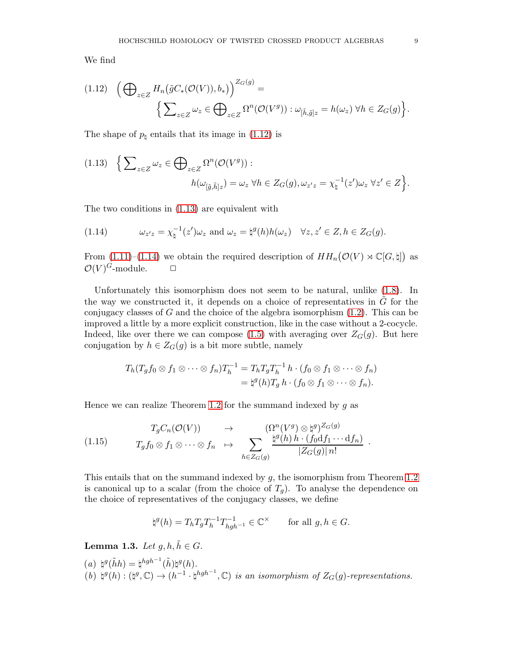We find

<span id="page-8-0"></span>
$$
(1.12) \quad \left(\bigoplus_{z\in Z} H_n(\tilde{g}C_*(\mathcal{O}(V)), b_*)\right)^{Z_G(g)} = \left\{\sum_{z\in Z} \omega_z \in \bigoplus_{z\in Z} \Omega^n(\mathcal{O}(V^g)) : \omega_{[\tilde{h},\tilde{g}]z} = h(\omega_z) \,\forall h \in Z_G(g)\right\}.
$$

The shape of  $p_{\text{t}}$  entails that its image in [\(1.12\)](#page-8-0) is

<span id="page-8-1"></span>
$$
(1.13) \quad \Big\{ \sum_{z \in Z} \omega_z \in \bigoplus_{z \in Z} \Omega^n(\mathcal{O}(V^g)) : \\ h(\omega_{[\tilde{g}, \tilde{h}]z}) = \omega_z \,\,\forall h \in Z_G(g), \omega_{z'z} = \chi_{\natural}^{-1}(z')\omega_z \,\,\forall z' \in Z \Big\}.
$$

The two conditions in [\(1.13\)](#page-8-1) are equivalent with

<span id="page-8-2"></span>(1.14) 
$$
\omega_{z'z} = \chi_{\natural}^{-1}(z')\omega_z \text{ and } \omega_z = \natural^g(h)h(\omega_z) \quad \forall z, z' \in Z, h \in Z_G(g).
$$

From  $(1.11)$ – $(1.14)$  we obtain the required description of  $HH_n(\mathcal{O}(V) \rtimes \mathbb{C}[G,\natural])$  as  $\mathcal{O}(V)^G$ -module.  $\Box$ 

Unfortunately this isomorphism does not seem to be natural, unlike [\(1.8\)](#page-7-0). In the way we constructed it, it depends on a choice of representatives in  $G$  for the conjugacy classes of  $G$  and the choice of the algebra isomorphism  $(1.2)$ . This can be improved a little by a more explicit construction, like in the case without a 2-cocycle. Indeed, like over there we can compose [\(1.5\)](#page-6-2) with averaging over  $Z_G(g)$ . But here conjugation by  $h \in Z_G(g)$  is a bit more subtle, namely

$$
T_h(T_g f_0 \otimes f_1 \otimes \cdots \otimes f_n)T_h^{-1} = T_h T_g T_h^{-1} h \cdot (f_0 \otimes f_1 \otimes \cdots \otimes f_n)
$$
  
=  $\natural^g(h)T_g h \cdot (f_0 \otimes f_1 \otimes \cdots \otimes f_n).$ 

Hence we can realize Theorem [1.2](#page-6-0) for the summand indexed by  $g$  as

<span id="page-8-4"></span>
$$
(1.15) \t T_g f_0 \otimes f_1 \otimes \cdots \otimes f_n \mapsto \sum_{h \in Z_G(g)} \frac{(\Omega^n (V^g) \otimes \natural^g)^{Z_G(g)}}{|Z_G(g)| n!}.
$$

This entails that on the summand indexed by g, the isomorphism from Theorem [1.2](#page-6-0) is canonical up to a scalar (from the choice of  $T_q$ ). To analyse the dependence on the choice of representatives of the conjugacy classes, we define

$$
\natural^g(h) = T_h T_g T_h^{-1} T_{hgh^{-1}}^{-1} \in \mathbb{C}^\times \qquad \text{for all } g, h \in G.
$$

<span id="page-8-3"></span>**Lemma 1.3.** Let  $q, h, \tilde{h} \in G$ .

 $(a) \; \natural^g(\tilde{h}h) = \natural^{hgh^{-1}}(\tilde{h})\natural^g(h).$  $(b) \nmid g(h) : (\natural^g, \mathbb{C}) \to (h^{-1} \cdot \natural^{hgh^{-1}}, \mathbb{C})$  is an isomorphism of  $Z_G(g)$ -representations.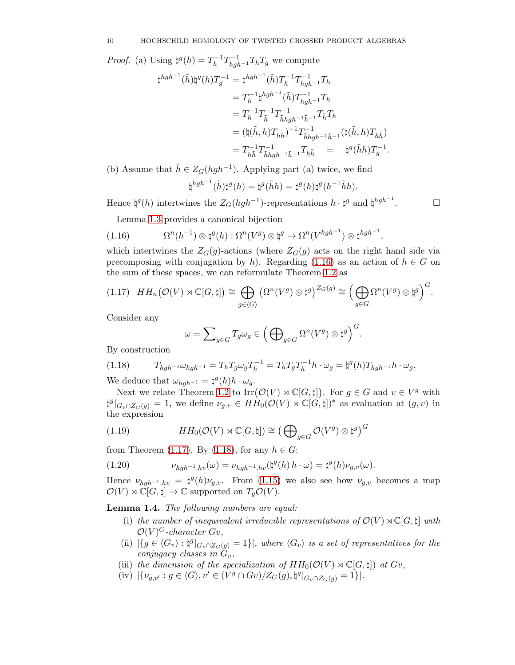*Proof.* (a) Using  $\natural^g(h) = T_h^{-1} T_{hgh^{-1}}^{-1} T_h T_g$  we compute

$$
\begin{split} \natural^{hgh^{-1}}(\tilde{h})\natural^{g}(h)T_{g}^{-1} &= \natural^{hgh^{-1}}(\tilde{h})T_{h}^{-1}T_{hgh^{-1}}^{-1}T_{h} \\ &= T_{h}^{-1}\natural^{hgh^{-1}}(\tilde{h})T_{hgh^{-1}}^{-1}T_{h} \\ &= T_{h}^{-1}T_{\tilde{h}}^{-1}T_{\tilde{h}hgh^{-1}\tilde{h}^{-1}}^{-1}T_{\tilde{h}}^{-}T_{h} \\ &= (\natural(\tilde{h},h)T_{h\tilde{h}})^{-1}T_{\tilde{h}hgh^{-1}\tilde{h}^{-1}}^{-1}(\natural(\tilde{h},h)T_{h\tilde{h}}) \\ &= T_{h\tilde{h}}^{-1}T_{\tilde{h}hgh^{-1}\tilde{h}^{-1}}^{-1}T_{h\tilde{h}} \qquad \qquad \natural^{g}(\tilde{h}h)T_{g}^{-1} \end{split}
$$

(b) Assume that  $\tilde{h} \in Z_G(hgh^{-1})$ . Applying part (a) twice, we find

$$
\natural^{hgh^{-1}}(\tilde{h})\natural^g(h)=\natural^g(\tilde{h}h)=\natural^g(h)\natural^g(h^{-1}\tilde{h}h).
$$

.

 $\Box$ 

Hence  $\natural^g(h)$  intertwines the  $Z_G(hgh^{-1})$ -representations  $h \cdot \natural^g$  and  $\natural^{hgh^{-1}}$ 

<span id="page-9-1"></span>Lemma [1.3](#page-8-3) provides a canonical bijection

(1.16) 
$$
\Omega^{n}(h^{-1}) \otimes \natural^{g}(h) : \Omega^{n}(V^{g}) \otimes \natural^{g} \to \Omega^{n}(V^{hgh^{-1}}) \otimes \natural^{hgh^{-1}},
$$

which intertwines the  $Z_G(g)$ -actions (where  $Z_G(g)$  acts on the right hand side via precomposing with conjugation by h). Regarding [\(1.16\)](#page-9-1) as an action of  $h \in G$  on the sum of these spaces, we can reformulate Theorem [1.2](#page-6-0) as

<span id="page-9-0"></span>
$$
(1.17) \quad HH_n(\mathcal{O}(V) \rtimes \mathbb{C}[G,\natural]) \cong \bigoplus_{g \in \langle G \rangle} \left(\Omega^n(V^g) \otimes \natural^g\right)^{Z_G(g)} \cong \Big(\bigoplus_{g \in G} \Omega^n(V^g) \otimes \natural^g\Big)^G.
$$

Consider any

<span id="page-9-2"></span>
$$
\omega = \sum_{g \in G} T_g \omega_g \in \left( \bigoplus_{g \in G} \Omega^n(V^g) \otimes \natural^g \right)^G.
$$

By construction

(1.18) 
$$
T_{hgh^{-1}}\omega_{hgh^{-1}} = T_h T_g \omega_g T_h^{-1} = T_h T_g T_h^{-1} h \cdot \omega_g = \phi^g(h) T_{hgh^{-1}} h \cdot \omega_g.
$$

We deduce that  $\omega_{hgh^{-1}} = \natural^g(h)h \cdot \omega_g$ .

Next we relate Theorem [1.2](#page-6-0) to  $\text{Irr}(\mathcal{O}(V) \rtimes \mathbb{C}[G,\natural])$ . For  $g \in G$  and  $v \in V^g$  with  $\sharp^g|_{G_v \cap Z_G(g)} = 1$ , we define  $\nu_{g,v} \in H\dot{H}_0(\mathcal{O}(V) \rtimes \mathbb{C}[\vec{G}, \natural])^*$  as evaluation at  $(g, v)$  in the expression

(1.19) 
$$
HH_0(\mathcal{O}(V) \rtimes \mathbb{C}[G,\natural]) \cong \left(\bigoplus_{g \in G} \mathcal{O}(V^g) \otimes \natural^g\right)^G
$$

from Theorem [\(1.17\)](#page-9-0). By [\(1.18\)](#page-9-2), for any  $h \in G$ :

<span id="page-9-4"></span>(1.20) 
$$
\nu_{hgh^{-1},hv}(\omega)=\nu_{hgh^{-1},hv}(\natural^g(h)h\cdot\omega)=\natural^g(h)\nu_{g,v}(\omega).
$$

Hence  $\nu_{hgh^{-1},hv} = \frac{1}{2}(h)\nu_{g,v}$ . From [\(1.15\)](#page-8-4) we also see how  $\nu_{g,v}$  becomes a map  $\mathcal{O}(V) \rtimes \mathbb{C}[G,\natural] \to \mathbb{C}$  supported on  $T_q\mathcal{O}(V)$ .

<span id="page-9-3"></span>Lemma 1.4. The following numbers are equal:

- (i) the number of inequivalent irreducible representations of  $\mathcal{O}(V) \rtimes \mathbb{C}[G, \natural]$  with  $\mathcal{O}(V)^G$ -character Gv,
- (ii)  $|\{g \in \langle G_v \rangle : \mathfrak{p}^g|_{G_v \cap Z_G(g)} = 1\}|$ , where  $\langle G_v \rangle$  is a set of representatives for the conjugacy classes in  $\tilde{G}_v$ ,
- (iii) the dimension of the specialization of  $HH_0(\mathcal{O}(V) \rtimes \mathbb{C}[G, \natural])$  at  $Gv$ ,
- (iv)  $|\{\nu_{g,v'} : g \in \langle G \rangle, v' \in (V^g \cap Gv)/Z_G(g), \sharp^g|_{G_v \cap Z_G(g)} = 1\}|.$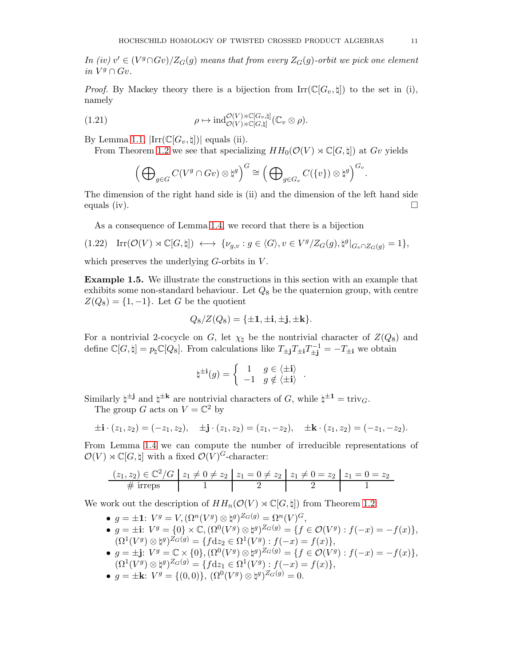In (iv)  $v' \in (V^g \cap Gv)/Z_G(g)$  means that from every  $Z_G(g)$ -orbit we pick one element in  $V^g \cap Gv$ .

*Proof.* By Mackey theory there is a bijection from  $\text{Irr}(\mathbb{C}[G_v,\natural])$  to the set in (i), namely

(1.21) 
$$
\rho \mapsto \mathrm{ind}_{\mathcal{O}(V) \rtimes \mathbb{C}[G,\natural]}^{\mathcal{O}(V) \rtimes \mathbb{C}[G_v,\natural]}(\mathbb{C}_v \otimes \rho).
$$

By Lemma 1.1,  $|\text{Irr}(\mathbb{C}[G_v,\sharp])|$  equals (ii).

From Theorem [1.2](#page-6-0) we see that specializing  $HH_0(\mathcal{O}(V) \rtimes \mathbb{C}[G, \natural])$  at Gv yields

<span id="page-10-0"></span>
$$
\left(\bigoplus\nolimits_{g\in G}C(V^g\cap Gv)\otimes \natural^g\right)^G\cong \left(\bigoplus\nolimits_{g\in G_v}C(\{v\})\otimes \natural^g\right)^{G_v}.
$$

The dimension of the right hand side is (ii) and the dimension of the left hand side equals (iv).  $\Box$ 

<span id="page-10-1"></span>As a consequence of Lemma [1.4,](#page-9-3) we record that there is a bijection

$$
(1.22)\quad \mathrm{Irr}(\mathcal{O}(V)\rtimes\mathbb{C}[G,\natural])\iff \{\nu_{g,v}:g\in \langle G\rangle, v\in V^g/Z_G(g), \natural^g|_{G_v\cap Z_G(g)}=1\},
$$

which preserves the underlying  $G$ -orbits in  $V$ .

<span id="page-10-2"></span>Example 1.5. We illustrate the constructions in this section with an example that exhibits some non-standard behaviour. Let  $Q_8$  be the quaternion group, with centre  $Z(Q_8) = \{1, -1\}$ . Let G be the quotient

$$
Q_8/Z(Q_8) = {\pm 1, \pm \mathbf{i}, \pm \mathbf{j}, \pm \mathbf{k}}.
$$

For a nontrivial 2-cocycle on G, let  $\chi_{\natural}$  be the nontrivial character of  $Z(Q_8)$  and define  $\mathbb{C}[G,\natural] = p_{\natural}\mathbb{C}[Q_8]$ . From calculations like  $T_{\pm j}T_{\pm i}T_{\pm j}^{-1} = -T_{\pm i}$  we obtain

$$
\natural^{\pm \mathbf{i}}(g) = \begin{cases} 1 & g \in \langle \pm \mathbf{i} \rangle \\ -1 & g \notin \langle \pm \mathbf{i} \rangle \end{cases}
$$

.

Similarly  $\sharp^{\pm j}$  and  $\sharp^{\pm k}$  are nontrivial characters of G, while  $\xi^{\pm 1} = \text{triv}_G$ .

The group G acts on  $V = \mathbb{C}^2$  by

$$
\pm \mathbf{i} \cdot (z_1, z_2) = (-z_1, z_2), \quad \pm \mathbf{j} \cdot (z_1, z_2) = (z_1, -z_2), \quad \pm \mathbf{k} \cdot (z_1, z_2) = (-z_1, -z_2).
$$

From Lemma [1.4](#page-9-3) we can compute the number of irreducible representations of  $\mathcal{O}(V) \rtimes \mathbb{C}[G, \natural]$  with a fixed  $\mathcal{O}(V)^G$ -character:

$$
\frac{(z_1, z_2) \in \mathbb{C}^2/\mathbb{G} \mid z_1 \neq 0 \neq z_2 \mid z_1 = 0 \neq z_2 \mid z_1 \neq 0 = z_2 \mid z_1 = 0 = z_2}{1}
$$

We work out the description of  $HH_n(\mathcal{O}(V) \rtimes \mathbb{C}[G, \natural])$  from Theorem [1.2:](#page-6-0)

- $g = \pm 1$ :  $V^g = V$ ,  $(\Omega^n(V^g) \otimes \natural^g)^{Z_G(g)} = \Omega^n(V)^G$ ,
- $g = \pm i$ :  $V^g = \{0\} \times \mathbb{C}, (\Omega^0(V^g) \otimes \natural^g)^{Z_G(g)} = \{f \in \mathcal{O}(V^g) : f(-x) = -f(x)\},$  $(\Omega^1(V^g)\otimes\natural^g)^{Z_G(g)} = \{ fdz_2\in\Omega^1(V^g):f(-x)=f(x)\},\,$
- $g = \pm j$ :  $V^g = \mathbb{C} \times \{0\}, (\Omega^0(V^g) \otimes \natural^g)^{Z_G(g)} = \{f \in \mathcal{O}(V^g) : f(-x) = -f(x)\},$  $(\Omega^1(V^g) \otimes \natural^g)^{Z_G(g)} = \{ fdz_1 \in \Omega^1(V^g) : f(-x) = f(x) \},$
- $g = \pm \mathbf{k}$ :  $V^g = \{(0,0)\}, (\Omega^0(V^g) \otimes \natural^g)^{Z_G(g)} = 0.$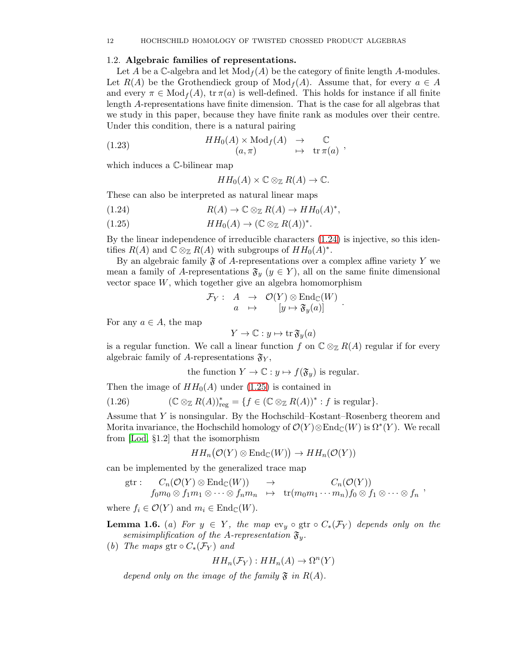## <span id="page-11-0"></span>1.2. Algebraic families of representations.

Let A be a C-algebra and let  $\text{Mod}_f(A)$  be the category of finite length A-modules. Let  $R(A)$  be the Grothendieck group of  $Mod_f(A)$ . Assume that, for every  $a \in A$ and every  $\pi \in \text{Mod}_f(A)$ ,  $\text{tr } \pi(a)$  is well-defined. This holds for instance if all finite length A-representations have finite dimension. That is the case for all algebras that we study in this paper, because they have finite rank as modules over their centre. Under this condition, there is a natural pairing

(1.23) 
$$
HH_0(A) \times \text{Mod}_f(A) \rightarrow \text{C}
$$

$$
(a, \pi) \mapsto \text{tr}\,\pi(a) ,
$$

which induces a C-bilinear map

<span id="page-11-4"></span>
$$
HH_0(A) \times \mathbb{C} \otimes_{\mathbb{Z}} R(A) \to \mathbb{C}.
$$

These can also be interpreted as natural linear maps

<span id="page-11-1"></span>(1.24) 
$$
R(A) \to \mathbb{C} \otimes_{\mathbb{Z}} R(A) \to HH_0(A)^*,
$$

<span id="page-11-2"></span> $HH_0(A) \to (\mathbb{C} \otimes_{\mathbb{Z}} R(A))^*.$ 

By the linear independence of irreducible characters [\(1.24\)](#page-11-1) is injective, so this identifies  $R(A)$  and  $\mathbb{C} \otimes_{\mathbb{Z}} R(A)$  with subgroups of  $HH_0(A)^*$ .

By an algebraic family  $\mathfrak F$  of A-representations over a complex affine variety Y we mean a family of A-representations  $\mathfrak{F}_y$   $(y \in Y)$ , all on the same finite dimensional vector space  $W$ , which together give an algebra homomorphism

$$
\mathcal{F}_Y: A \rightarrow \mathcal{O}(Y) \otimes \mathrm{End}_{\mathbb{C}}(W) \\ a \mapsto [y \mapsto \mathfrak{F}_y(a)]
$$

For any  $a \in A$ , the map

$$
Y \to \mathbb{C} : y \mapsto \operatorname{tr} \mathfrak{F}_y(a)
$$

is a regular function. We call a linear function f on  $\mathbb{C} \otimes_{\mathbb{Z}} R(A)$  regular if for every algebraic family of A-representations  $\mathfrak{F}_Y$ ,

<span id="page-11-3"></span>the function  $Y \to \mathbb{C} : y \mapsto f(\mathfrak{F}_y)$  is regular.

Then the image of  $HH_0(A)$  under [\(1.25\)](#page-11-2) is contained in

(1.26) 
$$
(\mathbb{C} \otimes_{\mathbb{Z}} R(A))_{reg}^* = \{f \in (\mathbb{C} \otimes_{\mathbb{Z}} R(A))^* : f \text{ is regular}\}.
$$

Assume that Y is nonsingular. By the Hochschild–Kostant–Rosenberg theorem and Morita invariance, the Hochschild homology of  $\mathcal{O}(Y) \otimes \text{End}_{\mathbb{C}}(W)$  is  $\Omega^*(Y)$ . We recall from [\[Lod,](#page-35-14) §1.2] that the isomorphism

$$
HH_n(\mathcal{O}(Y) \otimes \mathrm{End}_{\mathbb{C}}(W)) \to HH_n(\mathcal{O}(Y))
$$

can be implemented by the generalized trace map

$$
\text{gtr}: \quad C_n(\mathcal{O}(Y) \otimes \text{End}_{\mathbb{C}}(W)) \rightarrow C_n(\mathcal{O}(Y)) \n f_0 m_0 \otimes f_1 m_1 \otimes \cdots \otimes f_n m_n \rightarrow \text{tr}(m_0 m_1 \cdots m_n) f_0 \otimes f_1 \otimes \cdots \otimes f_n ,
$$

where  $f_i \in \mathcal{O}(Y)$  and  $m_i \in \text{End}_{\mathbb{C}}(W)$ .

**Lemma 1.6.** (a) For  $y \in Y$ , the map  $ev_y \circ \text{gtr} \circ C_*(\mathcal{F}_Y)$  depends only on the semisimplification of the A-representation  $\mathfrak{F}_y$ .

(b) The maps gtr  $\circ C_*(\mathcal{F}_Y)$  and

$$
HH_n(\mathcal{F}_Y) : HH_n(A) \to \Omega^n(Y)
$$

depend only on the image of the family  $\mathfrak F$  in  $R(A)$ .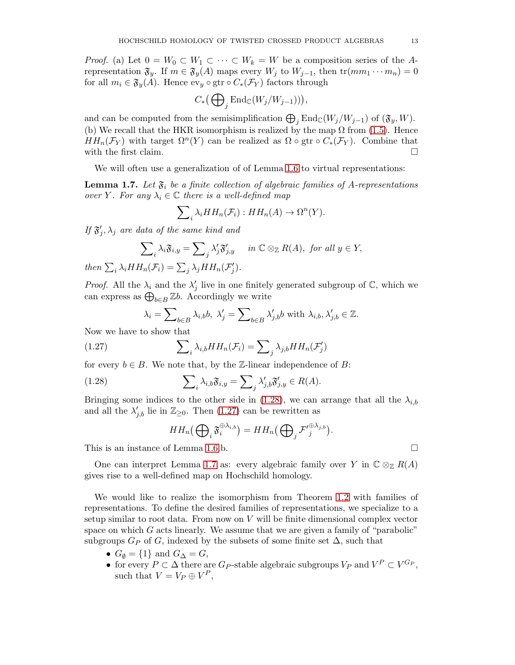*Proof.* (a) Let  $0 = W_0 \subset W_1 \subset \cdots \subset W_k = W$  be a composition series of the Arepresentation  $\mathfrak{F}_y$ . If  $m \in \mathfrak{F}_y(A)$  maps every  $W_j$  to  $W_{j-1}$ , then  $\text{tr}(mm_1 \cdots m_n) = 0$ for all  $m_i \in \mathfrak{F}_y(A)$ . Hence  $ev_y \circ \text{gtr} \circ C_*(\mathcal{F}_Y)$  factors through

$$
C_*\big(\bigoplus\nolimits_j\mathrm{End}_{\mathbb{C}}(W_j/W_{j-1})\big)\big),
$$

and can be computed from the semisimplification  $\bigoplus_j \text{End}_{\mathbb{C}}(W_j/W_{j-1})$  of  $(\mathfrak{F}_y, W)$ . (b) We recall that the HKR isomorphism is realized by the map  $\Omega$  from [\(1.5\)](#page-6-2). Hence  $HH_n(\mathcal{F}_Y)$  with target  $\Omega^n(Y)$  can be realized as  $\Omega \circ \text{gtr} \circ C_*(\mathcal{F}_Y)$ . Combine that with the first claim.  $\Box$ 

We will often use a generalization of of Lemma 1.6 to virtual representations:

<span id="page-12-0"></span>**Lemma 1.7.** Let  $\mathfrak{F}_i$  be a finite collection of algebraic families of A-representations over Y. For any  $\lambda_i \in \mathbb{C}$  there is a well-defined map

$$
\sum_{i} \lambda_i HH_n(\mathcal{F}_i) : HH_n(A) \to \Omega^n(Y).
$$

If  $\mathfrak{F}'_j, \lambda_j$  are data of the same kind and

$$
\sum_{i} \lambda_{i} \mathfrak{F}_{i,y} = \sum_{j} \lambda'_{j} \mathfrak{F}'_{j,y} \quad in \ \mathbb{C} \otimes_{\mathbb{Z}} R(A), \text{ for all } y \in Y,
$$
  
then  $\sum_{i} \lambda_{i} HH_{n}(\mathcal{F}_{i}) = \sum_{j} \lambda_{j} HH_{n}(\mathcal{F}'_{j}).$ 

*Proof.* All the  $\lambda_i$  and the  $\lambda'_j$  live in one finitely generated subgroup of  $\mathbb{C}$ , which we can express as  $\bigoplus_{b \in B} \mathbb{Z}b$ . Accordingly we write

<span id="page-12-2"></span>
$$
\lambda_i = \sum\nolimits_{b \in B} \lambda_{i,b} b, \; \lambda'_j = \sum\nolimits_{b \in B} \lambda'_{j,b} b \text{ with } \lambda_{i,b}, \lambda'_{j,b} \in \mathbb{Z}.
$$

Now we have to show that

(1.27) 
$$
\sum_{i} \lambda_{i,b} HH_n(\mathcal{F}_i) = \sum_{j} \lambda_{j,b} HH_n(\mathcal{F}'_j)
$$

for every  $b \in B$ . We note that, by the Z-linear independence of B:

(1.28) 
$$
\sum_{i} \lambda_{i,b} \mathfrak{F}_{i,y} = \sum_{j} \lambda'_{j,b} \mathfrak{F}'_{j,y} \in R(A).
$$

Bringing some indices to the other side in [\(1.28\)](#page-12-1), we can arrange that all the  $\lambda_{i,b}$ and all the  $\lambda'_{j,b}$  lie in  $\mathbb{Z}_{\geq 0}$ . Then  $(1.27)$  can be rewritten as

<span id="page-12-1"></span>
$$
HH_n\big(\bigoplus_i \mathfrak{F}_i^{\oplus \lambda_{i,b}}\big) = HH_n\big(\bigoplus_j \mathcal{F'}_j^{\oplus \lambda_{j,b}}\big)
$$

.

This is an instance of Lemma 1.6.b.  $\square$ 

One can interpret Lemma [1.7](#page-12-0) as: every algebraic family over Y in  $\mathbb{C} \otimes_{\mathbb{Z}} R(A)$ gives rise to a well-defined map on Hochschild homology.

We would like to realize the isomorphism from Theorem [1.2](#page-6-0) with families of representations. To define the desired families of representations, we specialize to a setup similar to root data. From now on  $V$  will be finite dimensional complex vector space on which  $G$  acts linearly. We assume that we are given a family of "parabolic" subgroups  $G_P$  of G, indexed by the subsets of some finite set  $\Delta$ , such that

- $G_{\emptyset} = \{1\}$  and  $G_{\Delta} = G$ ,
- for every  $P \subset \Delta$  there are  $G_P$ -stable algebraic subgroups  $V_P$  and  $V^P \subset V^{G_P}$ , such that  $V = V_P \oplus V^P$ ,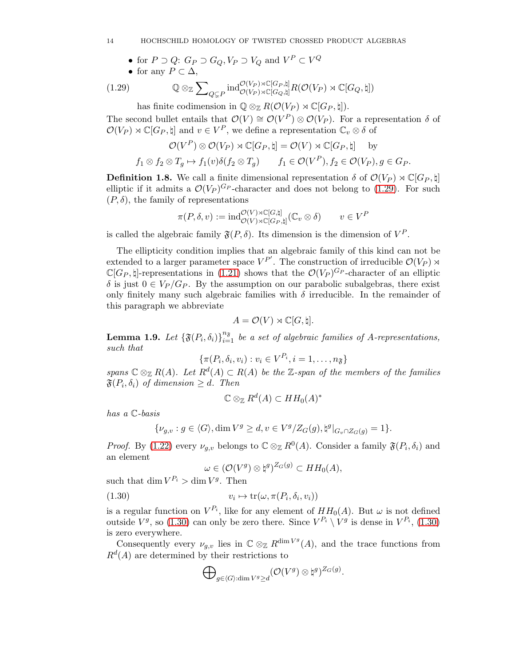## 14 HOCHSCHILD HOMOLOGY OF TWISTED CROSSED PRODUCT ALGEBRAS

• for  $P \supset Q$ :  $G_P \supset G_Q$ ,  $V_P \supset V_Q$  and  $V^P \subset V^Q$ 

• for any 
$$
P \subset \Delta
$$
,

(1.29) 
$$
\mathbb{Q} \otimes_{\mathbb{Z}} \sum_{Q \subsetneq P} \text{ind}_{\mathcal{O}(V_P) \rtimes \mathbb{C}[G_P, \natural]}^{\mathcal{O}(V_P) \rtimes \mathbb{C}[G_P, \natural]} R(\mathcal{O}(V_P) \rtimes \mathbb{C}[G_Q, \natural])
$$

<span id="page-13-0"></span>has finite codimension in  $\mathbb{Q} \otimes_{\mathbb{Z}} R(\mathcal{O}(V_P) \rtimes \mathbb{C}[G_P, \natural]).$ 

The second bullet entails that  $\mathcal{O}(V) \cong \mathcal{O}(V^P) \otimes \mathcal{O}(V_P)$ . For a representation  $\delta$  of  $\mathcal{O}(V_P) \rtimes \mathbb{C}[G_P, \natural]$  and  $v \in V^P$ , we define a representation  $\mathbb{C}_v \otimes \delta$  of

$$
\mathcal{O}(V^P) \otimes \mathcal{O}(V_P) \rtimes \mathbb{C}[G_P, \natural] = \mathcal{O}(V) \rtimes \mathbb{C}[G_P, \natural] \quad \text{by}
$$
  

$$
f_1 \otimes f_2 \otimes T_g \mapsto f_1(v)\delta(f_2 \otimes T_g) \qquad f_1 \in \mathcal{O}(V^P), f_2 \in \mathcal{O}(V_P), g \in G_P.
$$

<span id="page-13-3"></span>**Definition 1.8.** We call a finite dimensional representation  $\delta$  of  $\mathcal{O}(V_P) \rtimes \mathbb{C}[G_P, \natural]$ elliptic if it admits a  $\mathcal{O}(V_P)^{G_P}$ -character and does not belong to [\(1.29\)](#page-13-0). For such  $(P, \delta)$ , the family of representations

$$
\pi(P,\delta,v) := \mathrm{ind}_{\mathcal{O}(V)\rtimes\mathbb{C}[G_P,\natural]}^{\mathcal{O}(V)\rtimes\mathbb{C}[G,\natural]}(\mathbb{C}_v\otimes\delta) \qquad v\in V^P
$$

is called the algebraic family  $\mathfrak{F}(P,\delta)$ . Its dimension is the dimension of  $V^P$ .

The ellipticity condition implies that an algebraic family of this kind can not be extended to a larger parameter space  $V^{P'}$ . The construction of irreducible  $\mathcal{O}(V_P) \rtimes$  $\mathbb{C}[G_P,\natural]$ -representations in [\(1.21\)](#page-10-0) shows that the  $\mathcal{O}(V_P)^{G_P}$ -character of an elliptic  $\delta$  is just  $0 \in V_P / G_P$ . By the assumption on our parabolic subalgebras, there exist only finitely many such algebraic families with  $\delta$  irreducible. In the remainder of this paragraph we abbreviate

$$
A = \mathcal{O}(V) \rtimes \mathbb{C}[G, \natural].
$$

<span id="page-13-2"></span>**Lemma 1.9.** Let  $\{\mathfrak{F}(P_i, \delta_i)\}_{i=1}^{n_{\mathfrak{F}}}$  be a set of algebraic families of A-representations, such that

$$
\{\pi(P_i, \delta_i, v_i) : v_i \in V^{P_i}, i = 1, \dots, n_{\mathfrak{F}}\}
$$

spans  $\mathbb{C} \otimes_{\mathbb{Z}} R(A)$ . Let  $R^d(A) \subset R(A)$  be the  $\mathbb{Z}$ -span of the members of the families  $\mathfrak{F}(P_i, \delta_i)$  of dimension  $\geq d$ . Then

$$
\mathbb{C}\otimes_{\mathbb{Z}}R^d(A)\subset HH_0(A)^*
$$

has a C-basis

$$
\{\nu_{g,v}: g\in \langle G\rangle, \dim V^g\geq d, v\in V^g/Z_G(g), \natural^g|_{G_v\cap Z_G(g)}=1\}.
$$

*Proof.* By [\(1.22\)](#page-10-1) every  $\nu_{g,v}$  belongs to  $\mathbb{C} \otimes_{\mathbb{Z}} R^0(A)$ . Consider a family  $\mathfrak{F}(P_i, \delta_i)$  and an element

<span id="page-13-1"></span>
$$
\omega \in (\mathcal{O}(V^g) \otimes \natural^g)^{Z_G(g)} \subset HH_0(A),
$$

such that  $\dim V^{P_i} > \dim V^g$ . Then

(1.30) 
$$
v_i \mapsto \text{tr}(\omega, \pi(P_i, \delta_i, v_i))
$$

is a regular function on  $V^{P_i}$ , like for any element of  $HH_0(A)$ . But  $\omega$  is not defined outside  $V^g$ , so [\(1.30\)](#page-13-1) can only be zero there. Since  $V^{P_i} \setminus V^g$  is dense in  $V^{P_i}$ , (1.30) is zero everywhere.

Consequently every  $\nu_{g,v}$  lies in  $\mathbb{C} \otimes_{\mathbb{Z}} R^{\dim V^g}(A)$ , and the trace functions from  $R<sup>d</sup>(A)$  are determined by their restrictions to

$$
\bigoplus\nolimits_{g\in \langle G\rangle:\dim V^g\geq d}(\mathcal{O}(V^g)\otimes \natural^g)^{Z_G(g)}.
$$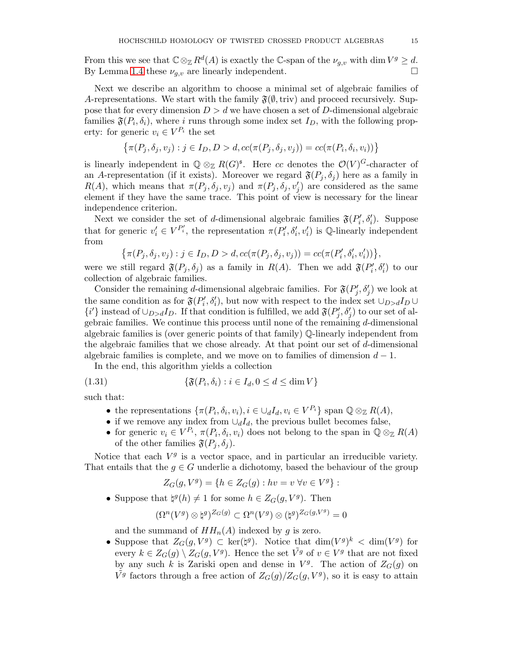From this we see that  $\mathbb{C} \otimes_{\mathbb{Z}} R^d(A)$  is exactly the  $\mathbb{C}$ -span of the  $\nu_{g,v}$  with dim  $V^g \geq d$ . By Lemma [1.4](#page-9-3) these  $\nu_{q,v}$  are linearly independent.

Next we describe an algorithm to choose a minimal set of algebraic families of A-representations. We start with the family  $\mathfrak{F}(\emptyset,\text{triv})$  and proceed recursively. Suppose that for every dimension  $D > d$  we have chosen a set of D-dimensional algebraic families  $\mathfrak{F}(P_i, \delta_i)$ , where i runs through some index set  $I_D$ , with the following property: for generic  $v_i \in V^{P_i}$  the set

$$
\left\{\pi(P_j,\delta_j,v_j):j\in I_D,D>d,cc(\pi(P_j,\delta_j,v_j))=cc(\pi(P_i,\delta_i,v_i))\right\}
$$

is linearly independent in  $\mathbb{Q} \otimes_{\mathbb{Z}} R(G)^{\mathfrak{s}}$ . Here cc denotes the  $\mathcal{O}(V)^G$ -character of an A-representation (if it exists). Moreover we regard  $\mathfrak{F}(P_i, \delta_i)$  here as a family in  $R(A)$ , which means that  $\pi(P_j, \delta_j, v_j)$  and  $\pi(P_j, \delta_j, v'_j)$  are considered as the same element if they have the same trace. This point of view is necessary for the linear independence criterion.

Next we consider the set of d-dimensional algebraic families  $\mathfrak{F}(P_i', \delta_i')$ . Suppose that for generic  $v'_i \in V^{P'_i}$ , the representation  $\pi(P'_i, \delta'_i, v'_i)$  is Q-linearly independent from

$$
\{\pi(P_j, \delta_j, v_j) : j \in I_D, D > d, cc(\pi(P_j, \delta_j, v_j)) = cc(\pi(P'_i, \delta'_i, v'_i))\},\
$$

were we still regard  $\mathfrak{F}(P_j, \delta_j)$  as a family in  $R(A)$ . Then we add  $\mathfrak{F}(P'_i, \delta'_i)$  to our collection of algebraic families.

Consider the remaining d-dimensional algebraic families. For  $\mathfrak{F}(P'_j, \delta'_j)$  we look at the same condition as for  $\mathfrak{F}(P_i', \delta_i')$ , but now with respect to the index set  $\cup_{D>d} I_D \cup$  $\{i'\}$  instead of  $\cup_{D>d} I_D$ . If that condition is fulfilled, we add  $\mathfrak{F}(P'_j, \delta'_j)$  to our set of algebraic families. We continue this process until none of the remaining  $d$ -dimensional algebraic families is (over generic points of that family) Q-linearly independent from the algebraic families that we chose already. At that point our set of d-dimensional algebraic families is complete, and we move on to families of dimension  $d-1$ .

In the end, this algorithm yields a collection

(1.31) 
$$
\{\mathfrak{F}(P_i,\delta_i) : i \in I_d, 0 \leq d \leq \dim V\}
$$

such that:

- <span id="page-14-0"></span>• the representations  $\{\pi(P_i, \delta_i, v_i), i \in \bigcup_d I_d, v_i \in V^{P_i}\}\$  span  $\mathbb{Q} \otimes_{\mathbb{Z}} R(A),$
- if we remove any index from  $\cup_d I_d$ , the previous bullet becomes false,
- for generic  $v_i \in V^{P_i}$ ,  $\pi(P_i, \delta_i, v_i)$  does not belong to the span in  $\mathbb{Q} \otimes_{\mathbb{Z}} R(A)$ of the other families  $\mathfrak{F}(P_i, \delta_i)$ .

Notice that each  $V<sup>g</sup>$  is a vector space, and in particular an irreducible variety. That entails that the  $g \in G$  underlie a dichotomy, based the behaviour of the group

$$
Z_G(g,V^g) = \{ h \in Z_G(g) : hv = v \,\forall v \in V^g \} :
$$

• Suppose that  $\natural^g(h) \neq 1$  for some  $h \in Z_G(g, V^g)$ . Then

$$
(\Omega^n(V^g)\otimes\natural^g)^{Z_G(g)}\subset \Omega^n(V^g)\otimes(\natural^g)^{Z_G(g,V^g)}=0
$$

and the summand of  $HH_n(A)$  indexed by g is zero.

• Suppose that  $Z_G(g, V^g) \subset \ker(\natural^g)$ . Notice that  $\dim(V^g)^k < \dim(V^g)$  for every  $k \in Z_G(g) \setminus Z_G(g, V^g)$ . Hence the set  $\tilde{V}^g$  of  $v \in V^g$  that are not fixed by any such k is Zariski open and dense in  $V<sup>g</sup>$ . The action of  $Z<sub>G</sub>(g)$  on  $\tilde{V}^g$  factors through a free action of  $Z_G(g)/Z_G(g, V^g)$ , so it is easy to attain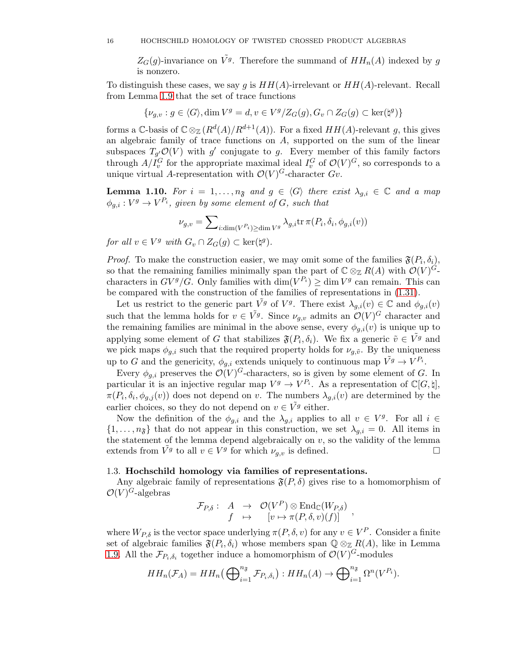$Z_G(g)$ -invariance on  $\tilde{V}^g$ . Therefore the summand of  $HH_n(A)$  indexed by g is nonzero.

To distinguish these cases, we say g is  $HH(A)$ -irrelevant or  $HH(A)$ -relevant. Recall from Lemma [1.9](#page-13-2) that the set of trace functions

$$
\{\nu_{g,v}:g\in \langle G\rangle, \dim V^g=d, v\in V^g/Z_G(g), G_v\cap Z_G(g)\subset\ker(\natural^g)\}
$$

forms a  $\mathbb{C}$ -basis of  $\mathbb{C} \otimes_{\mathbb{Z}} (R^d(A)/R^{d+1}(A))$ . For a fixed  $HH(A)$ -relevant g, this gives an algebraic family of trace functions on A, supported on the sum of the linear subspaces  $T_{g'}\mathcal{O}(V)$  with g' conjugate to g. Every member of this family factors through  $A/I_v^G$  for the appropriate maximal ideal  $I_v^G$  of  $\mathcal{O}(V)^G$ , so corresponds to a unique virtual A-representation with  $\mathcal{O}(V)^G$ -character  $Gv$ .

<span id="page-15-1"></span>**Lemma 1.10.** For  $i = 1, ..., n_{\mathfrak{F}}$  and  $g \in \langle G \rangle$  there exist  $\lambda_{g,i} \in \mathbb{C}$  and a map  $\phi_{g,i}: V^g \to V^{P_i}$ , given by some element of G, such that

$$
\nu_{g,v} = \sum_{i:\dim(V^{P_i}) \ge \dim V^g} \lambda_{g,i} \operatorname{tr} \pi(P_i, \delta_i, \phi_{g,i}(v))
$$

for all  $v \in V^g$  with  $G_v \cap Z_G(g) \subset \text{ker}(\natural^g)$ .

*Proof.* To make the construction easier, we may omit some of the families  $\mathfrak{F}(P_i, \delta_i)$ , so that the remaining families minimally span the part of  $\mathbb{C} \otimes_{\mathbb{Z}} R(A)$  with  $\mathcal{O}(V)^G$ characters in  $GV^g/G$ . Only families with  $\dim(V^{P_i}) \ge \dim V^g$  can remain. This can be compared with the construction of the families of representations in [\(1.31\)](#page-14-0).

Let us restrict to the generic part  $\tilde{V}^g$  of  $V^g$ . There exist  $\lambda_{g,i}(v) \in \mathbb{C}$  and  $\phi_{g,i}(v)$ such that the lemma holds for  $v \in V_g$ . Since  $\nu_{g,v}$  admits an  $\mathcal{O}(V)^G$  character and the remaining families are minimal in the above sense, every  $\phi_{q,i}(v)$  is unique up to applying some element of G that stabilizes  $\mathfrak{F}(P_i, \delta_i)$ . We fix a generic  $\tilde{v} \in V^g$  and we pick maps  $\phi_{g,i}$  such that the required property holds for  $\nu_{g,\tilde{v}}$ . By the uniqueness up to G and the genericity,  $\phi_{g,i}$  extends uniquely to continuous map  $\tilde{V}^g \to V^{P_i}$ .

Every  $\phi_{g,i}$  preserves the  $\mathcal{O}(V)^G$ -characters, so is given by some element of G. In particular it is an injective regular map  $V^g \to V^{P_i}$ . As a representation of  $\mathbb{C}[G,\natural],$  $\pi(P_i, \delta_i, \phi_{g,j}(v))$  does not depend on v. The numbers  $\lambda_{g,i}(v)$  are determined by the earlier choices, so they do not depend on  $v \in \tilde{V}^g$  either.

Now the definition of the  $\phi_{g,i}$  and the  $\lambda_{g,i}$  applies to all  $v \in V^g$ . For all  $i \in$  $\{1,\ldots,n_{\mathfrak{F}}\}$  that do not appear in this construction, we set  $\lambda_{q,i}=0$ . All items in the statement of the lemma depend algebraically on  $v$ , so the validity of the lemma extends from  $\tilde{V}^g$  to all  $v \in V^g$  for which  $\nu_{g,v}$  is defined.

# <span id="page-15-0"></span>1.3. Hochschild homology via families of representations.

Any algebraic family of representations  $\mathfrak{F}(P, \delta)$  gives rise to a homomorphism of  $\mathcal{O}(V)^G$ -algebras

$$
\mathcal{F}_{P,\delta}: A \rightarrow \mathcal{O}(V^P) \otimes \text{End}_{\mathbb{C}}(W_{P,\delta}) \nf \mapsto [v \mapsto \pi(P,\delta,v)(f)] ,
$$

where  $W_{P,\delta}$  is the vector space underlying  $\pi(P,\delta,v)$  for any  $v \in V^P$ . Consider a finite set of algebraic families  $\mathfrak{F}(P_i, \delta_i)$  whose members span  $\mathbb{Q} \otimes_{\mathbb{Z}} R(A)$ , like in Lemma [1.9.](#page-13-2) All the  $\mathcal{F}_{P_i,\delta_i}$  together induce a homomorphism of  $\mathcal{O}(V)^G$ -modules

$$
HH_n(\mathcal{F}_A) = HH_n\left(\bigoplus_{i=1}^{n_{\mathfrak{F}}} \mathcal{F}_{P_i,\delta_i}\right) : HH_n(A) \to \bigoplus_{i=1}^{n_{\mathfrak{F}}} \Omega^n(V^{P_i}).
$$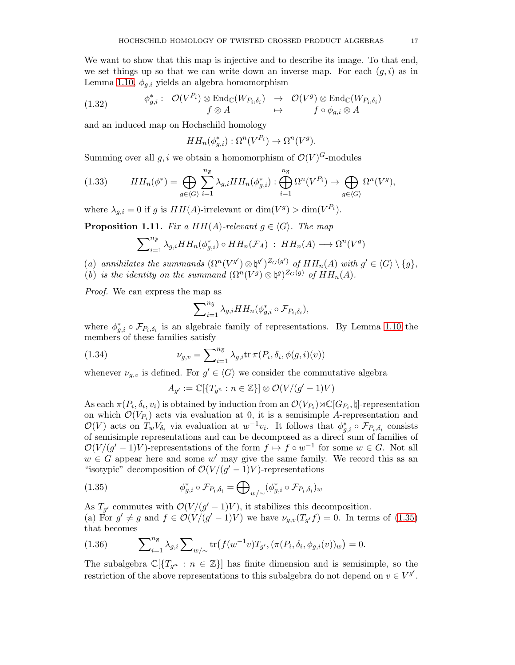We want to show that this map is injective and to describe its image. To that end, we set things up so that we can write down an inverse map. For each  $(g, i)$  as in Lemma [1.10,](#page-15-1)  $\phi_{q,i}$  yields an algebra homomorphism

<span id="page-16-4"></span>(1.32) 
$$
\phi_{g,i}^* : \mathcal{O}(V^{P_i}) \otimes \text{End}_{\mathbb{C}}(W_{P_i,\delta_i}) \rightarrow \mathcal{O}(V^g) \otimes \text{End}_{\mathbb{C}}(W_{P_i,\delta_i})
$$

$$
f \otimes A \rightarrow f \circ \phi_{g,i} \otimes A
$$

and an induced map on Hochschild homology

$$
HH_n(\phi_{g,i}^*) : \Omega^n(V^{P_i}) \to \Omega^n(V^g).
$$

Summing over all  $g, i$  we obtain a homomorphism of  $\mathcal{O}(V)^G$ -modules

<span id="page-16-3"></span>(1.33) 
$$
HH_n(\phi^*) = \bigoplus_{g \in \langle G \rangle} \sum_{i=1}^{n_{\mathfrak{F}}} \lambda_{g,i} HH_n(\phi_{g,i}^*) : \bigoplus_{i=1}^{n_{\mathfrak{F}}} \Omega^n(V^{P_i}) \to \bigoplus_{g \in \langle G \rangle} \Omega^n(V^g),
$$

where  $\lambda_{g,i} = 0$  if g is  $HH(A)$ -irrelevant or  $\dim(V^g) > \dim(V^{P_i})$ .

<span id="page-16-2"></span>**Proposition 1.11.** Fix a HH(A)-relevant  $g \in \langle G \rangle$ . The map

$$
\sum_{i=1}^{n_{\mathfrak{F}}}\lambda_{g,i}HH_n(\phi_{g,i}^*)\circ HH_n(\mathcal{F}_A) : HH_n(A) \longrightarrow \Omega^n(V^g)
$$

- (a) annihilates the summands  $(\Omega^n(V^{g'})\otimes \natural^{g'})^{Z_G(g')}$  of  $HH_n(A)$  with  $g' \in \langle G \rangle \setminus \{g\},$
- (b) is the identity on the summand  $(\Omega^n(V^g) \otimes \natural^g)^{Z_G(g)}$  of  $HH_n(A)$ .

Proof. We can express the map as

$$
\sum_{i=1}^{n_{\mathfrak{F}}}\lambda_{g,i}HH_{n}(\phi_{g,i}^{*}\circ\mathcal{F}_{P_{i},\delta_{i}}),
$$

where  $\phi_{g,i}^* \circ \mathcal{F}_{P_i,\delta_i}$  is an algebraic family of representations. By Lemma [1.10](#page-15-1) the members of these families satisfy

(1.34) 
$$
\nu_{g,v} = \sum_{i=1}^{n_{\mathfrak{F}}} \lambda_{g,i} \text{tr} \,\pi(P_i, \delta_i, \phi(g, i)(v))
$$

whenever  $\nu_{g,v}$  is defined. For  $g' \in \langle G \rangle$  we consider the commutative algebra

$$
A_{g'} := \mathbb{C}[\{T_{g^n} : n \in \mathbb{Z}\}] \otimes \mathcal{O}(V/(g'-1)V)
$$

As each  $\pi(P_i, \delta_i, v_i)$  is obtained by induction from an  $\mathcal{O}(V_{P_i}) \rtimes \mathbb{C}[G_{P_i}, \natural]$ -representation on which  $\mathcal{O}(V_{P_i})$  acts via evaluation at 0, it is a semisimple A-representation and  $\mathcal{O}(V)$  acts on  $T_w V_{\delta_i}$  via evaluation at  $w^{-1}v_i$ . It follows that  $\phi_{g,i}^* \circ \mathcal{F}_{P_i,\delta_i}$  consists of semisimple representations and can be decomposed as a direct sum of families of  $\mathcal{O}(V/(g'-1)V)$ -representations of the form  $f \mapsto f \circ w^{-1}$  for some  $w \in G$ . Not all  $w \in G$  appear here and some w' may give the same family. We record this as an "isotypic" decomposition of  $\mathcal{O}(V/(g'-1)V)$ -representations

<span id="page-16-0"></span>(1.35) 
$$
\phi_{g,i}^* \circ \mathcal{F}_{P_i,\delta_i} = \bigoplus_{w/\sim} (\phi_{g,i}^* \circ \mathcal{F}_{P_i,\delta_i})_w
$$

As  $T_{g'}$  commutes with  $\mathcal{O}(V/(g'-1)V)$ , it stabilizes this decomposition. (a) For  $g' \neq g$  and  $f \in \mathcal{O}(V/(g'-1)V)$  we have  $\nu_{g,v}(T_{g'}f) = 0$ . In terms of [\(1.35\)](#page-16-0) that becomes

<span id="page-16-1"></span>(1.36) 
$$
\sum_{i=1}^{n_{\mathfrak{F}}}\lambda_{g,i}\sum_{w/\sim}\text{tr}\big(f(w^{-1}v)T_{g'},(\pi(P_i,\delta_i,\phi_{g,i}(v))_w\big)=0.
$$

The subalgebra  $\mathbb{C}[\{T_{q^n} : n \in \mathbb{Z}\}]$  has finite dimension and is semisimple, so the restriction of the above representations to this subalgebra do not depend on  $v \in V^{g'}$ .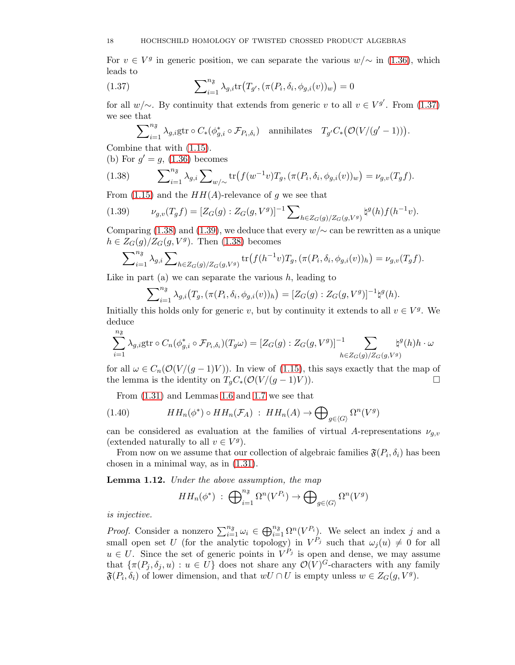For  $v \in V^g$  in generic position, we can separate the various  $w/\sim$  in [\(1.36\)](#page-16-1), which leads to

(1.37) 
$$
\sum_{i=1}^{n_{\tilde{\delta}}} \lambda_{g,i} \text{tr}(T_{g'}, (\pi(P_i, \delta_i, \phi_{g,i}(v))_w) = 0
$$

for all  $w/\sim$ . By continuity that extends from generic v to all  $v \in V^{g'}$ . From [\(1.37\)](#page-17-0) we see that

<span id="page-17-0"></span>
$$
\sum_{i=1}^{n_{\mathfrak{F}}}\lambda_{g,i}\text{gtr}\circ C_{*}(\phi_{g,i}^{*}\circ\mathcal{F}_{P_{i},\delta_{i}})\quad\text{annihilates}\quad T_{g'}C_{*}\big(\mathcal{O}(V/(g'-1))\big).
$$

Combine that with [\(1.15\)](#page-8-4).

(b) For  $g' = g$ , [\(1.36\)](#page-16-1) becomes

<span id="page-17-1"></span>(1.38) 
$$
\sum_{i=1}^{n_{\mathfrak{F}}}\lambda_{g,i}\sum_{w/\sim}\text{tr}\big(f(w^{-1}v)T_g,(\pi(P_i,\delta_i,\phi_{g,i}(v))_w\big)=\nu_{g,v}(T_gf).
$$

From  $(1.15)$  and the  $HH(A)$ -relevance of q we see that

<span id="page-17-2"></span>
$$
(1.39) \t\nu_{g,v}(T_g f) = [Z_G(g) : Z_G(g, V^g)]^{-1} \sum_{h \in Z_G(g)/Z_G(g, V^g)} \natural^g(h) f(h^{-1}v).
$$

Comparing [\(1.38\)](#page-17-1) and [\(1.39\)](#page-17-2), we deduce that every  $w/\sim$  can be rewritten as a unique  $h \in Z_G(g)/Z_G(g,V^g)$ . Then [\(1.38\)](#page-17-1) becomes

$$
\sum_{i=1}^{n_{\mathfrak{F}}}\lambda_{g,i}\sum_{h\in Z_{G}(g)/Z_{G}(g,V^{g})}\text{tr}\big(f(h^{-1}v)T_{g},(\pi(P_{i},\delta_{i},\phi_{g,i}(v))_{h}\big)=\nu_{g,v}(T_{g}f).
$$

Like in part (a) we can separate the various  $h$ , leading to

$$
\sum_{i=1}^{n_{\mathfrak{F}}}\lambda_{g,i}(T_g,(\pi(P_i,\delta_i,\phi_{g,i}(v))_h)=[Z_G(g):Z_G(g,V^g)]^{-1}\natural^g(h).
$$

Initially this holds only for generic v, but by continuity it extends to all  $v \in V<sup>g</sup>$ . We deduce  $n_{\tilde{z}}$ 

$$
\sum_{i=1}^{N_s} \lambda_{g,i} \text{gtr} \circ C_n(\phi_{g,i}^* \circ \mathcal{F}_{P_i,\delta_i})(T_g \omega) = [Z_G(g) : Z_G(g,V^g)]^{-1} \sum_{h \in Z_G(g)/Z_G(g,V^g)} \natural^g(h)h \cdot \omega
$$

for all  $\omega \in C_n(\mathcal{O}(V/(g-1)V))$ . In view of [\(1.15\)](#page-8-4), this says exactly that the map of the lemma is the identity on  $T_oC_*(\mathcal{O}(V/(g-1)V))$ . the lemma is the identity on  $T<sub>g</sub>C<sub>*</sub>(\mathcal{O}(V/(g-1)V)).$ 

From [\(1.31\)](#page-14-0) and Lemmas 1.6 and [1.7](#page-12-0) we see that

(1.40) 
$$
HH_n(\phi^*) \circ HH_n(\mathcal{F}_A) : HH_n(A) \to \bigoplus_{g \in \langle G \rangle} \Omega^n(V^g)
$$

can be considered as evaluation at the families of virtual A-representations  $\nu_{a,v}$ (extended naturally to all  $v \in V^g$ ).

From now on we assume that our collection of algebraic families  $\mathfrak{F}(P_i, \delta_i)$  has been chosen in a minimal way, as in [\(1.31\)](#page-14-0).

<span id="page-17-3"></span>Lemma 1.12. Under the above assumption, the map

$$
HH_n(\phi^*) \; : \; \bigoplus_{i=1}^{n_{\mathfrak{F}}} \Omega^n(V^{P_i}) \to \bigoplus_{g \in \langle G \rangle} \Omega^n(V^g)
$$

is injective.

*Proof.* Consider a nonzero  $\sum_{i=1}^{n_{\mathfrak{F}}} \omega_i \in \bigoplus_{i=1}^{n_{\mathfrak{F}}} \Omega^n(V^{P_i})$ . We select an index j and a small open set U (for the analytic topology) in  $V^{P_j}$  such that  $\omega_j(u) \neq 0$  for all  $u \in U$ . Since the set of generic points in  $V^{P_j}$  is open and dense, we may assume that  $\{\pi(P_j, \delta_j, u) : u \in U\}$  does not share any  $\mathcal{O}(V)^G$ -characters with any family  $\mathfrak{F}(P_i, \delta_i)$  of lower dimension, and that  $wU \cap U$  is empty unless  $w \in Z_G(g, V^g)$ .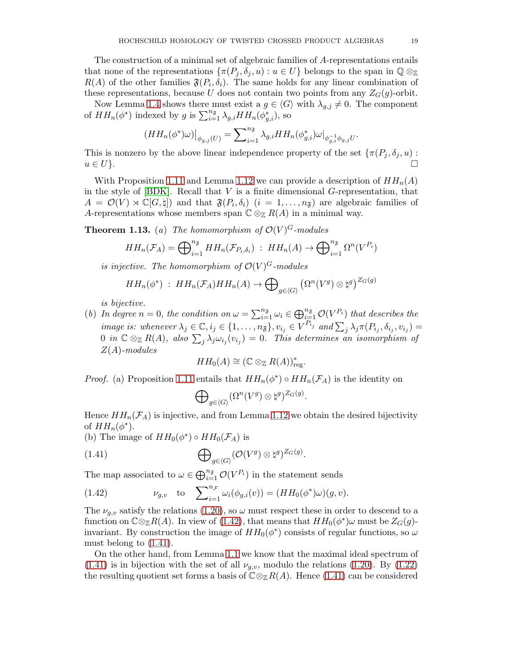The construction of a minimal set of algebraic families of A-representations entails that none of the representations  $\{\pi(P_j, \delta_j, u) : u \in U\}$  belongs to the span in  $\mathbb{Q} \otimes_{\mathbb{Z}}$  $R(A)$  of the other families  $\mathfrak{F}(P_i, \delta_i)$ . The same holds for any linear combination of these representations, because U does not contain two points from any  $Z_G(g)$ -orbit.

Now Lemma [1.4](#page-9-3) shows there must exist a  $g \in \langle G \rangle$  with  $\lambda_{g,j} \neq 0$ . The component of  $HH_n(\phi^*)$  indexed by g is  $\sum_{i=1}^{n_{\mathfrak{F}}}\lambda_{g,i}HH_n(\phi_{g,i}^*)$ , so

$$
(HH_n(\phi^*)\omega)\big|_{\phi_{g,j}(U)} = \sum_{i=1}^{n_{\mathfrak{F}}}\lambda_{g,i}HH_n(\phi_{g,i}^*)\omega\big|_{\phi_{g,i}^{-1}\phi_{g,j}U}
$$

This is nonzero by the above linear independence property of the set  $\{\pi(P_j, \delta_j, u): u \in U\}$ .  $u \in U$ .

With Proposition [1.11](#page-16-2) and Lemma [1.12](#page-17-3) we can provide a description of  $HH_n(A)$ in the style of  $[BDK]$ . Recall that V is a finite dimensional G-representation, that  $A = \mathcal{O}(V) \rtimes \mathbb{C}[G,\natural]$  and that  $\mathfrak{F}(P_i,\delta_i)$   $(i = 1,\ldots,n_{\mathfrak{F}})$  are algebraic families of A-representations whose members span  $\mathbb{C} \otimes_{\mathbb{Z}} R(A)$  in a minimal way.

**Theorem 1.13.** (a) The homomorphism of  $\mathcal{O}(V)^G$ -modules

$$
HH_n(\mathcal{F}_A) = \bigoplus_{i=1}^{n_{\mathfrak{F}}} HH_n(\mathcal{F}_{P_i,\delta_i}) \; : \; HH_n(A) \to \bigoplus_{i=1}^{n_{\mathfrak{F}}} \Omega^n(V^{P_i})
$$

is injective. The homomorphism of  $\mathcal{O}(V)^G$ -modules

$$
HH_n(\phi^*)\;:\; HH_n(\mathcal{F}_A)HH_n(A)\to \bigoplus_{g\in \langle G\rangle} \left(\Omega^n(V^g)\otimes \natural^g\right)^{Z_G(g)}
$$

is bijective.

(b) In degree  $n = 0$ , the condition on  $\omega = \sum_{i=1}^{n_{\mathfrak{F}}} \omega_i \in \bigoplus_{i=1}^{n_{\mathfrak{F}}} \mathcal{O}(V^{P_i})$  that describes the image is: whenever  $\lambda_j \in \mathbb{C}$ ,  $i_j \in \{1, ..., n_{\mathfrak{F}}\}$ ,  $v_{i_j} \in V^{P_{i_j}}$  and  $\sum_j \lambda_j \pi(P_{i_j}, \delta_{i_j}, v_{i_j}) =$  $0$  in  $\mathbb{C}\otimes_{\mathbb{Z}} R(A)$ , also  $\sum_{j}\lambda_j\omega_{i_j}(v_{i_j})=0$ . This determines an isomorphism of  $Z(A)$ -modules

$$
HH_0(A) \cong (\mathbb{C} \otimes_{\mathbb{Z}} R(A))_{\text{reg}}^*.
$$

*Proof.* (a) Proposition [1.11](#page-16-2) entails that  $HH_n(\phi^*) \circ HH_n(\mathcal{F}_A)$  is the identity on

<span id="page-18-1"></span>
$$
\bigoplus\nolimits_{g\in\langle G\rangle}(\Omega^n(V^g)\otimes\natural^g)^{Z_G(g)}
$$

.

Hence  $HH_n(\mathcal{F}_A)$  is injective, and from Lemma [1.12](#page-17-3) we obtain the desired bijectivity of  $HH_n(\phi^*)$ .

(b) The image of  $HH_0(\phi^*) \circ HH_0(\mathcal{F}_A)$  is

(1.41) 
$$
\bigoplus_{g \in \langle G \rangle} (\mathcal{O}(V^g) \otimes \natural^g)^{Z_G(g)}.
$$

The map associated to  $\omega \in \bigoplus_{i=1}^{n_{\mathfrak{F}}} \mathcal{O}(V^{P_i})$  in the statement sends

<span id="page-18-0"></span>(1.42) 
$$
\nu_{g,v} \text{ to } \sum_{i=1}^{n_{\mathcal{F}}} \omega_i(\phi_{g,i}(v)) = (HH_0(\phi^*)\omega)(g,v).
$$

The  $\nu_{g,v}$  satisfy the relations [\(1.20\)](#page-9-4), so  $\omega$  must respect these in order to descend to a function on  $\mathbb{C} \otimes_{\mathbb{Z}} R(A)$ . In view of [\(1.42\)](#page-18-0), that means that  $HH_0(\phi^*)\omega$  must be  $Z_G(g)$ invariant. By construction the image of  $HH_0(\phi^*)$  consists of regular functions, so  $\omega$ must belong to [\(1.41\)](#page-18-1).

On the other hand, from Lemma 1.1 we know that the maximal ideal spectrum of  $(1.41)$  is in bijection with the set of all  $\nu_{q,v}$ , modulo the relations  $(1.20)$ . By  $(1.22)$ the resulting quotient set forms a basis of  $\mathbb{C} \otimes_{\mathbb{Z}} R(A)$ . Hence [\(1.41\)](#page-18-1) can be considered

.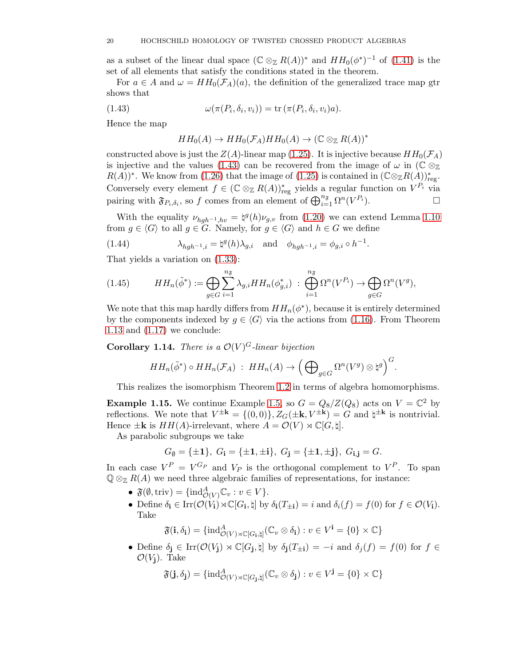as a subset of the linear dual space  $(\mathbb{C} \otimes_{\mathbb{Z}} R(A))^*$  and  $HH_0(\phi^*)^{-1}$  of  $(1.41)$  is the set of all elements that satisfy the conditions stated in the theorem.

For  $a \in A$  and  $\omega = HH_0(\mathcal{F}_A)(a)$ , the definition of the generalized trace map gtr shows that

(1.43) 
$$
\omega(\pi(P_i, \delta_i, v_i)) = \text{tr}(\pi(P_i, \delta_i, v_i)a).
$$

Hence the map

<span id="page-19-1"></span>
$$
HH_0(A) \to HH_0(\mathcal{F}_A)HH_0(A) \to (\mathbb{C} \otimes_{\mathbb{Z}} R(A))^*
$$

constructed above is just the  $Z(A)$ -linear map [\(1.25\)](#page-11-2). It is injective because  $HH_0(\mathcal{F}_A)$ is injective and the values [\(1.43\)](#page-19-1) can be recovered from the image of  $\omega$  in ( $\mathbb{C} \otimes_{\mathbb{Z}}$  $R(A))^*$ . We know from [\(1.26\)](#page-11-3) that the image of [\(1.25\)](#page-11-2) is contained in  $(\mathbb{C} \otimes_{\mathbb{Z}} R(A))_{reg}^*$ . Conversely every element  $f \in (\mathbb{C} \otimes_{\mathbb{Z}} R(A))^*_{reg}$  yields a regular function on  $V^{P_i}$  via pairing with  $\mathfrak{F}_{P_i,\delta_i}$ , so f comes from an element of  $\bigoplus_{i=1}^{n_{\mathfrak{F}}}\Omega^n(V)$  $P_i$ ).

With the equality  $\nu_{hgh^{-1},hv} = \frac{1}{2}(h)\nu_{g,v}$  from [\(1.20\)](#page-9-4) we can extend Lemma [1.10](#page-15-1) from  $g \in \langle G \rangle$  to all  $g \in G$ . Namely, for  $g \in \langle G \rangle$  and  $h \in G$  we define

<span id="page-19-2"></span>(1.44) 
$$
\lambda_{hgh^{-1},i} = \natural^g(h)\lambda_{g,i} \quad \text{and} \quad \phi_{hgh^{-1},i} = \phi_{g,i} \circ h^{-1}.
$$

That yields a variation on [\(1.33\)](#page-16-3):

<span id="page-19-3"></span>(1.45) 
$$
HH_n(\tilde{\phi}^*) := \bigoplus_{g \in G} \sum_{i=1}^{n_{\mathfrak{F}}} \lambda_{g,i} HH_n(\phi_{g,i}^*) \; : \; \bigoplus_{i=1}^{n_{\mathfrak{F}}} \Omega^n(V^{P_i}) \to \bigoplus_{g \in G} \Omega^n(V^g),
$$

We note that this map hardly differs from  $HH_n(\phi^*)$ , because it is entirely determined by the components indexed by  $g \in \langle G \rangle$  via the actions from [\(1.16\)](#page-9-1). From Theorem 1.13 and [\(1.17\)](#page-9-0) we conclude:

<span id="page-19-4"></span>**Corollary 1.14.** There is a  $\mathcal{O}(V)^G$ -linear bijection

$$
HH_n(\tilde{\phi}^*) \circ HH_n(\mathcal{F}_A) \; : \; HH_n(A) \to \left(\bigoplus\nolimits_{g \in G} \Omega^n(V^g) \otimes \natural^g\right)^G.
$$

This realizes the isomorphism Theorem [1.2](#page-6-0) in terms of algebra homomorphisms.

<span id="page-19-0"></span>**Example 1.15.** We continue Example [1.5,](#page-10-2) so  $G = Q_8/Z(Q_8)$  acts on  $V = \mathbb{C}^2$  by reflections. We note that  $V^{\pm \mathbf{k}} = \{(0,0)\}, Z_G(\pm \mathbf{k}, V^{\pm \mathbf{k}}) = G$  and  $\sharp^{\pm \mathbf{k}}$  is nontrivial. Hence  $\pm \mathbf{k}$  is  $HH(A)$ -irrelevant, where  $A = \mathcal{O}(V) \rtimes \mathbb{C}[G, \natural]$ .

As parabolic subgroups we take

$$
G_{\emptyset} = {\pm 1}, G_{i} = {\pm 1, \pm i}, G_{j} = {\pm 1, \pm j}, G_{i,j} = G.
$$

In each case  $V^P = V^{G_P}$  and  $V_P$  is the orthogonal complement to  $V^P$ . To span  $\mathbb{Q} \otimes_{\mathbb{Z}} R(A)$  we need three algebraic families of representations, for instance:

- $\mathfrak{F}(\emptyset, \text{triv}) = {\text{ind}_{\mathcal{O}(V)}^A} \mathbb{C}_v : v \in V$ .
- Define  $\delta_i \in \text{Irr}(\mathcal{O}(V_i) \rtimes \mathbb{C}[G_i, \natural]$  by  $\delta_i(T_{\pm i}) = i$  and  $\delta_i(f) = f(0)$  for  $f \in \mathcal{O}(V_i)$ . Take

 $\mathfrak{F}(\mathbf{i},\delta_{\mathbf{i}})=\{\mathrm{ind}_{\mathcal{O}(V)\rtimes\mathbb{C}[G_{\mathbf{i}},\natural]}^{A}(\mathbb{C}_{v}\otimes\delta_{\mathbf{i}}):v\in V^{\mathbf{i}}=\{0\}\times\mathbb{C}\}$ 

• Define  $\delta_j \in \text{Irr}(\mathcal{O}(V_j) \rtimes \mathbb{C}[G_j, \natural]$  by  $\delta_j(T_{\pm i}) = -i$  and  $\delta_j(f) = f(0)$  for  $f \in \mathcal{O}(\mathbb{C}[G_j, \natural])$  $\mathcal{O}(V_i)$ . Take

$$
\mathfrak{F}(\mathbf{j},\delta_{\mathbf{j}}) = {\rm ind}_{\mathcal{O}(V)\rtimes\mathbb{C}[G_{\mathbf{j}},\natural]}^A(\mathbb{C}_v\otimes\delta_{\mathbf{j}}): v\in V^{\mathbf{j}} = \{0\}\times\mathbb{C}\}
$$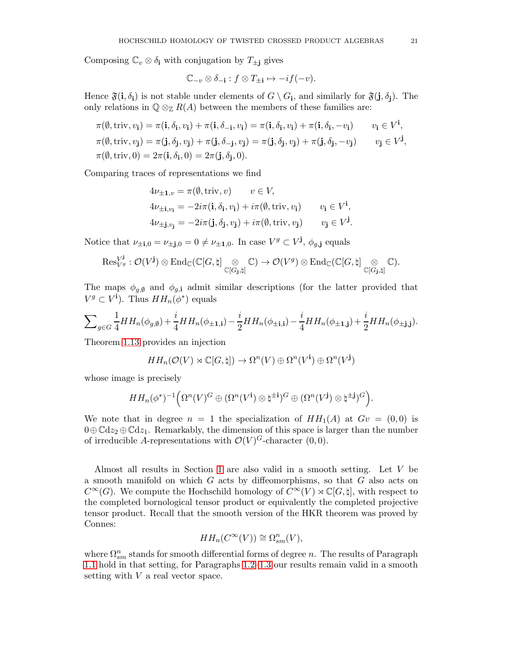Composing  $\mathbb{C}_v \otimes \delta_i$  with conjugation by  $T_{\pm i}$  gives

$$
\mathbb{C}_{-v}\otimes \delta_{-\mathbf{i}} : f\otimes T_{\pm\mathbf{i}} \mapsto -if(-v).
$$

Hence  $\mathfrak{F}(\mathbf{i}, \delta_{\mathbf{i}})$  is not stable under elements of  $G \setminus G_{\mathbf{i}}$ , and similarly for  $\mathfrak{F}(\mathbf{j}, \delta_{\mathbf{j}})$ . The only relations in  $\mathbb{Q} \otimes_{\mathbb{Z}} R(A)$  between the members of these families are:

$$
\pi(\emptyset, \text{triv}, v_i) = \pi(\mathbf{i}, \delta_{\mathbf{i}}, v_i) + \pi(\mathbf{i}, \delta_{-\mathbf{i}}, v_i) = \pi(\mathbf{i}, \delta_{\mathbf{i}}, v_i) + \pi(\mathbf{i}, \delta_{\mathbf{i}}, -v_i) \qquad v_i \in V^{\mathbf{i}},
$$
  
\n
$$
\pi(\emptyset, \text{triv}, v_j) = \pi(\mathbf{j}, \delta_{\mathbf{j}}, v_j) + \pi(\mathbf{j}, \delta_{-\mathbf{j}}, v_j) = \pi(\mathbf{j}, \delta_{\mathbf{j}}, v_j) + \pi(\mathbf{j}, \delta_{\mathbf{j}}, -v_j) \qquad v_j \in V^{\mathbf{j}},
$$
  
\n
$$
\pi(\emptyset, \text{triv}, 0) = 2\pi(\mathbf{i}, \delta_{\mathbf{i}}, 0) = 2\pi(\mathbf{j}, \delta_{\mathbf{j}}, 0).
$$

Comparing traces of representations we find

$$
4\nu_{\pm 1,v} = \pi(\emptyset, \text{triv}, v) \qquad v \in V,
$$
  
\n
$$
4\nu_{\pm i, v_i} = -2i\pi(i, \delta_i, v_i) + i\pi(\emptyset, \text{triv}, v_i) \qquad v_i \in V^i,
$$
  
\n
$$
4\nu_{\pm j, v_j} = -2i\pi(j, \delta_j, v_j) + i\pi(\emptyset, \text{triv}, v_j) \qquad v_j \in V^j.
$$

Notice that  $\nu_{\pm i,0} = \nu_{\pm j,0} = 0 \neq \nu_{\pm 1,0}$ . In case  $V^g \subset V^j$ ,  $\phi_{g,j}$  equals

$$
\mathrm{Res}^{V^{\mathbf{j}}}_{V^g}: \mathcal{O}(V^{\mathbf{j}}) \otimes \mathrm{End}_{\mathbb{C}}(\mathbb{C}[G,\natural] \underset{\mathbb{C}[G_{\mathbf{j}},\natural]}{\otimes} \mathbb{C}) \to \mathcal{O}(V^g) \otimes \mathrm{End}_{\mathbb{C}}(\mathbb{C}[G,\natural] \underset{\mathbb{C}[G_{\mathbf{j}},\natural]}{\otimes} \mathbb{C}).
$$

The maps  $\phi_{g,\emptyset}$  and  $\phi_{g,i}$  admit similar descriptions (for the latter provided that  $V^g \subset V^{\mathbf{i}}$ . Thus  $HH_n(\phi^*)$  equals

$$
\sum_{g \in G} \frac{1}{4} H H_n(\phi_{g,\emptyset}) + \frac{i}{4} H H_n(\phi_{\pm 1,i}) - \frac{i}{2} H H_n(\phi_{\pm i,i}) - \frac{i}{4} H H_n(\phi_{\pm 1,j}) + \frac{i}{2} H H_n(\phi_{\pm j,j}).
$$

Theorem 1.13 provides an injection

$$
HH_n(\mathcal{O}(V) \rtimes \mathbb{C}[G,\natural]) \to \Omega^n(V) \oplus \Omega^n(V^{\mathbf{i}}) \oplus \Omega^n(V^{\mathbf{j}})
$$

whose image is precisely

$$
HH_n(\phi^*)^{-1}\Big(\Omega^n(V)^G\oplus (\Omega^n(V^{\mathbf{i}})\otimes \natural^{\pm \mathbf{i}})^G\oplus (\Omega^n(V^{\mathbf{j}})\otimes \natural^{\pm \mathbf{j}})^G\Big).
$$

We note that in degree  $n = 1$  the specialization of  $HH_1(A)$  at  $Gv = (0,0)$  is  $0 \oplus \mathbb{C} \mathrm{d}z_2 \oplus \mathbb{C} \mathrm{d}z_1$ . Remarkably, the dimension of this space is larger than the number of irreducible A-representations with  $\mathcal{O}(V)^G$ -character  $(0,0)$ .

Almost all results in Section [1](#page-5-0) are also valid in a smooth setting. Let V be a smooth manifold on which G acts by diffeomorphisms, so that G also acts on  $C^{\infty}(G)$ . We compute the Hochschild homology of  $C^{\infty}(V) \rtimes \mathbb{C}[G, \natural]$ , with respect to the completed bornological tensor product or equivalently the completed projective tensor product. Recall that the smooth version of the HKR theorem was proved by Connes:

$$
HH_n(C^{\infty}(V)) \cong \Omega_{sm}^n(V),
$$

where  $\Omega_{sm}^n$  stands for smooth differential forms of degree n. The results of Paragraph [1.1](#page-5-1) hold in that setting, for Paragraphs [1.2–](#page-11-0)[1.3](#page-15-0) our results remain valid in a smooth setting with  $V$  a real vector space.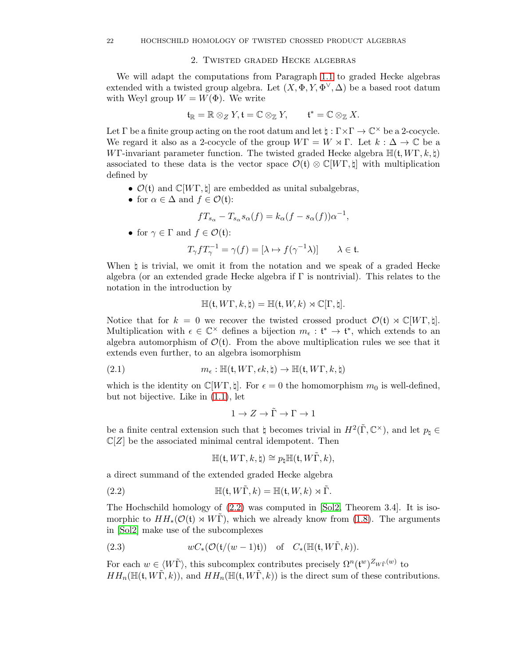## 2. Twisted graded Hecke algebras

<span id="page-21-0"></span>We will adapt the computations from Paragraph [1.1](#page-5-1) to graded Hecke algebras extended with a twisted group algebra. Let  $(X, \Phi, Y, \Phi^{\vee}, \Delta)$  be a based root datum with Weyl group  $W = W(\Phi)$ . We write

$$
\mathfrak{t}_{\mathbb{R}}=\mathbb{R}\otimes_ZY, \mathfrak{t}=\mathbb{C}\otimes_{\mathbb{Z}}Y, \qquad \mathfrak{t}^*=\mathbb{C}\otimes_{\mathbb{Z}}X.
$$

Let  $\Gamma$  be a finite group acting on the root datum and let  $\natural : \Gamma \times \Gamma \to \mathbb{C}^\times$  be a 2-cocycle. We regard it also as a 2-cocycle of the group  $W\Gamma = W \rtimes \Gamma$ . Let  $k : \Delta \to \mathbb{C}$  be a WΓ-invariant parameter function. The twisted graded Hecke algebra  $\mathbb{H}(\mathfrak{t}, W\Gamma, k, \mathfrak{h})$ associated to these data is the vector space  $\mathcal{O}(\mathfrak{t}) \otimes \mathbb{C}[W\Gamma, \natural]$  with multiplication defined by

- $\mathcal{O}(t)$  and  $\mathbb{C}[W\Gamma, \natural]$  are embedded as unital subalgebras,
- for  $\alpha \in \Delta$  and  $f \in \mathcal{O}(\mathfrak{t})$ :

$$
fT_{s_{\alpha}} - T_{s_{\alpha}} s_{\alpha}(f) = k_{\alpha}(f - s_{\alpha}(f))\alpha^{-1},
$$

• for  $\gamma \in \Gamma$  and  $f \in \mathcal{O}(\mathfrak{t})$ :

$$
T_{\gamma} f T_{\gamma}^{-1} = \gamma(f) = [\lambda \mapsto f(\gamma^{-1} \lambda)] \qquad \lambda \in \mathfrak{t}.
$$

When ♮ is trivial, we omit it from the notation and we speak of a graded Hecke algebra (or an extended grade Hecke algebra if  $\Gamma$  is nontrivial). This relates to the notation in the introduction by

$$
\mathbb{H}(\mathfrak{t},W\Gamma,k,\natural)=\mathbb{H}(\mathfrak{t},W,k)\rtimes\mathbb{C}[\Gamma,\natural].
$$

Notice that for  $k = 0$  we recover the twisted crossed product  $\mathcal{O}(\mathfrak{t}) \rtimes \mathbb{C}[W\Gamma, \sharp].$ Multiplication with  $\epsilon \in \mathbb{C}^\times$  defines a bijection  $m_{\epsilon} : \mathfrak{t}^* \to \mathfrak{t}^*$ , which extends to an algebra automorphism of  $\mathcal{O}(t)$ . From the above multiplication rules we see that it extends even further, to an algebra isomorphism

(2.1) 
$$
m_{\epsilon} : \mathbb{H}(\mathfrak{t}, W\Gamma, \epsilon k, \natural) \to \mathbb{H}(\mathfrak{t}, W\Gamma, k, \natural)
$$

which is the identity on  $\mathbb{C}[W\Gamma, \natural]$ . For  $\epsilon = 0$  the homomorphism  $m_0$  is well-defined, but not bijective. Like in [\(1.1\)](#page-5-3), let

<span id="page-21-2"></span>
$$
1 \to Z \to \tilde{\Gamma} \to \Gamma \to 1
$$

be a finite central extension such that  $\natural$  becomes trivial in  $H^2(\tilde{\Gamma}, \mathbb{C}^\times)$ , and let  $p_\natural \in \mathbb{C}$  $\mathbb{C}[Z]$  be the associated minimal central idempotent. Then

<span id="page-21-1"></span>
$$
\mathbb{H}(\mathfrak{t},W\Gamma,k,\natural)\cong p_{\natural}\mathbb{H}(\mathfrak{t},W\tilde{\Gamma},k),
$$

a direct summand of the extended graded Hecke algebra

(2.2) 
$$
\mathbb{H}(\mathfrak{t}, W\tilde{\Gamma}, k) = \mathbb{H}(\mathfrak{t}, W, k) \rtimes \tilde{\Gamma}.
$$

The Hochschild homology of [\(2.2\)](#page-21-1) was computed in [\[Sol2,](#page-35-6) Theorem 3.4]. It is isomorphic to  $HH_*(\mathcal{O}(\mathfrak{t}) \rtimes W\Gamma)$ , which we already know from [\(1.8\)](#page-7-0). The arguments in [\[Sol2\]](#page-35-6) make use of the subcomplexes

(2.3) 
$$
wC_*(\mathcal{O}(\mathfrak{t}/(w-1)\mathfrak{t})) \quad \text{of} \quad C_*(\mathbb{H}(\mathfrak{t}, W\tilde{\Gamma}, k)).
$$

For each  $w \in \langle W\tilde{\Gamma} \rangle$ , this subcomplex contributes precisely  $\Omega^n(\mathfrak{t}^w)^{Z_{W\tilde{\Gamma}}(w)}$  to  $HH_n(\mathbb{H}(\mathfrak{t}, W\Gamma, k))$ , and  $HH_n(\mathbb{H}(\mathfrak{t}, W\Gamma, k))$  is the direct sum of these contributions.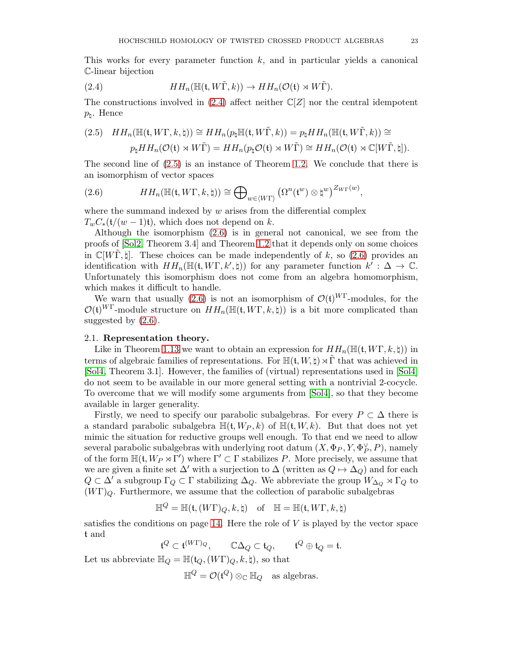This works for every parameter function  $k$ , and in particular yields a canonical C-linear bijection

<span id="page-22-2"></span>(2.4) 
$$
HH_n(\mathbb{H}(\mathfrak{t}, W\tilde{\Gamma}, k)) \to HH_n(\mathcal{O}(\mathfrak{t}) \rtimes W\tilde{\Gamma}).
$$

The constructions involved in [\(2.4\)](#page-22-2) affect neither  $\mathbb{C}[Z]$  nor the central idempotent  $p_{\natural}$ . Hence

<span id="page-22-3"></span>
$$
(2.5) \quad HH_n(\mathbb{H}(\mathfrak{t}, W\Gamma, k, \natural)) \cong HH_n(p_\natural \mathbb{H}(\mathfrak{t}, W\tilde{\Gamma}, k)) = p_\natural HH_n(\mathbb{H}(\mathfrak{t}, W\tilde{\Gamma}, k)) \cong
$$

$$
p_\natural HH_n(\mathcal{O}(\mathfrak{t}) \rtimes W\tilde{\Gamma}) = HH_n(p_\natural \mathcal{O}(\mathfrak{t}) \rtimes W\tilde{\Gamma}) \cong HH_n(\mathcal{O}(\mathfrak{t}) \rtimes \mathbb{C}[W\tilde{\Gamma}, \natural]).
$$

The second line of [\(2.5\)](#page-22-3) is an instance of Theorem [1.2.](#page-6-0) We conclude that there is an isomorphism of vector spaces

<span id="page-22-1"></span>(2.6) 
$$
HH_n(\mathbb{H}(\mathfrak{t}, W\Gamma, k, \natural)) \cong \bigoplus_{w \in \langle W\Gamma \rangle} \left(\Omega^n(\mathfrak{t}^w) \otimes \natural^w\right)^{Z_{W\Gamma}(w)},
$$

where the summand indexed by  $w$  arises from the differential complex  $T_wC_*(t/(w-1)t)$ , which does not depend on k.

Although the isomorphism [\(2.6\)](#page-22-1) is in general not canonical, we see from the proofs of [\[Sol2,](#page-35-6) Theorem 3.4] and Theorem [1.2](#page-6-0) that it depends only on some choices in  $\mathbb{C}[W\Gamma,\natural]$ . These choices can be made independently of k, so [\(2.6\)](#page-22-1) provides an identification with  $HH_n(\mathbb{H}(\mathfrak{t}, W\Gamma, k', \natural))$  for any parameter function  $k' : \Delta \to \mathbb{C}$ . Unfortunately this isomorphism does not come from an algebra homomorphism, which makes it difficult to handle.

We warn that usually [\(2.6\)](#page-22-1) is not an isomorphism of  $\mathcal{O}(\mathfrak{t})^{W\Gamma}$ -modules, for the  $\mathcal{O}(\mathfrak{t})^{W\Gamma}$ -module structure on  $HH_n(\mathbb{H}(\mathfrak{t}, W\Gamma, k, \natural))$  is a bit more complicated than suggested by  $(2.6)$ .

## <span id="page-22-0"></span>2.1. Representation theory.

Like in Theorem 1.13 we want to obtain an expression for  $HH_n(\mathbb{H}(\mathfrak{t}, W\Gamma, k, \natural))$  in terms of algebraic families of representations. For  $\mathbb{H}(\mathfrak{t}, W, \mathfrak{h}) \rtimes \tilde{\Gamma}$  that was achieved in [\[Sol4,](#page-35-7) Theorem 3.1]. However, the families of (virtual) representations used in [\[Sol4\]](#page-35-7) do not seem to be available in our more general setting with a nontrivial 2-cocycle. To overcome that we will modify some arguments from [\[Sol4\]](#page-35-7), so that they become available in larger generality.

Firstly, we need to specify our parabolic subalgebras. For every  $P \subset \Delta$  there is a standard parabolic subalgebra  $\mathbb{H}(\mathfrak{t}, W_P, k)$  of  $\mathbb{H}(\mathfrak{t}, W, k)$ . But that does not yet mimic the situation for reductive groups well enough. To that end we need to allow several parabolic subalgebras with underlying root datum  $(X, \Phi_P, Y, \Phi_P^{\vee}, P)$ , namely of the form  $\mathbb{H}(\mathfrak{t}, W_P \rtimes \Gamma')$  where  $\Gamma' \subset \Gamma$  stabilizes P. More precisely, we assume that we are given a finite set  $\Delta'$  with a surjection to  $\Delta$  (written as  $Q \mapsto \Delta_Q$ ) and for each  $Q \subset \Delta'$  a subgroup  $\Gamma_Q \subset \Gamma$  stabilizing  $\Delta_Q$ . We abbreviate the group  $W_{\Delta_Q} \rtimes \Gamma_Q$  to  $(W\Gamma)_{\mathcal{Q}}$ . Furthermore, we assume that the collection of parabolic subalgebras

$$
\mathbb{H}^Q=\mathbb{H}(\mathfrak{t},(W\Gamma)_Q,k,\natural) \quad \text{of}\quad \mathbb{H}=\mathbb{H}(\mathfrak{t},W\Gamma,k,\natural)
$$

satisfies the conditions on page  $14$ . Here the role of V is played by the vector space t and

 $\mathfrak{t}^Q \subset \mathfrak{t}^{(W\Gamma)Q}, \qquad \mathbb{C}\Delta_Q \subset \mathfrak{t}_Q, \qquad \mathfrak{t}^Q \oplus \mathfrak{t}_Q = \mathfrak{t}.$ 

Let us abbreviate  $\mathbb{H}_Q = \mathbb{H}(\mathfrak{t}_Q,(W\Gamma)_Q,k,\natural)$ , so that

 $\mathbb{H}^Q = \mathcal{O}(\mathfrak{t}^Q) \otimes_{\mathbb{C}} \mathbb{H}_Q$  as algebras.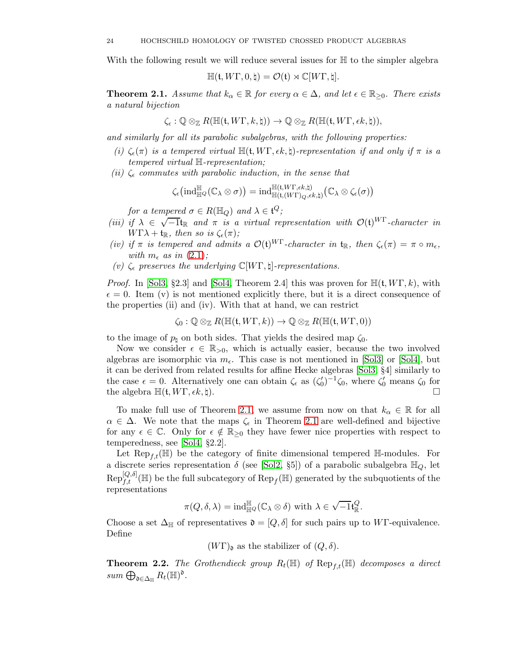With the following result we will reduce several issues for  $\mathbb H$  to the simpler algebra

$$
\mathbb{H}(\mathfrak{t},W\Gamma,0,\natural)=\mathcal{O}(\mathfrak{t})\rtimes\mathbb{C}[W\Gamma,\natural].
$$

<span id="page-23-1"></span>**Theorem 2.1.** Assume that  $k_{\alpha} \in \mathbb{R}$  for every  $\alpha \in \Delta$ , and let  $\epsilon \in \mathbb{R}_{\geq 0}$ . There exists a natural bijection

$$
\zeta_{\epsilon} : \mathbb{Q} \otimes_{\mathbb{Z}} R(\mathbb{H}(\mathfrak{t}, W\Gamma, k, \natural)) \to \mathbb{Q} \otimes_{\mathbb{Z}} R(\mathbb{H}(\mathfrak{t}, W\Gamma, \epsilon k, \natural)),
$$

and similarly for all its parabolic subalgebras, with the following properties:

- (i)  $\zeta_{\epsilon}(\pi)$  is a tempered virtual  $\mathbb{H}(\mathfrak{t}, W\Gamma, \epsilon k, \mathfrak{t})$ -representation if and only if  $\pi$  is a tempered virtual H-representation;
- (ii)  $\zeta_{\epsilon}$  commutes with parabolic induction, in the sense that

$$
\zeta_{\epsilon}\big( \mathrm{ind}_{\mathbb{H}^Q}^{\mathbb{H}}(\mathbb{C}_{\lambda} \otimes \sigma) \big) = \mathrm{ind}_{\mathbb{H}(\mathfrak{t}, (W\Gamma), \epsilon k, \natural)}^{\mathbb{H}(\mathfrak{t}, (W\Gamma), \epsilon k, \natural)}(\mathbb{C}_{\lambda} \otimes \zeta_{\epsilon}(\sigma))
$$

for a tempered  $\sigma \in R(\mathbb{H}_Q)$  and  $\lambda \in \mathfrak{t}^Q$ ;

- (iii) if  $\lambda \in \sqrt{-1}$ t<sub>R</sub> and  $\pi$  is a virtual representation with  $\mathcal{O}(t)^{W\Gamma}$ -character in  $W\Gamma\lambda + \mathfrak{t}_{\mathbb{R}}$ , then so is  $\zeta_{\epsilon}(\pi)$ ;
- (iv) if  $\pi$  is tempered and admits a  $\mathcal{O}(\mathfrak{t})^{W\Gamma}$ -character in  $\mathfrak{t}_{\mathbb{R}}$ , then  $\zeta_{\epsilon}(\pi) = \pi \circ m_{\epsilon}$ , with  $m_{\epsilon}$  as in [\(2.1\)](#page-21-2);
- (v)  $\zeta_{\epsilon}$  preserves the underlying  $\mathbb{C}[W\Gamma,\natural]$ -representations.

*Proof.* In [\[Sol3,](#page-35-15) §2.3] and [\[Sol4,](#page-35-7) Theorem 2.4] this was proven for  $\mathbb{H}(\mathfrak{t}, W\Gamma, k)$ , with  $\epsilon = 0$ . Item (v) is not mentioned explicitly there, but it is a direct consequence of the properties (ii) and (iv). With that at hand, we can restrict

$$
\zeta_0 : \mathbb{Q} \otimes_{\mathbb{Z}} R(\mathbb{H}(\mathfrak{t}, W\Gamma, k)) \to \mathbb{Q} \otimes_{\mathbb{Z}} R(\mathbb{H}(\mathfrak{t}, W\Gamma, 0))
$$

to the image of  $p_1$  on both sides. That yields the desired map  $\zeta_0$ .

Now we consider  $\epsilon \in \mathbb{R}_{>0}$ , which is actually easier, because the two involved algebras are isomorphic via  $m_{\epsilon}$ . This case is not mentioned in [\[Sol3\]](#page-35-15) or [\[Sol4\]](#page-35-7), but it can be derived from related results for affine Hecke algebras [\[Sol3,](#page-35-15) §4] similarly to the case  $\epsilon = 0$ . Alternatively one can obtain  $\zeta_{\epsilon}$  as  $(\zeta'_{0})^{-1}\zeta_{0}$ , where  $\zeta'_{0}$  means  $\zeta_{0}$  for the algebra  $\mathbb{H}(\mathfrak{t}, W\Gamma, \epsilon k, \natural).$ 

To make full use of Theorem [2.1,](#page-23-1) we assume from now on that  $k_{\alpha} \in \mathbb{R}$  for all  $\alpha \in \Delta$ . We note that the maps  $\zeta_{\epsilon}$  in Theorem [2.1](#page-23-1) are well-defined and bijective for any  $\epsilon \in \mathbb{C}$ . Only for  $\epsilon \notin \mathbb{R}_{\geq 0}$  they have fewer nice properties with respect to temperedness, see [\[Sol4,](#page-35-7) §2.2].

Let  $\text{Rep}_{f}(\mathbb{H})$  be the category of finite dimensional tempered  $\mathbb{H}$ -modules. For a discrete series representation  $\delta$  (see [\[Sol2,](#page-35-6) §5]) of a parabolic subalgebra  $\mathbb{H}_Q$ , let  $Rep_{f,t}^{[Q, \delta]}(\mathbb{H})$  be the full subcategory of  $Rep_f(\mathbb{H})$  generated by the subquotients of the representations

$$
\pi(Q,\delta,\lambda)=\mathrm{ind}_{{\mathbb{H}^Q}}^{{\mathbb{H}}}(\mathbb{C}_\lambda\otimes\delta)\ \mathrm{with}\ \lambda\in\sqrt{-1}\mathfrak{t}^Q_{\mathbb{R}}.
$$

Choose a set  $\Delta_{\mathbb{H}}$  of representatives  $\mathfrak{d} = [Q, \delta]$  for such pairs up to WF-equivalence. Define

 $(W\Gamma)_{\mathfrak{d}}$  as the stabilizer of  $(Q, \delta)$ .

<span id="page-23-0"></span>**Theorem 2.2.** The Grothendieck group  $R_t(\mathbb{H})$  of  $\text{Rep}_{t,t}(\mathbb{H})$  decomposes a direct  $sum \bigoplus_{\mathfrak{d} \in \Delta_{\mathbb{H}}} R_t(\mathbb{H})^{\mathfrak{d}}.$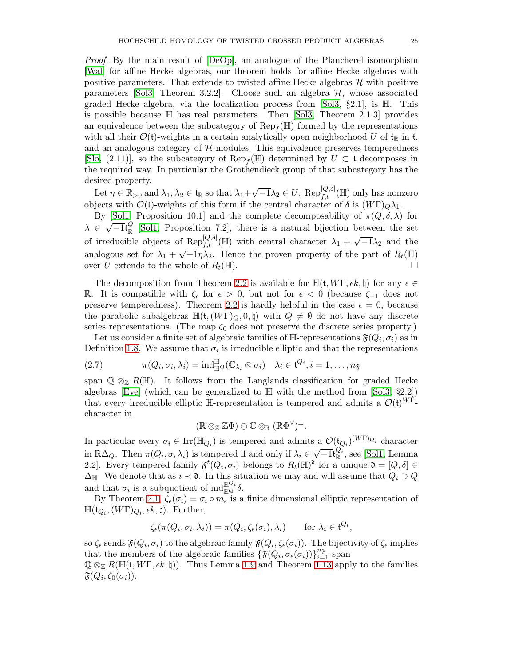Proof. By the main result of [\[DeOp\]](#page-35-16), an analogue of the Plancherel isomorphism [\[Wal\]](#page-35-17) for affine Hecke algebras, our theorem holds for affine Hecke algebras with positive parameters. That extends to twisted affine Hecke algebras  $H$  with positive parameters [\[Sol3,](#page-35-15) Theorem 3.2.2]. Choose such an algebra  $H$ , whose associated graded Hecke algebra, via the localization process from [\[Sol3,](#page-35-15) §2.1], is H. This is possible because  $\mathbb H$  has real parameters. Then [\[Sol3,](#page-35-15) Theorem 2.1.3] provides an equivalence between the subcategory of  $\text{Rep}_f(\mathbb{H})$  formed by the representations with all their  $\mathcal{O}(t)$ -weights in a certain analytically open neighborhood U of  $t_{\mathbb{R}}$  in t, and an analogous category of  $H$ -modules. This equivalence preserves temperedness [\[Slo,](#page-35-18) (2.11)], so the subcategory of  $\text{Rep}_f(\mathbb{H})$  determined by  $U \subset \mathfrak{t}$  decomposes in the required way. In particular the Grothendieck group of that subcategory has the desired property.

Let  $\eta \in \mathbb{R}_{>0}$  and  $\lambda_1, \lambda_2 \in \mathfrak{t}_{\mathbb{R}}$  so that  $\lambda_1 + \sqrt{-1} \lambda_2 \in U$ . Rep $_{f,t}^{[Q, \delta]}$ ( $\mathbb{H}$ ) only has nonzero objects with  $\mathcal{O}(\mathfrak{t})$ -weights of this form if the central character of  $\delta$  is  $(W\Gamma)_{\mathcal{O}}\lambda_1$ .

By [\[Sol1,](#page-35-19) Proposition 10.1] and the complete decomposability of  $\pi(Q, \delta, \lambda)$  for  $\lambda \in \sqrt{-1} \mathfrak{t}_{\mathbb{R}}^{Q}$  $\frac{\infty}{\infty}$  [\[Sol1,](#page-35-19) Proposition 7.2], there is a natural bijection between the set of irreducible objects of Rep<sup>[Q,δ]</sup>( $\mathbb{H}$ ) with central character  $\lambda_1 + \sqrt{-1}\lambda_2$  and the analogous set for  $\lambda_1 + \sqrt{-1}\eta \lambda_2$ . Hence the proven property of the part of  $R_t(\mathbb{H})$ over U extends to the whole of  $R_t(\mathbb{H})$ .

The decomposition from Theorem [2.2](#page-23-0) is available for  $\mathbb{H}(\mathfrak{t}, W\Gamma, \epsilon k, \sharp)$  for any  $\epsilon \in$ R. It is compatible with  $\zeta_{\epsilon}$  for  $\epsilon > 0$ , but not for  $\epsilon < 0$  (because  $\zeta_{-1}$  does not preserve temperedness). Theorem [2.2](#page-23-0) is hardly helpful in the case  $\epsilon = 0$ , because the parabolic subalgebras  $\mathbb{H}(\mathfrak{t},(W\Gamma)_{Q},0,\natural)$  with  $Q \neq \emptyset$  do not have any discrete series representations. (The map  $\zeta_0$  does not preserve the discrete series property.)

Let us consider a finite set of algebraic families of  $\mathbb{H}$ -representations  $\mathfrak{F}(Q_i, \sigma_i)$  as in Definition [1.8.](#page-13-3) We assume that  $\sigma_i$  is irreducible elliptic and that the representations

(2.7) 
$$
\pi(Q_i, \sigma_i, \lambda_i) = \mathrm{ind}_{\mathbb{H}^Q}^{\mathbb{H}}(\mathbb{C}_{\lambda_i} \otimes \sigma_i) \quad \lambda_i \in \mathfrak{t}^{Q_i}, i = 1, \dots, n_{\mathfrak{F}}
$$

span  $\mathbb{Q} \otimes_{\mathbb{Z}} R(\mathbb{H})$ . It follows from the Langlands classification for graded Hecke algebras [\[Eve\]](#page-35-20) (which can be generalized to  $\mathbb{H}$  with the method from [\[Sol3,](#page-35-15) §2.2]) that every irreducible elliptic H-representation is tempered and admits a  $\mathcal{O}(\mathfrak{t})^{W\Gamma}$ character in

$$
(\mathbb{R} \otimes_{\mathbb{Z}} \mathbb{Z} \Phi) \oplus \mathbb{C} \otimes_{\mathbb{R}} (\mathbb{R} \Phi^{\vee})^{\perp}.
$$

In particular every  $\sigma_i \in \text{Irr}(\mathbb{H}_{Q_i})$  is tempered and admits a  $\mathcal{O}(\mathfrak{t}_{Q_i})^{(W\Gamma)_{Q_i}}$ -character in  $\mathbb{R}\Delta_Q$ . Then  $\pi(Q_i, \sigma, \lambda_i)$  is tempered if and only if  $\lambda_i \in \sqrt{-1}$  $\frac{Q_i}{\mathbb{R}}$ , see [\[Sol1,](#page-35-19) Lemma 2.2. Every tempered family  $\mathfrak{F}^t(Q_i, \sigma_i)$  belongs to  $R_t(\mathbb{H})^{\mathfrak{d}}$  for a unique  $\mathfrak{d} = [Q, \delta] \in$  $\Delta_{\mathbb{H}}$ . We denote that as  $i \prec \mathfrak{d}$ . In this situation we may and will assume that  $Q_i \supset Q$ and that  $\sigma_i$  is a subquotient of ind $\mathbb{H}^{\mathbb{Q}_i}_{\mathbb{H}}\delta$ .

By Theorem [2.1,](#page-23-1)  $\zeta_{\epsilon}(\sigma_i) = \sigma_i \circ m_{\epsilon}$  is a finite dimensional elliptic representation of  $\mathbb{H}(\mathfrak{t}_{Q_i}, (W\Gamma)_{Q_i}, \epsilon k, \natural)$ . Further,

$$
\zeta_{\epsilon}(\pi(Q_i,\sigma_i,\lambda_i)) = \pi(Q_i,\zeta_{\epsilon}(\sigma_i),\lambda_i) \quad \text{for } \lambda_i \in \mathfrak{t}^{Q_i},
$$

so  $\zeta_\epsilon$  sends  $\mathfrak{F}(Q_i,\sigma_i)$  to the algebraic family  $\mathfrak{F}(Q_i,\zeta_\epsilon(\sigma_i))$ . The bijectivity of  $\zeta_\epsilon$  implies that the members of the algebraic families  $\{\mathfrak{F}(Q_i, \sigma_{\epsilon}(\sigma_i))\}_{i=1}^{n_{\mathfrak{F}}}$  span  $\mathbb{Q} \otimes_{\mathbb{Z}} R(\mathbb{H}(\mathfrak{t}, W\Gamma, \epsilon k, \natural))$ . Thus Lemma [1.9](#page-13-2) and Theorem 1.13 apply to the families  $\mathfrak{F}(Q_i,\zeta_0(\sigma_i)).$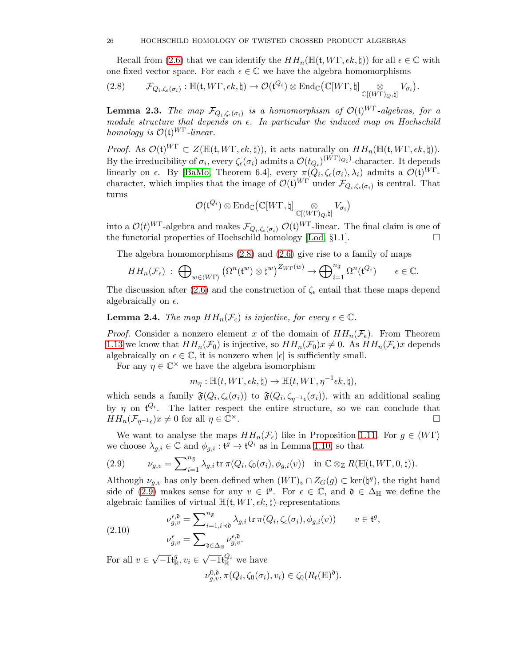Recall from [\(2.6\)](#page-22-1) that we can identify the  $HH_n(\mathbb{H}(\mathfrak{t}, W\Gamma, \epsilon k, \natural))$  for all  $\epsilon \in \mathbb{C}$  with one fixed vector space. For each  $\epsilon \in \mathbb{C}$  we have the algebra homomorphisms

.

<span id="page-25-0"></span>
$$
(2.8) \qquad \mathcal{F}_{Q_i,\zeta_{\epsilon}(\sigma_i)} : \mathbb{H}(\mathfrak{t},W\Gamma,\epsilon k,\natural) \to \mathcal{O}(\mathfrak{t}^{Q_i}) \otimes \mathrm{End}_{\mathbb{C}}(\mathbb{C}[W\Gamma,\natural] \underset{\mathbb{C}[(W\Gamma)_{Q},\natural]}{\otimes} V_{\sigma_i})
$$

<span id="page-25-3"></span>**Lemma 2.3.** The map  $\mathcal{F}_{Q_i,\zeta_{\epsilon}(\sigma_i)}$  is a homomorphism of  $\mathcal{O}(\mathfrak{t})^{W\Gamma}$ -algebras, for a module structure that depends on  $\epsilon$ . In particular the induced map on Hochschild homology is  $\mathcal{O}(\mathfrak{t})^{W\Gamma}$ -linear.

Proof. As  $\mathcal{O}(\mathfrak{t})^{W\Gamma} \subset Z(\mathbb{H}(\mathfrak{t}, W\Gamma, \epsilon k, \natural)),$  it acts naturally on  $HH_n(\mathbb{H}(\mathfrak{t}, W\Gamma, \epsilon k, \natural)).$ By the irreducibility of  $\sigma_i$ , every  $\zeta_{\epsilon}(\sigma_i)$  admits a  $\mathcal{O}(t_{Q_i})^{(WT)_{Q_i}}$ -character. It depends linearly on  $\epsilon$ . By [\[BaMo,](#page-35-21) Theorem 6.4], every  $\pi(Q_i, \zeta_{\epsilon}(\sigma_i), \lambda_i)$  admits a  $\mathcal{O}(\mathfrak{t})^{WT}$ character, which implies that the image of  $\mathcal{O}(\mathfrak{t})^{W\Gamma}$  under  $\mathcal{F}_{Q_i,\zeta_{\epsilon}(\sigma_i)}$  is central. That turns

$$
\mathcal{O}(\mathfrak{t}^{Q_i}) \otimes \mathrm{End}_{\mathbb{C}}\big(\mathbb{C}[W\Gamma,\natural] \underset{\mathbb{C}[(W\Gamma)_Q,\natural]}{\otimes} V_{\sigma_i}\big)
$$

into a  $\mathcal{O}(t)^{W\Gamma}$ -algebra and makes  $\mathcal{F}_{Q_i,\zeta_{\epsilon}(\sigma_i)} \mathcal{O}(\epsilon)^{W\Gamma}$ -linear. The final claim is one of the functorial properties of Hochschild homology [Lod. 81.1]. the functorial properties of Hochschild homology [\[Lod,](#page-35-14) §1.1].

The algebra homomorphisms [\(2.8\)](#page-25-0) and [\(2.6\)](#page-22-1) give rise to a family of maps

$$
HH_n(\mathcal{F}_{\epsilon}) \; : \; \bigoplus\nolimits_{w \in \langle W\Gamma \rangle} \left( \Omega^n(\mathfrak{t}^w) \otimes \mathfrak{t}^w \right)^{Z_{W\Gamma}(w)} \to \bigoplus\nolimits_{i=1}^{n_{\mathfrak{F}}} \Omega^n(\mathfrak{t}^{Q_i}) \qquad \epsilon \in \mathbb{C}.
$$

The discussion after [\(2.6\)](#page-22-1) and the construction of  $\zeta_{\epsilon}$  entail that these maps depend algebraically on  $\epsilon$ .

<span id="page-25-4"></span>**Lemma 2.4.** The map  $HH_n(\mathcal{F}_{\epsilon})$  is injective, for every  $\epsilon \in \mathbb{C}$ .

*Proof.* Consider a nonzero element x of the domain of  $HH_n(\mathcal{F}_{\epsilon})$ . From Theorem 1.13 we know that  $HH_n(\mathcal{F}_0)$  is injective, so  $HH_n(\mathcal{F}_0)x \neq 0$ . As  $HH_n(\mathcal{F}_\epsilon)x$  depends algebraically on  $\epsilon \in \mathbb{C}$ , it is nonzero when  $|\epsilon|$  is sufficiently small.

For any  $\eta \in \mathbb{C}^{\times}$  we have the algebra isomorphism

$$
m_{\eta} : \mathbb{H}(t, W\Gamma, \epsilon k, \natural) \to \mathbb{H}(t, W\Gamma, \eta^{-1}\epsilon k, \natural),
$$

which sends a family  $\mathfrak{F}(Q_i,\zeta_{\epsilon}(\sigma_i))$  to  $\mathfrak{F}(Q_i,\zeta_{\eta^{-1}\epsilon}(\sigma_i))$ , with an additional scaling by  $\eta$  on  $\mathfrak{t}^{Q_i}$ . The latter respect the entire structure, so we can conclude that  $HH_n(\mathcal{F}_{\eta^{-1}\epsilon})x \neq 0$  for all  $\eta \in \mathbb{C}$  $\times$ .

We want to analyse the maps  $HH_n(\mathcal{F}_{\epsilon})$  like in Proposition [1.11.](#page-16-2) For  $g \in \langle W\Gamma \rangle$ we choose  $\lambda_{g,i} \in \mathbb{C}$  and  $\phi_{g,i} : \mathfrak{t}^g \to \mathfrak{t}^{Q_i}$  as in Lemma [1.10,](#page-15-1) so that

<span id="page-25-1"></span>(2.9) 
$$
\nu_{g,v} = \sum_{i=1}^{n_{\mathfrak{F}}} \lambda_{g,i} \operatorname{tr} \pi(Q_i, \zeta_0(\sigma_i), \phi_{g,i}(v)) \quad \text{in } \mathbb{C} \otimes_{\mathbb{Z}} R(\mathbb{H}(\mathfrak{t}, W\Gamma, 0, \natural)).
$$

Although  $\nu_{g,v}$  has only been defined when  $(W\Gamma)_v \cap Z_G(g) \subset \ker(\natural^g)$ , the right hand side of [\(2.9\)](#page-25-1) makes sense for any  $v \in \mathfrak{t}^g$ . For  $\epsilon \in \mathbb{C}$ , and  $\mathfrak{d} \in \Delta_{\mathbb{H}}$  we define the algebraic families of virtual  $\mathbb{H}(\mathfrak{t}, W\Gamma, \epsilon k, \mathfrak{h})$ -representations

<span id="page-25-2"></span>(2.10) 
$$
\nu_{g,v}^{\epsilon,0} = \sum_{i=1, i \prec 0}^{n_{\mathfrak{F}}} \lambda_{g,i} \operatorname{tr} \pi(Q_i, \zeta_{\epsilon}(\sigma_i), \phi_{g,i}(v)) \qquad v \in \mathfrak{t}^g,
$$

$$
\nu_{g,v}^{\epsilon} = \sum_{\mathfrak{d} \in \Delta_{\mathbb{H}}} \nu_{g,v}^{\epsilon,0}.
$$

For all  $v \in \sqrt{-1} \mathfrak{t}_{\mathbb{R}}^g$  $\mathcal{L}_\mathbb{R}^g, v_i \in \sqrt{-1} \mathfrak{t}_\mathbb{R}^{Q_i}$  we have  $\nu_{g,v}^{0,0}, \pi(Q_i, \zeta_0(\sigma_i), v_i) \in \zeta_0(R_t(\mathbb{H})^0).$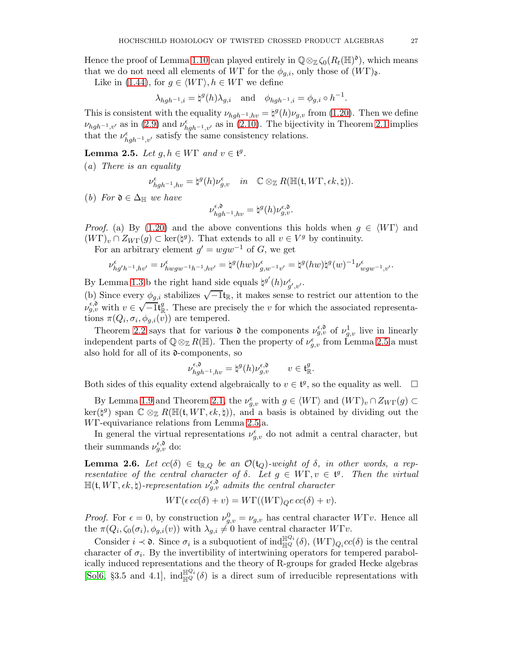Hence the proof of Lemma [1.10](#page-15-1) can played entirely in  $\mathbb{Q} \otimes_{\mathbb{Z}} \zeta_0(R_t(\mathbb{H})^{\mathfrak{d}})$ , which means that we do not need all elements of WΓ for the  $\phi_{q,i}$ , only those of  $(W\Gamma)_{\mathfrak{d}}$ .

Like in [\(1.44\)](#page-19-2), for  $g \in \langle W\Gamma \rangle, h \in W\Gamma$  we define

$$
\lambda_{hgh^{-1},i} = \natural^g(h)\lambda_{g,i} \quad \text{and} \quad \phi_{hgh^{-1},i} = \phi_{g,i} \circ h^{-1}.
$$

This is consistent with the equality  $\nu_{hgh^{-1},hv} = \frac{1}{2} \mathcal{L}(h) \nu_{g,v}$  from [\(1.20\)](#page-9-4). Then we define  $\nu_{hgh^{-1},v'}$  as in [\(2.9\)](#page-25-1) and  $\nu_{hgh^{-1},v'}^{\epsilon}$  as in [\(2.10\)](#page-25-2). The bijectivity in Theorem [2.1](#page-23-1) implies that the  $\nu_{hgh^{-1},v'}^{\epsilon}$  satisfy the same consistency relations.

<span id="page-26-1"></span>**Lemma 2.5.** Let  $g, h \in W\Gamma$  and  $v \in \mathfrak{t}^g$ .

(a) There is an equality

$$
\nu^\epsilon_{hgh^{-1},hv}=\natural^g(h)\nu^\epsilon_{g,v}\quad in\quad\mathbb{C}\otimes_\mathbb{Z} R(\mathbb{H}(\mathfrak{t},W\Gamma,\epsilon k,\natural)).
$$

(b) For  $\mathfrak{d} \in \Delta_{\mathbb{H}}$  we have

$$
\nu_{hgh^{-1},hv}^{\epsilon,\mathfrak{d}}=\natural^g(h)\nu_{g,v}^{\epsilon,\mathfrak{d}}.
$$

*Proof.* (a) By [\(1.20\)](#page-9-4) and the above conventions this holds when  $q \in \langle W\Gamma \rangle$  and  $(W\Gamma)_v \cap Z_{W\Gamma}(g) \subset \ker(\natural^g)$ . That extends to all  $v \in V^g$  by continuity.

For an arbitrary element  $g' = wgw^{-1}$  of G, we get

$$
\nu^{\epsilon}_{hg'h^{-1},hv'}=\nu^{\epsilon}_{hwgw^{-1}h^{-1},hv'}=\natural^g(hw)\nu^{\epsilon}_{g,w^{-1}v'}=\natural^g(hw)\natural^g(w)^{-1}\nu^{\epsilon}_{wgw^{-1},v'}.
$$

By Lemma [1.3.](#page-8-3)b the right hand side equals  $\sharp^{g'}(h)\nu_{g',v'}^{\epsilon}$ .

(b) Since every  $\phi_{g,i}$  stabilizes  $\sqrt{-1}$ <sub>k</sub>, it makes sense to restrict our attention to the  $\nu_{g,v}^{\epsilon,\mathfrak{d}}$  with  $v \in \sqrt{-1} \mathfrak{t}_{\mathbb{R}}^g$  $\mathbb{R}$ . These are precisely the v for which the associated representations  $\pi(Q_i, \sigma_i, \phi_{g,i}(v))$  are tempered.

Theorem [2.2](#page-23-0) says that for various  $\mathfrak d$  the components  $\nu_{g,v}^{\epsilon,\mathfrak d}$  of  $\nu_{g,v}^1$  live in linearly independent parts of  $\mathbb{Q} \otimes_{\mathbb{Z}} R(\mathbb{H})$ . Then the property of  $\nu_{g,v}^{\epsilon}$  from Lemma [2.5.](#page-26-1)a must also hold for all of its  $\mathfrak{d}$ -components, so

$$
\nu_{hgh^{-1},hv}^{\epsilon,0} = \natural^g(h)\nu_{g,v}^{\epsilon,0} \qquad v \in \mathfrak{t}_\mathbb{R}^g.
$$

Both sides of this equality extend algebraically to  $v \in \mathfrak{t}^g$ , so the equality as well.  $\Box$ 

By Lemma [1.9](#page-13-2) and Theorem [2.1,](#page-23-1) the  $\nu_{g,v}^{\epsilon}$  with  $g \in \langle W\Gamma \rangle$  and  $(W\Gamma)_v \cap Z_{W\Gamma}(g) \subset$  $\ker(\sharp^g)$  span  $\mathbb{C} \otimes_{\mathbb{Z}} R(\mathbb{H}(\mathfrak{t}, W\Gamma, \epsilon k, \sharp)),$  and a basis is obtained by dividing out the WΓ-equivariance relations from Lemma [2.5.](#page-26-1)a.

In general the virtual representations  $\nu_{g,v}^{\epsilon}$  do not admit a central character, but their summands  $\nu_{g,v}^{\epsilon,\mathfrak{d}}$  do:

<span id="page-26-0"></span>**Lemma 2.6.** Let  $cc(\delta) \in \mathfrak{t}_{\mathbb{R},Q}$  be an  $\mathcal{O}(\mathfrak{t}_Q)$ -weight of  $\delta$ , in other words, a representative of the central character of  $\delta$ . Let  $g \in W\Gamma$ ,  $v \in \mathfrak{t}^g$ . Then the virtual  $\mathbb{H}(\mathfrak{t},W\Gamma,\epsilon k,\natural)$ -representation  $\nu_{g,v}^{\epsilon,\mathfrak{d}}$  admits the central character

$$
W\Gamma(\epsilon\,cc(\delta)+v)=W\Gamma((W\Gamma)_{Q}e\,cc(\delta)+v).
$$

*Proof.* For  $\epsilon = 0$ , by construction  $\nu_{g,v}^0 = \nu_{g,v}$  has central character  $W\Gamma v$ . Hence all the  $\pi(Q_i, \zeta_0(\sigma_i), \phi_{g,i}(v))$  with  $\lambda_{g,i} \neq 0$  have central character  $W\Gamma v$ .

Consider  $i \prec \mathfrak{d}$ . Since  $\sigma_i$  is a subquotient of  $\text{ind}_{\mathbb{H}^Q}^{\mathbb{H}^Q_i}(\delta)$ ,  $(W\Gamma)_{Q_i}cc(\delta)$  is the central character of  $\sigma_i$ . By the invertibility of intertwining operators for tempered parabolically induced representations and the theory of R-groups for graded Hecke algebras [\[Sol6,](#page-35-11) §3.5 and 4.1],  $\text{ind}_{\mathbb{H}^Q}^{\mathbb{H}^Q}(\delta)$  is a direct sum of irreducible representations with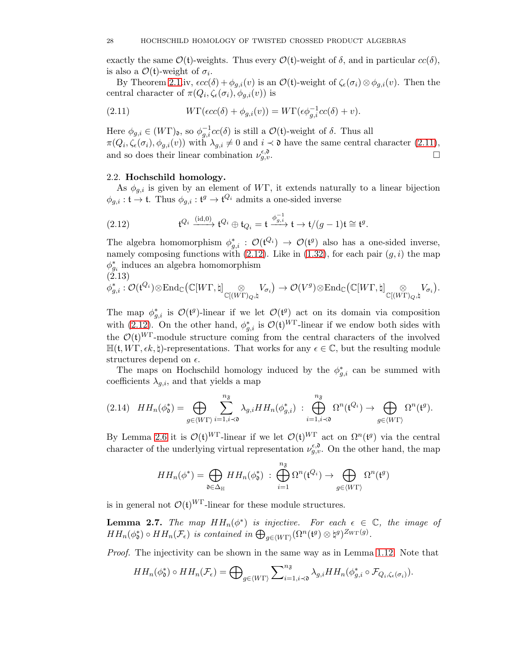exactly the same  $\mathcal{O}(\mathfrak{t})$ -weights. Thus every  $\mathcal{O}(\mathfrak{t})$ -weight of  $\delta$ , and in particular  $cc(\delta)$ , is also a  $\mathcal{O}(t)$ -weight of  $\sigma_i$ .

By Theorem [2.1.](#page-23-1)iv,  $\epsilon c c(\delta) + \phi_{g,i}(v)$  is an  $\mathcal{O}(\mathfrak{t})$ -weight of  $\zeta_{\epsilon}(\sigma_i) \otimes \phi_{g,i}(v)$ . Then the central character of  $\pi(Q_i, \zeta_{\epsilon}(\sigma_i), \phi_{g,i}(v))$  is

<span id="page-27-1"></span>(2.11) 
$$
W\Gamma(\epsilon c c(\delta) + \phi_{g,i}(v)) = W\Gamma(\epsilon \phi_{g,i}^{-1} c c(\delta) + v).
$$

Here  $\phi_{g,i} \in (W\Gamma)_{\mathfrak{d}},$  so  $\phi_{g,i}^{-1}cc(\delta)$  is still a  $\mathcal{O}(\mathfrak{t})$ -weight of  $\delta$ . Thus all  $\pi(Q_i, \zeta_{\epsilon}(\sigma_i), \phi_{g,i}(v))$  with  $\lambda_{g,i} \neq 0$  and  $i \prec \mathfrak{d}$  have the same central character  $(2.11)$ , and so does their linear combination  $\nu_{g,v}^{\epsilon,0}$  $\epsilon,\mathfrak{d}$ <br>g,v.

## <span id="page-27-0"></span>2.2. Hochschild homology.

As  $\phi_{q,i}$  is given by an element of WΓ, it extends naturally to a linear bijection  $\phi_{g,i}: \mathfrak{t} \to \mathfrak{t}$ . Thus  $\phi_{g,i}: \mathfrak{t}^g \to \mathfrak{t}^{Q_i}$  admits a one-sided inverse

<span id="page-27-2"></span>(2.12) 
$$
\mathfrak{t}^{Q_i} \xrightarrow{\text{(id,0)}} \mathfrak{t}^{Q_i} \oplus \mathfrak{t}_{Q_i} = \mathfrak{t} \xrightarrow{\phi_{g,i}^{-1}} \mathfrak{t} \to \mathfrak{t}/(g-1)\mathfrak{t} \cong \mathfrak{t}^g.
$$

The algebra homomorphism  $\phi_{g,i}^* : \mathcal{O}(\mathfrak{t}^{Q_i}) \to \mathcal{O}(\mathfrak{t}^g)$  also has a one-sided inverse, namely composing functions with  $(2.12)$ . Like in  $(1.32)$ , for each pair  $(g, i)$  the map  $\phi_{g_i}^*$  induces an algebra homomorphism (2.13)

$$
\phi_{g,i}^* : \mathcal{O}(\mathfrak{t}^{Q_i}) \otimes \mathrm{End}_{\mathbb{C}}\big( \mathbb{C}[W\Gamma, \natural] \underset{\mathbb{C}[(W\Gamma)_Q, \natural]}{\otimes} V_{\sigma_i} \big) \rightarrow \mathcal{O}(V^g) \otimes \mathrm{End}_{\mathbb{C}}\big( \mathbb{C}[W\Gamma, \natural] \underset{\mathbb{C}[(W\Gamma)_Q, \natural]}{\otimes} V_{\sigma_i} \big).
$$

The map  $\phi_{g,i}^*$  is  $\mathcal{O}(\mathfrak{t}^g)$ -linear if we let  $\mathcal{O}(\mathfrak{t}^g)$  act on its domain via composition with [\(2.12\)](#page-27-2). On the other hand,  $\phi_{g,i}^*$  is  $\mathcal{O}(\mathfrak{t})^{W\Gamma}$ -linear if we endow both sides with the  $\mathcal{O}(t)^{W\Gamma}$ -module structure coming from the central characters of the involved  $\mathbb{H}(\mathfrak{t}, W\Gamma, \epsilon k, \mathfrak{t})$ -representations. That works for any  $\epsilon \in \mathbb{C}$ , but the resulting module structures depend on  $\epsilon$ .

The maps on Hochschild homology induced by the  $\phi_{g,i}^*$  can be summed with coefficients  $\lambda_{g,i}$ , and that yields a map

<span id="page-27-3"></span>
$$
(2.14) \quad HH_n(\phi_0^*) = \bigoplus_{g \in \langle W\Gamma \rangle} \sum_{i=1, i \prec 0}^{n_{\mathfrak{F}}} \lambda_{g,i} HH_n(\phi_{g,i}^*) \; : \bigoplus_{i=1, i \prec 0}^{n_{\mathfrak{F}}} \Omega^n(\mathfrak{t}^{Q_i}) \to \bigoplus_{g \in \langle W\Gamma \rangle} \Omega^n(\mathfrak{t}^g).
$$

By Lemma [2.6](#page-26-0) it is  $\mathcal{O}(\mathfrak{t})^{W\Gamma}$ -linear if we let  $\mathcal{O}(\mathfrak{t})^{W\Gamma}$  act on  $\Omega^n(\mathfrak{t}^g)$  via the central character of the underlying virtual representation  $\nu_{g,v}^{\epsilon,\mathfrak{d}}$ . On the other hand, the map

$$
HH_n(\phi^*) = \bigoplus_{\mathfrak{d} \in \Delta_{\mathbb{H}}} HH_n(\phi_{\mathfrak{d}}^*) \; : \; \bigoplus_{i=1}^{n_{\mathfrak{F}}} \Omega^n(\mathfrak{t}^{Q_i}) \to \bigoplus_{g \in \langle W\Gamma \rangle} \Omega^n(\mathfrak{t}^g)
$$

is in general not  $\mathcal{O}(\mathfrak{t})^{W\Gamma}$ -linear for these module structures.

<span id="page-27-4"></span>**Lemma 2.7.** The map  $HH_n(\phi^*)$  is injective. For each  $\epsilon \in \mathbb{C}$ , the image of  $HH_n(\phi_0^*) \circ HH_n(\mathcal{F}_{\epsilon})$  is contained in  $\bigoplus_{g \in \langle W\Gamma \rangle} (\Omega^n(\mathfrak{t}^g) \otimes \mathfrak{t}^g)^{Z_{W\Gamma}(g)}$ .

Proof. The injectivity can be shown in the same way as in Lemma [1.12.](#page-17-3) Note that

$$
HH_n(\phi_\mathfrak{d}^*) \circ HH_n(\mathcal{F}_\epsilon) = \bigoplus\nolimits_{g \in \langle W\Gamma \rangle} \sum\nolimits_{i=1, i \prec \mathfrak{d}}^{n_{\mathfrak{F}}} \lambda_{g,i} HH_n(\phi_{g,i}^* \circ \mathcal{F}_{Q_i, \zeta_{\epsilon}(\sigma_i)}).
$$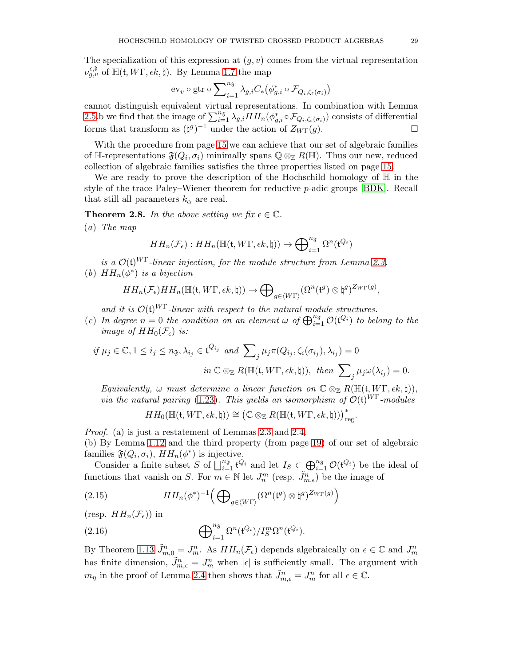The specialization of this expression at  $(g, v)$  comes from the virtual representation  $\nu_{g,v}^{\epsilon, \mathfrak{d}}$  of  $\mathbb{H}(\mathfrak{t}, W\Gamma, \epsilon k, \natural)$ . By Lemma [1.7](#page-12-0) the map

$$
\operatorname{ev}_v\circ\operatorname{gtr}\circ\sum\nolimits_{i=1}^{n_{\mathfrak{F}}}\lambda_{g,i}C_*\big(\phi_{g,i}^*\circ\mathcal{F}_{Q_i,\zeta_{\epsilon}(\sigma_i)}\big)
$$

cannot distinguish equivalent virtual representations. In combination with Lemma [2.5.](#page-26-1)b we find that the image of  $\sum_{i=1}^{n_{\mathfrak{F}}}\lambda_{g,i}HH_n(\phi_{g,i}^*\circ\mathcal{F}_{Q_i,\zeta_{\epsilon}(\sigma_i)})$  consists of differential forms that transform as  $(\natural^g)^{-1}$  under the action of  $Z_{W\Gamma}(g)$ .

With the procedure from page [15](#page-14-0) we can achieve that our set of algebraic families of H-representations  $\mathfrak{F}(Q_i, \sigma_i)$  minimally spans  $\mathbb{Q} \otimes_{\mathbb{Z}} R(\mathbb{H})$ . Thus our new, reduced collection of algebraic families satisfies the three properties listed on page [15.](#page-14-0)

We are ready to prove the description of the Hochschild homology of  $H$  in the style of the trace Paley–Wiener theorem for reductive p-adic groups [\[BDK\]](#page-35-12). Recall that still all parameters  $k_{\alpha}$  are real.

<span id="page-28-0"></span>**Theorem 2.8.** In the above setting we fix  $\epsilon \in \mathbb{C}$ .

(a) The map

$$
HH_n(\mathcal{F}_{\epsilon}): HH_n(\mathbb{H}(\mathfrak{t}, W\Gamma, \epsilon k, \natural)) \to \bigoplus_{i=1}^{n_{\mathfrak{F}}} \Omega^n(\mathfrak{t}^{Q_i})
$$

is a  $\mathcal{O}(\mathfrak{t})^{W\Gamma}$ -linear injection, for the module structure from Lemma [2.3.](#page-25-3) (b)  $HH_n(\phi^*)$  is a bijection

$$
HH_n(\mathcal{F}_{\epsilon})HH_n(\mathbb{H}(\mathfrak{t},W\Gamma,\epsilon k,\natural))\to \bigoplus_{g\in \langle W\Gamma\rangle}(\Omega^n(\mathfrak{t}^g)\otimes \natural^g)^{Z_{W\Gamma}(g)},
$$

and it is  $\mathcal{O}(\mathfrak{t})^{WT}$ -linear with respect to the natural module structures.

(c) In degree  $n = 0$  the condition on an element  $\omega$  of  $\bigoplus_{i=1}^{n_{\mathfrak{F}}} \mathcal{O}(\mathfrak{t}^{Q_i})$  to belong to the image of  $HH_0(\mathcal{F}_{\epsilon})$  is:

$$
if \mu_j \in \mathbb{C}, 1 \le i_j \le n_{\mathfrak{F}}, \lambda_{i_j} \in \mathfrak{t}^{Q_{i_j}} \text{ and } \sum_j \mu_j \pi(Q_{i_j}, \zeta_{\epsilon}(\sigma_{i_j}), \lambda_{i_j}) = 0
$$

$$
in \mathbb{C} \otimes_{\mathbb{Z}} R(\mathbb{H}(\mathfrak{t}, W\Gamma, \epsilon k, \natural)), \text{ then } \sum_j \mu_j \omega(\lambda_{i_j}) = 0.
$$

Equivalently,  $\omega$  must determine a linear function on  $\mathbb{C} \otimes_{\mathbb{Z}} R(\mathbb{H}(\mathfrak{t}, W\Gamma, \epsilon k, \natural)),$ via the natural pairing [\(1.23\)](#page-11-4). This yields an isomorphism of  $\mathcal{O}(\mathfrak{t})^{W\Gamma}$ -modules

$$
HH_0(\mathbb{H}(\mathfrak{t},W\Gamma,\epsilon k,\natural))\cong \left(\mathbb{C}\otimes_\mathbb{Z} R(\mathbb{H}(\mathfrak{t},W\Gamma,\epsilon k,\natural))\right)_{\mathrm{reg}}^*.
$$

Proof. (a) is just a restatement of Lemmas [2.3](#page-25-3) and [2.4.](#page-25-4)

(b) By Lemma [1.12](#page-17-3) and the third property (from page [19\)](#page-18-0) of our set of algebraic families  $\mathfrak{F}(Q_i, \sigma_i)$ ,  $HH_n(\phi^*)$  is injective.

Consider a finite subset S of  $\bigcup_{i=1}^{n_{\mathfrak{F}}} \mathfrak{t}^{Q_i}$  and let  $I_S \subset \bigoplus_{i=1}^{n_{\mathfrak{F}}} \mathcal{O}(\mathfrak{t}^{Q_i})$  be the ideal of functions that vanish on S. For  $m \in \mathbb{N}$  let  $J_n^m$  (resp.  $\tilde{J}_{m,\epsilon}^n$ ) be the image of

<span id="page-28-1"></span>(2.15) 
$$
HH_n(\phi^*)^{-1}\Big(\bigoplus_{g\in\langle W\Gamma\rangle}(\Omega^n(\mathfrak{t}^g)\otimes\mathfrak{t}^g)^{Z_{W\Gamma}(g)}\Big)
$$

(resp.  $HH_n(\mathcal{F}_{\epsilon})$ ) in

(2.16) 
$$
\bigoplus_{i=1}^{n_{\mathfrak{F}}} \Omega^n(\mathfrak{t}^{Q_i})/I_S^m \Omega^n(\mathfrak{t}^{Q_i}).
$$

By Theorem 1.13  $\tilde{J}_{m,0}^n = J_m^n$ . As  $HH_n(\mathcal{F}_{\epsilon})$  depends algebraically on  $\epsilon \in \mathbb{C}$  and  $J_m^n$ has finite dimension,  $\tilde{J}_{m,\epsilon}^n = J_m^n$  when  $|\epsilon|$  is sufficiently small. The argument with  $m_{\eta}$  in the proof of Lemma [2.4](#page-25-4) then shows that  $\tilde{J}^n_{m,\epsilon} = J^n_m$  for all  $\epsilon \in \mathbb{C}$ .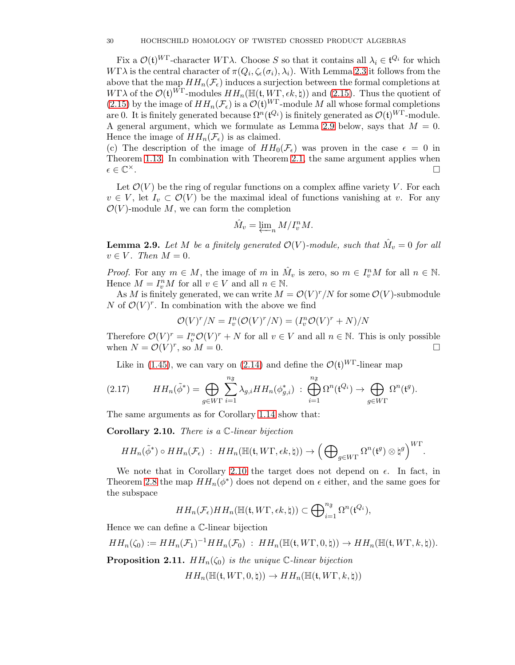Fix a  $\mathcal{O}(\mathfrak{t})^{WT}$ -character WΓλ. Choose S so that it contains all  $\lambda_i \in \mathfrak{t}^{Q_i}$  for which  $W\Gamma\lambda$  is the central character of  $\pi(Q_i,\zeta_{\epsilon}(\sigma_i),\lambda_i)$ . With Lemma [2.3](#page-25-3) it follows from the above that the map  $HH_n(\mathcal{F}_{\epsilon})$  induces a surjection between the formal completions at WΓλ of the  $\mathcal{O}(\mathfrak{t})^{W\Gamma}$ -modules  $HH_n(\mathbb{H}(\mathfrak{t}, W\Gamma, \epsilon k, \natural))$  and [\(2.15\)](#page-28-1). Thus the quotient of [\(2.15\)](#page-28-1) by the image of  $HH_n(\mathcal{F}_{\epsilon})$  is a  $\mathcal{O}(\mathfrak{t})^{WT}$ -module M all whose formal completions are 0. It is finitely generated because  $\Omega^n(\mathfrak{t}^{Q_i})$  is finitely generated as  $\mathcal{O}(\mathfrak{t})^{WT}$ -module. A general argument, which we formulate as Lemma [2.9](#page-29-1) below, says that  $M = 0$ . Hence the image of  $HH_n(\mathcal{F}_{\epsilon})$  is as claimed.

(c) The description of the image of  $HH_0(\mathcal{F}_{\epsilon})$  was proven in the case  $\epsilon = 0$  in Theorem 1.13. In combination with Theorem [2.1,](#page-23-1) the same argument applies when  $\epsilon \in \mathbb{C}^{\times}$ . ×.<br>∴ □

Let  $\mathcal{O}(V)$  be the ring of regular functions on a complex affine variety V. For each  $v \in V$ , let  $I_v \subset \mathcal{O}(V)$  be the maximal ideal of functions vanishing at v. For any  $\mathcal{O}(V)$ -module M, we can form the completion

$$
\hat{M}_v = \varprojlim_n M/I_v^n M.
$$

<span id="page-29-1"></span>**Lemma 2.9.** Let M be a finitely generated  $\mathcal{O}(V)$ -module, such that  $\hat{M}_v = 0$  for all  $v \in V$ . Then  $M = 0$ .

*Proof.* For any  $m \in M$ , the image of m in  $\hat{M}_v$  is zero, so  $m \in I_v^nM$  for all  $n \in \mathbb{N}$ . Hence  $M = I_v^n M$  for all  $v \in V$  and all  $n \in \mathbb{N}$ .

As M is finitely generated, we can write  $M = \mathcal{O}(V)^r/N$  for some  $\mathcal{O}(V)$ -submodule N of  $\mathcal{O}(V)^r$ . In combination with the above we find

$$
\mathcal{O}(V)^r/N = I_v^n(\mathcal{O}(V)^r/N) = (I_v^n \mathcal{O}(V)^r + N)/N
$$

Therefore  $\mathcal{O}(V)^r = I_v^n \mathcal{O}(V)^r + N$  for all  $v \in V$  and all  $n \in \mathbb{N}$ . This is only possible when  $N = \mathcal{O}(V)^r$ , so  $M = 0$ .

<span id="page-29-3"></span>Like in [\(1.45\)](#page-19-3), we can vary on [\(2.14\)](#page-27-3) and define the  $\mathcal{O}(\mathfrak{t})^{W\Gamma}$ -linear map

(2.17) 
$$
HH_n(\tilde{\phi}^*) = \bigoplus_{g \in W\Gamma} \sum_{i=1}^{n_{\mathfrak{F}}} \lambda_{g,i} HH_n(\phi_{g,i}^*) : \bigoplus_{i=1}^{n_{\mathfrak{F}}} \Omega^n(\mathfrak{t}^{Q_i}) \to \bigoplus_{g \in W\Gamma} \Omega^n(\mathfrak{t}^g).
$$

The same arguments as for Corollary [1.14](#page-19-4) show that:

<span id="page-29-2"></span>**Corollary 2.10.** There is a  $\mathbb{C}\text{-linear bijection}$ 

$$
HH_n(\tilde{\phi}^*) \circ HH_n(\mathcal{F}_{\epsilon}) \; : \; HH_n(\mathbb{H}(\mathfrak{t}, W\Gamma, \epsilon k, \natural)) \to \left(\bigoplus\nolimits_{g\in W\Gamma} \Omega^n(\mathfrak{t}^g) \otimes \natural^g\right)^{W\Gamma}.
$$

We note that in Corollary [2.10](#page-29-2) the target does not depend on  $\epsilon$ . In fact, in Theorem [2.8](#page-28-0) the map  $HH_n(\phi^*)$  does not depend on  $\epsilon$  either, and the same goes for the subspace

$$
HH_n(\mathcal{F}_{\epsilon})HH_n(\mathbb{H}(\mathfrak{t},W\Gamma,\epsilon k,\natural)) \subset \bigoplus_{i=1}^{n_{\mathfrak{F}}}\Omega^n(\mathfrak{t}^{Q_i}),
$$

Hence we can define a C-linear bijection

$$
HH_n(\zeta_0) := HH_n(\mathcal{F}_1)^{-1}HH_n(\mathcal{F}_0) \; : \; HH_n(\mathbb{H}(\mathfrak{t}, W\Gamma, 0, \natural)) \to HH_n(\mathbb{H}(\mathfrak{t}, W\Gamma, k, \natural)).
$$

<span id="page-29-0"></span>**Proposition 2.11.**  $HH_n(\zeta_0)$  is the unique  $\mathbb{C}\text{-linear bijection}$ 

 $HH_n(\mathbb{H}(\mathfrak{t}, W\Gamma, 0, \natural)) \to HH_n(\mathbb{H}(\mathfrak{t}, W\Gamma, k, \natural))$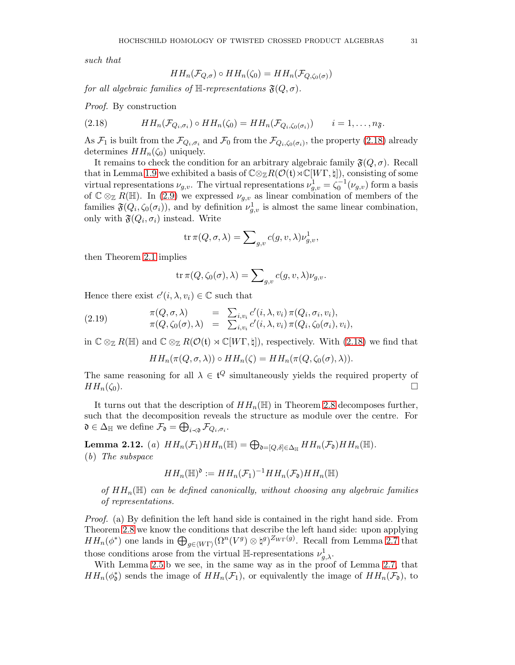such that

<span id="page-30-0"></span>
$$
HH_n(\mathcal{F}_{Q,\sigma}) \circ HH_n(\zeta_0) = HH_n(\mathcal{F}_{Q,\zeta_0(\sigma)})
$$

for all algebraic families of  $\mathbb{H}$ -representations  $\mathfrak{F}(Q, \sigma)$ .

Proof. By construction

(2.18) 
$$
HH_n(\mathcal{F}_{Q_i,\sigma_i}) \circ HH_n(\zeta_0) = HH_n(\mathcal{F}_{Q_i,\zeta_0(\sigma_i)}) \qquad i=1,\ldots,n_{\mathfrak{F}}.
$$

As  $\mathcal{F}_1$  is built from the  $\mathcal{F}_{Q_i,\sigma_i}$  and  $\mathcal{F}_0$  from the  $\mathcal{F}_{Q_i,\zeta_0(\sigma_i)}$ , the property [\(2.18\)](#page-30-0) already determines  $HH_n(\zeta_0)$  uniquely.

It remains to check the condition for an arbitrary algebraic family  $\mathfrak{F}(Q, \sigma)$ . Recall that in Lemma [1.9](#page-13-2) we exhibited a basis of  $\mathbb{C} \otimes_{\mathbb{Z}} R(\mathcal{O}(\mathfrak{t}) \rtimes \mathbb{C}[W\Gamma, \natural])$ , consisting of some virtual representations  $\nu_{g,v}$ . The virtual representations  $\nu_{g,v}^1 = \zeta_0^{-1}(\nu_{g,v})$  form a basis of  $\mathbb{C} \otimes_{\mathbb{Z}} R(\mathbb{H})$ . In [\(2.9\)](#page-25-1) we expressed  $\nu_{g,v}$  as linear combination of members of the families  $\mathfrak{F}(Q_i, \zeta_0(\sigma_i))$ , and by definition  $\nu_{g,v}^1$  is almost the same linear combination, only with  $\mathfrak{F}(Q_i, \sigma_i)$  instead. Write

$$
\operatorname{tr} \pi (Q,\sigma,\lambda) = \sum\nolimits_{g,v} c(g,v,\lambda) \nu^1_{g,v},
$$

then Theorem [2.1](#page-23-1) implies

$$
\operatorname{tr} \pi (Q,\zeta_0(\sigma),\lambda)=\sum\nolimits_{g,v} c(g,v,\lambda) \nu_{g,v}.
$$

Hence there exist  $c'(i, \lambda, v_i) \in \mathbb{C}$  such that

(2.19) 
$$
\pi(Q, \sigma, \lambda) = \sum_{i, v_i} c'(i, \lambda, v_i) \pi(Q_i, \sigma_i, v_i),
$$

$$
\pi(Q, \zeta_0(\sigma), \lambda) = \sum_{i, v_i} c'(i, \lambda, v_i) \pi(Q_i, \zeta_0(\sigma_i), v_i),
$$

in  $\mathbb{C} \otimes_{\mathbb{Z}} R(\mathbb{H})$  and  $\mathbb{C} \otimes_{\mathbb{Z}} R(\mathcal{O}(\mathfrak{t}) \rtimes \mathbb{C}[W\Gamma,\natural])$ , respectively. With [\(2.18\)](#page-30-0) we find that

<span id="page-30-1"></span>
$$
HH_n(\pi(Q, \sigma, \lambda)) \circ HH_n(\zeta) = HH_n(\pi(Q, \zeta_0(\sigma), \lambda)).
$$

The same reasoning for all  $\lambda \in \mathfrak{t}^Q$  simultaneously yields the required property of  $HH_n(\zeta_0).$ 

It turns out that the description of  $HH_n(\mathbb{H})$  in Theorem [2.8](#page-28-0) decomposes further, such that the decomposition reveals the structure as module over the centre. For  $\mathfrak{d} \in \Delta_{\mathbb{H}}$  we define  $\mathcal{F}_{\mathfrak{d}} = \bigoplus_{i \prec \mathfrak{d}} \mathcal{F}_{Q_i, \sigma_i}$ .

**Lemma 2.12.** (a)  $HH_n(\mathcal{F}_1)HH_n(\mathbb{H}) = \bigoplus_{\mathfrak{d} = [Q, \delta] \in \Delta_{\mathbb{H}}} HH_n(\mathcal{F}_{\mathfrak{d}})HH_n(\mathbb{H}).$ 

(b) The subspace

$$
HH_n(\mathbb{H})^{\mathfrak{d}} := HH_n(\mathcal{F}_1)^{-1}HH_n(\mathcal{F}_{\mathfrak{d}})HH_n(\mathbb{H})
$$

of  $HH_n(\mathbb{H})$  can be defined canonically, without choosing any algebraic families of representations.

Proof. (a) By definition the left hand side is contained in the right hand side. From Theorem [2.8](#page-28-0) we know the conditions that describe the left hand side: upon applying  $HH_n(\phi^*)$  one lands in  $\bigoplus_{g\in \langle W\Gamma\rangle} (\Omega^n(V^g) \otimes \natural^g)^{Z_{W\Gamma}(g)}$ . Recall from Lemma [2.7](#page-27-4) that those conditions arose from the virtual  $\mathbb{H}$ -representations  $\nu^1_{g,\lambda}$ .

With Lemma [2.5.](#page-26-1)b we see, in the same way as in the proof of Lemma [2.7,](#page-27-4) that  $HH_n(\phi_0^*)$  sends the image of  $HH_n(\mathcal{F}_1)$ , or equivalently the image of  $HH_n(\mathcal{F}_0)$ , to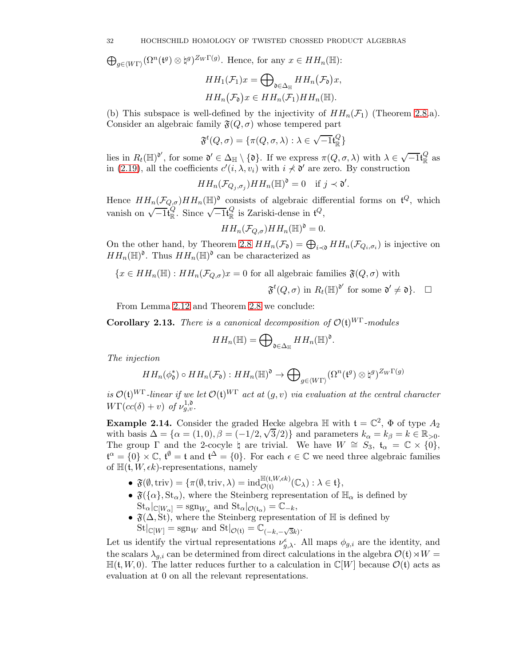$\bigoplus_{g\in \langle W\Gamma\rangle} (\Omega^n(\mathfrak{t}^g)\otimes \mathfrak{t}^g)^{Z_W\Gamma(g)}.$  Hence, for any  $x\in HH_n(\mathbb{H})$ :

$$
HH_1(\mathcal{F}_1)x = \bigoplus_{\mathfrak{d} \in \Delta_{\mathbb{H}}} HH_n(\mathcal{F}_{\mathfrak{d}})x,
$$
  

$$
HH_n(\mathcal{F}_{\mathfrak{d}})x \in HH_n(\mathcal{F}_1)HH_n(\mathbb{H}).
$$

(b) This subspace is well-defined by the injectivity of  $HH_n(\mathcal{F}_1)$  (Theorem [2.8.](#page-28-0)a). Consider an algebraic family  $\mathfrak{F}(Q, \sigma)$  whose tempered part

$$
\mathfrak{F}^{t}(Q,\sigma)=\{\pi(Q,\sigma,\lambda):\lambda\in\sqrt{-1}\mathfrak{t}_{\mathbb{R}}^{Q}\}
$$

lies in  $R_t(\mathbb{H})^{\mathfrak{d}'}$ , for some  $\mathfrak{d}' \in \Delta_{\mathbb{H}} \setminus {\mathfrak{d}}$ . If we express  $\pi(Q, \sigma, \lambda)$  with  $\lambda \in \sqrt{-1} \mathfrak{t}_{\mathbb{R}}^Q$  $\frac{Q}{R}$  as in [\(2.19\)](#page-30-1), all the coefficients  $c'(i, \lambda, v_i)$  with  $i \nless \mathfrak{d}'$  are zero. By construction

$$
HH_n(\mathcal{F}_{Q_j,\sigma_j})HH_n(\mathbb{H})^{\mathfrak{d}}=0 \quad \text{if } j \prec \mathfrak{d}'.
$$

Hence  $HH_n(\mathcal{F}_{Q,\sigma})HH_n(\mathbb{H})^{\mathfrak{d}}$  consists of algebraic differential forms on  $\mathfrak{t}^Q$ , which vanish on  $\sqrt{-1}t_{\mathbb{R}}^{Q}$  $\sqrt{\frac{Q}{\mathbb{R}}}$ . Since  $\sqrt{-1}$ t $_{\mathbb{R}}^{Q}$  $\frac{Q}{R}$  is Zariski-dense in  $\mathfrak{t}^Q$ ,

$$
HH_n(\mathcal{F}_{Q,\sigma})HH_n(\mathbb{H})^{\mathfrak{d}}=0.
$$

On the other hand, by Theorem [2.8](#page-28-0)  $HH_n(\mathcal{F}_0) = \bigoplus_{i \prec \mathfrak{d}} HH_n(\mathcal{F}_{Q_i, \sigma_i})$  is injective on  $HH_n(\mathbb{H})^{\mathfrak{d}}$ . Thus  $HH_n(\mathbb{H})^{\mathfrak{d}}$  can be characterized as

$$
\{x \in HH_n(\mathbb{H}): HH_n(\mathcal{F}_{Q,\sigma})x = 0 \text{ for all algebraic families } \mathfrak{F}(Q,\sigma) \text{ with }
$$

$$
\mathfrak{F}^{t}(Q,\sigma) \text{ in } R_{t}(\mathbb{H})^{\mathfrak{d}'} \text{ for some } \mathfrak{d}' \neq \mathfrak{d} \}. \quad \Box
$$

From Lemma 2.12 and Theorem [2.8](#page-28-0) we conclude:

<span id="page-31-0"></span>Corollary 2.13. There is a canonical decomposition of  $\mathcal{O}(\mathfrak{t})^{WT}$ -modules

$$
HH_n(\mathbb{H})=\bigoplus\nolimits_{\mathfrak{d}\in \Delta_{\mathbb{H}}} HH_n(\mathbb{H})^{\mathfrak{d}}.
$$

The injection

$$
HH_n(\phi_{\mathfrak{d}}^*) \circ HH_n(\mathcal{F}_{\mathfrak{d}}): HH_n(\mathbb{H})^{\mathfrak{d}} \to \bigoplus\nolimits_{g \in \langle W\Gamma \rangle} (\Omega^n(\mathfrak{t}^g) \otimes \natural^g)^{Z_W\Gamma(g)}
$$

is  $\mathcal{O}(\mathfrak{t})^{W\Gamma}$ -linear if we let  $\mathcal{O}(\mathfrak{t})^{W\Gamma}$  act at  $(g, v)$  via evaluation at the central character  $W\Gamma(cc(\delta)+v)$  of  $\nu^{1,\mathfrak{d}}_{g,v}.$ 

**Example 2.14.** Consider the graded Hecke algebra  $\mathbb{H}$  with  $\mathfrak{t} = \mathbb{C}^2$ ,  $\Phi$  of type  $A_2$ with basis  $\Delta = {\alpha = (1,0), \beta = (-1/2, \sqrt{3}/2)}$  and parameters  $k_{\alpha} = k_{\beta} = k \in \mathbb{R}_{>0}$ . The group  $\Gamma$  and the 2-cocyle  $\natural$  are trivial. We have  $W \cong S_3$ ,  $t_\alpha = \mathbb{C} \times \{0\}$ ,  $\mathfrak{t}^{\alpha} = \{0\} \times \mathbb{C}, \mathfrak{t}^{\emptyset} = \mathfrak{t}$  and  $\mathfrak{t}^{\Delta} = \{0\}.$  For each  $\epsilon \in \mathbb{C}$  we need three algebraic families of  $\mathbb{H}(\mathfrak{t}, W, \epsilon k)$ -representations, namely

- $\bullet \ \ \mathfrak{F}(\emptyset,{\operatorname{triv}})=\{\pi(\emptyset,{\operatorname{triv}} ,\lambda)=\operatorname{ind}_{\mathcal{O}(\mathfrak{t})}^{\mathbb{H}(\mathfrak{t},W,\epsilon k)}(\mathbb{C}_{\lambda}):\lambda \in \mathfrak{t}\},$
- $\mathfrak{F}(\{\alpha\},\mathsf{St}_{\alpha})$ , where the Steinberg representation of  $\mathbb{H}_{\alpha}$  is defined by  $\operatorname{St}_{\alpha}|_{\mathbb{C}[W_{\alpha}]} = \operatorname{sgn}_{W_{\alpha}} \text{ and } \operatorname{St}_{\alpha}|_{\mathcal{O}(\mathfrak{t}_{\alpha})} = \mathbb{C}_{-k},$
- $\mathfrak{F}(\Delta, \mathrm{St})$ , where the Steinberg representation of  $\mathbb H$  is defined by  $\mathrm{St}|_{\mathbb{C}[W]} = \mathrm{sgn}_W$  and  $\mathrm{St}|_{\mathcal{O}(\mathfrak{t})} = \mathbb{C}_{(-k, -\sqrt{3}k)}$ .

Let us identify the virtual representations  $\nu_{g,\lambda}^{\epsilon}$ . All maps  $\phi_{g,i}$  are the identity, and the scalars  $\lambda_{q,i}$  can be determined from direct calculations in the algebra  $\mathcal{O}(\mathfrak{t})\rtimes W =$  $\mathbb{H}(\mathfrak{t}, W, 0)$ . The latter reduces further to a calculation in  $\mathbb{C}[W]$  because  $\mathcal{O}(\mathfrak{t})$  acts as evaluation at 0 on all the relevant representations.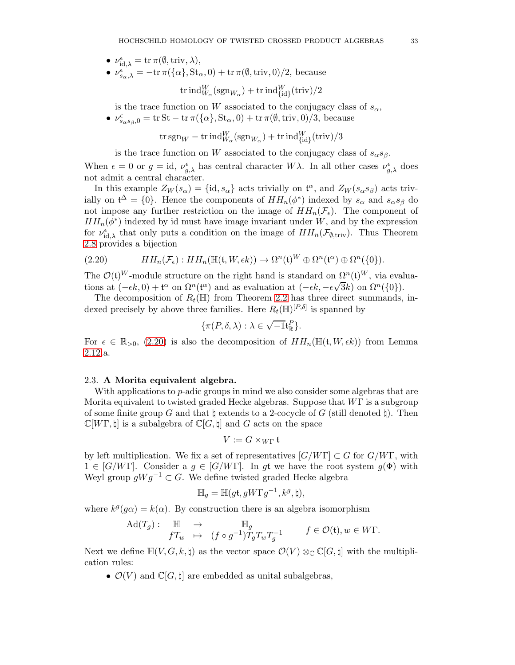- $\nu_{\mathrm{id},\lambda}^{\epsilon} = \mathrm{tr} \, \pi(\emptyset,\mathrm{triv},\lambda),$
- $\nu_{s_{\alpha},\lambda}^{\epsilon} = -\text{tr}\,\pi(\{\alpha\},\text{St}_{\alpha},0) + \text{tr}\,\pi(\emptyset,\text{triv},0)/2$ , because

$$
\mathrm{tr} \,\mathrm{ind}_{W_\alpha}^W(\mathrm{sgn}_{W_\alpha}) + \mathrm{tr} \,\mathrm{ind}_{\{\mathrm{id}\}}^W(\mathrm{triv})/2
$$

is the trace function on W associated to the conjugacy class of  $s_{\alpha}$ ,

•  $\nu_{s_{\alpha}s_{\beta},0}^{\epsilon} = \text{tr}\,St - \text{tr}\,\pi(\{\alpha\},St_{\alpha},0) + \text{tr}\,\pi(\emptyset,\text{triv},0)/3$ , because

 $\mathrm{tr\, sgn}_W - \mathrm{tr\, ind}_{W_\alpha}^W(\mathrm{sgn}_{W_\alpha}) + \mathrm{tr\, ind}_{\{\mathrm{id}\}}^W(\mathrm{triv})/3$ 

is the trace function on W associated to the conjugacy class of  $s_{\alpha}s_{\beta}$ .

When  $\epsilon = 0$  or  $g = id$ ,  $\nu_{g,\lambda}^{\epsilon}$  has central character  $W\lambda$ . In all other cases  $\nu_{g,\lambda}^{\epsilon}$  does not admit a central character.

In this example  $Z_W(s_\alpha) = \{\mathrm{id}, s_\alpha\}$  acts trivially on  $\mathfrak{t}^\alpha$ , and  $Z_W(s_\alpha s_\beta)$  acts trivially on  $\mathfrak{t}^{\Delta} = \{0\}$ . Hence the components of  $HH_n(\phi^*)$  indexed by  $s_{\alpha}$  and  $s_{\alpha}s_{\beta}$  do not impose any further restriction on the image of  $HH_n(\mathcal{F}_{\epsilon})$ . The component of  $HH_n(\phi^*)$  indexed by id must have image invariant under W, and by the expression for  $\nu_{\text{id},\lambda}^{\epsilon}$  that only puts a condition on the image of  $HH_n(\mathcal{F}_{\emptyset,\text{triv}})$ . Thus Theorem [2.8](#page-28-0) provides a bijection

<span id="page-32-1"></span>(2.20) 
$$
HH_n(\mathcal{F}_{\epsilon}): HH_n(\mathbb{H}(\mathfrak{t},W,\epsilon k)) \to \Omega^n(\mathfrak{t})^W \oplus \Omega^n(\mathfrak{t}^{\alpha}) \oplus \Omega^n(\{0\}).
$$

The  $\mathcal{O}(\mathfrak{t})^W$ -module structure on the right hand is standard on  $\Omega^n(\mathfrak{t})^W$ , via evaluations at  $(-\epsilon k, 0) + t^{\alpha}$  on  $\Omega^{n}(t^{\alpha})$  and as evaluation at  $(-\epsilon k, -\epsilon \sqrt{3}k)$  on  $\Omega^{n}(\{0\})$ .

The decomposition of  $R_t(\mathbb{H})$  from Theorem [2.2](#page-23-0) has three direct summands, indexed precisely by above three families. Here  $R_t(\mathbb{H})^{[P,\delta]}$  is spanned by

$$
\{\pi(P,\delta,\lambda): \lambda \in \sqrt{-1} \mathfrak{t}^P_{\mathbb{R}}\}.
$$

For  $\epsilon \in \mathbb{R}_{>0}$ , [\(2.20\)](#page-32-1) is also the decomposition of  $HH_n(\mathbb{H}(\mathfrak{t}, W, \epsilon k))$  from Lemma 2.12.a.

### <span id="page-32-0"></span>2.3. A Morita equivalent algebra.

With applications to *p*-adic groups in mind we also consider some algebras that are Morita equivalent to twisted graded Hecke algebras. Suppose that  $W\Gamma$  is a subgroup of some finite group G and that  $\natural$  extends to a 2-cocycle of G (still denoted  $\natural$ ). Then  $\mathbb{C}[W\Gamma,\natural]$  is a subalgebra of  $\mathbb{C}[G,\natural]$  and G acts on the space

$$
V := G \times_{W\Gamma} \mathfrak{t}
$$

by left multiplication. We fix a set of representatives  $[G/WT] \subset G$  for  $G/WT$ , with  $1 \in [G/WT]$ . Consider a  $g \in [G/WT]$ . In gt we have the root system  $g(\Phi)$  with Weyl group  $gWg^{-1} \subset G$ . We define twisted graded Hecke algebra

$$
\mathbb{H}_g = \mathbb{H}(g\mathfrak{t}, gW\Gamma g^{-1}, k^g, \natural),
$$

where  $k^g(g\alpha) = k(\alpha)$ . By construction there is an algebra isomorphism

$$
\mathrm{Ad}(T_g): \quad \mathbb{H} \quad \to \quad \mathbb{H}_g \\
f T_w \quad \mapsto \quad (f \circ g^{-1}) T_g T_w T_g^{-1} \qquad \quad f \in \mathcal{O}(\mathfrak{t}), w \in W\Gamma.
$$

Next we define  $\mathbb{H}(V, G, k, \natural)$  as the vector space  $\mathcal{O}(V) \otimes_{\mathbb{C}} \mathbb{C}[G, \natural]$  with the multiplication rules:

•  $\mathcal{O}(V)$  and  $\mathbb{C}[G,\sharp]$  are embedded as unital subalgebras,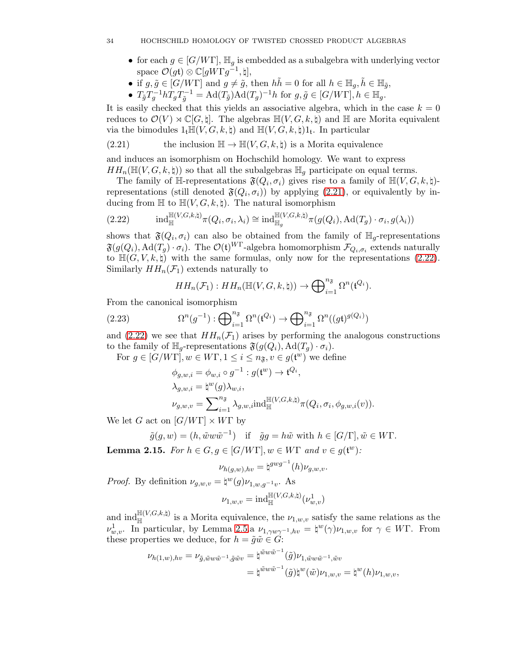- for each  $g \in [G/WT]$ ,  $\mathbb{H}_q$  is embedded as a subalgebra with underlying vector space  $\mathcal{O}(g\mathfrak{t})\otimes \mathbb{C}[gW\Gamma g^{-1},\natural],$
- if  $g, \tilde{g} \in [G/WT]$  and  $g \neq \tilde{g}$ , then  $h \tilde{h} = 0$  for all  $h \in \mathbb{H}_g$ ,  $\tilde{h} \in \mathbb{H}_{\tilde{g}}$ ,
- $T_{\tilde{g}}T_g^{-1}hT_gT_{\tilde{g}}^{-1} = \text{Ad}(T_{\tilde{g}})\text{Ad}(T_g)^{-1}h$  for  $g, \tilde{g} \in [G/W\Gamma], h \in \mathbb{H}_g$ .

It is easily checked that this yields an associative algebra, which in the case  $k = 0$ reduces to  $\mathcal{O}(V) \rtimes \mathbb{C}[G, \natural]$ . The algebras  $\mathbb{H}(V, G, k, \natural)$  and  $\mathbb{H}$  are Morita equivalent via the bimodules  $1_t \mathbb{H}(V, G, k, \natural)$  and  $\mathbb{H}(V, G, k, \natural)1_t$ . In particular

<span id="page-33-0"></span>(2.21) the inclusion 
$$
\mathbb{H} \to \mathbb{H}(V, G, k, \natural)
$$
 is a Morita equivalence

and induces an isomorphism on Hochschild homology. We want to express  $HH_n(\mathbb{H}(V, G, k, \natural))$  so that all the subalgebras  $\mathbb{H}_q$  participate on equal terms.

The family of  $\mathbb{H}$ -representations  $\mathfrak{F}(Q_i, \sigma_i)$  gives rise to a family of  $\mathbb{H}(V, G, k, \natural)$ representations (still denoted  $\mathfrak{F}(Q_i, \sigma_i)$ ) by applying [\(2.21\)](#page-33-0), or equivalently by inducing from  $\mathbb{H}$  to  $\mathbb{H}(V, G, k, \natural)$ . The natural isomorphism

<span id="page-33-1"></span>(2.22) 
$$
\mathrm{ind}_{\mathbb{H}}^{\mathbb{H}(V,G,k,\natural)} \pi(Q_i,\sigma_i,\lambda_i) \cong \mathrm{ind}_{\mathbb{H}_g}^{\mathbb{H}(V,G,k,\natural)} \pi(g(Q_i),\mathrm{Ad}(T_g)\cdot \sigma_i,g(\lambda_i))
$$

shows that  $\mathfrak{F}(Q_i, \sigma_i)$  can also be obtained from the family of  $\mathbb{H}_g$ -representations  $\mathfrak{F}(g(Q_i), \text{Ad}(T_g) \cdot \sigma_i)$ . The  $\mathcal{O}(\mathfrak{t})^W$ -algebra homomorphism  $\mathcal{F}_{Q_i, \sigma_i}$  extends naturally to  $\mathbb{H}(G, V, k, \natural)$  with the same formulas, only now for the representations [\(2.22\)](#page-33-1). Similarly  $HH_n(\mathcal{F}_1)$  extends naturally to

<span id="page-33-2"></span>
$$
HH_n(\mathcal{F}_1) : HH_n(\mathbb{H}(V, G, k, \natural)) \to \bigoplus_{i=1}^{n_{\mathfrak{F}}}\Omega^n(\mathfrak{t}^{Q_i}).
$$

From the canonical isomorphism

(2.23) 
$$
\Omega^n(g^{-1}): \bigoplus_{i=1}^{n_{\mathfrak{F}}}\Omega^n(\mathfrak{t}^{Q_i}) \to \bigoplus_{i=1}^{n_{\mathfrak{F}}}\Omega^n((gt)^{g(Q_i)})
$$

and [\(2.22\)](#page-33-1) we see that  $HH_n(\mathcal{F}_1)$  arises by performing the analogous constructions to the family of  $\mathbb{H}_g$ -representations  $\mathfrak{F}(g(Q_i), \text{Ad}(T_g) \cdot \sigma_i)$ .

For 
$$
g \in [G/WT], w \in WT, 1 \le i \le n_{\mathfrak{F}}, v \in g(\mathfrak{t}^w)
$$
 we define  
\n
$$
\phi_{g,w,i} = \phi_{w,i} \circ g^{-1} : g(\mathfrak{t}^w) \to \mathfrak{t}^{Q_i},
$$
\n
$$
\lambda_{g,w,i} = \natural^w(g)\lambda_{w,i},
$$
\n
$$
\nu_{g,w,v} = \sum_{i=1}^{n_{\mathfrak{F}}} \lambda_{g,w,i} \text{ind}_{\mathbb{H}}^{\mathbb{H}(V,G,k,\natural)} \pi(Q_i, \sigma_i, \phi_{g,w,i}(v)).
$$

We let G act on  $[G/W\Gamma] \times W\Gamma$  by

$$
\tilde{g}(g, w) = (h, \tilde{w}w\tilde{w}^{-1})
$$
 if  $\tilde{g}g = h\tilde{w}$  with  $h \in [G/\Gamma], \tilde{w} \in W\Gamma$ .

<span id="page-33-3"></span>**Lemma 2.15.** For  $h \in G, g \in [G/W\Gamma], w \in W\Gamma$  and  $v \in g(\mathfrak{t}^w)$ :

$$
\nu_{h(g,w),hv} = \natural^{gwg^{-1}}(h)\nu_{g,w,v}.
$$

*Proof.* By definition  $\nu_{g,w,v} = \phi^w(g)\nu_{1,w,g^{-1}v}$ . As

$$
\nu_{1,w,v} = \mathrm{ind}_\mathbb{H}^{\mathbb{H}(V,G,k,\natural)}(\nu_{w,v}^1)
$$

and  $\text{ind}_{\mathbb{H}}^{\mathbb{H}(V,G,k,\natural)}$  is a Morita equivalence, the  $\nu_{1,w,v}$  satisfy the same relations as the  $ν_{w,v}^1$ . In particular, by Lemma [2.5.](#page-26-1)a  $ν_{1,γwγ^{-1},hv} = \n\downarrow^w(γ)ν_{1,w,v}$  for  $γ ∈ WΓ$ . From these properties we deduce, for  $h = \tilde{g}\tilde{w} \in G$ :

$$
\begin{split} \nu_{h(1,w),hv}=\nu_{\tilde{g},\tilde{w}w\tilde{w}^{-1},\tilde{g}\tilde{w}v} & =\natural^{\tilde{w}w\tilde{w}^{-1}}(\tilde{g})\nu_{1,\tilde{w}w\tilde{w}^{-1},\tilde{w}v}\\ &=\natural^{\tilde{w}w\tilde{w}^{-1}}(\tilde{g})\natural^w(\tilde{w})\nu_{1,w,v}=\natural^w(h)\nu_{1,w,v}, \end{split}
$$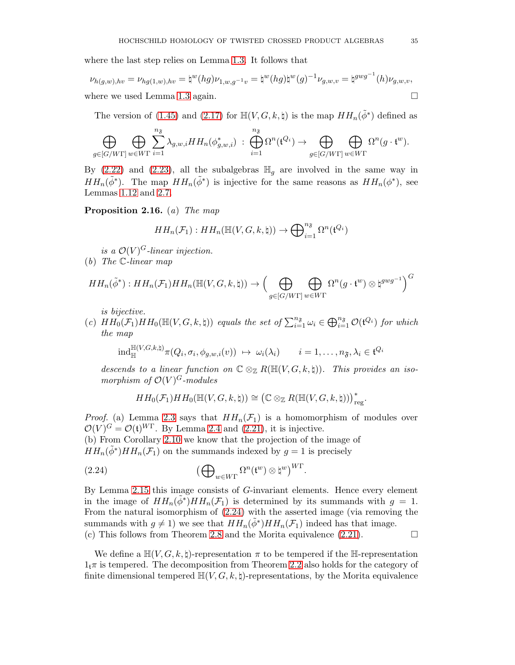where the last step relies on Lemma [1.3.](#page-8-3) It follows that

$$
\nu_{h(g,w),hv} = \nu_{hg(1,w),hv} = \natural^w(hg)\nu_{1,w,g^{-1}v} = \natural^w(hg)\natural^w(g)^{-1}\nu_{g,w,v} = \natural^{gwg^{-1}}(h)\nu_{g,w,v},
$$
  
where we used Lemma 1.3 again.

The version of [\(1.45\)](#page-19-3) and [\(2.17\)](#page-29-3) for  $\mathbb{H}(V, G, k, \natural)$  is the map  $HH_n(\tilde{\phi}^*)$  defined as

$$
\bigoplus_{g\in[G/W\Gamma]} \bigoplus_{w\in W\Gamma} \sum_{i=1}^{n_{\mathfrak{F}}}\lambda_{g,w,i}HH_n(\phi_{g,w,i}^*)\;:\;\bigoplus_{i=1}^{n_{\mathfrak{F}}}\Omega^n({\mathfrak{t}}^{Q_i})\to \bigoplus_{g\in[G/W\Gamma]} \bigoplus_{w\in W\Gamma} \Omega^n(g\cdot {\mathfrak{t}}^w).
$$

By [\(2.22\)](#page-33-1) and [\(2.23\)](#page-33-2), all the subalgebras  $\mathbb{H}_q$  are involved in the same way in  $HH_n(\tilde{\phi}^*)$ . The map  $HH_n(\tilde{\phi}^*)$  is injective for the same reasons as  $HH_n(\phi^*)$ , see Lemmas [1.12](#page-17-3) and [2.7.](#page-27-4)

Proposition 2.16. (a) The map

$$
HH_n(\mathcal{F}_1) : HH_n(\mathbb{H}(V, G, k, \natural)) \to \bigoplus_{i=1}^{n_{\mathfrak{F}}} \Omega^n(\mathfrak{t}^{Q_i})
$$

is a  $\mathcal{O}(V)^G$ -linear injection.

(b) The C-linear map

$$
HH_n(\tilde{\phi}^*) : HH_n(\mathcal{F}_1)HH_n(\mathbb{H}(V, G, k, \natural)) \to \Big(\bigoplus_{g \in [G/W\Gamma]} \bigoplus_{w \in W\Gamma} \Omega^n(g \cdot \mathfrak{t}^w) \otimes \natural^{gwg^{-1}}\Big)^G
$$

is bijective.

(c)  $HH_0(\mathcal{F}_1)HH_0(\mathbb{H}(V,G,k,\natural))$  equals the set of  $\sum_{i=1}^{n_{\mathfrak{F}}} \omega_i \in \bigoplus_{i=1}^{n_{\mathfrak{F}}} \mathcal{O}(\mathfrak{t}^{Q_i})$  for which the map

$$
\mathrm{ind}_{\mathbb{H}}^{\mathbb{H}(V,G,k,\natural)} \pi(Q_i,\sigma_i,\phi_{g,w,i}(v)) \ \mapsto \ \omega_i(\lambda_i) \qquad i=1,\ldots,n_{\mathfrak{F}},\lambda_i \in \mathfrak{t}^{Q_i}
$$

descends to a linear function on  $\mathbb{C} \otimes_{\mathbb{Z}} R(\mathbb{H}(V, G, k, \natural))$ . This provides an isomorphism of  $\mathcal{O}(V)^G$ -modules

.

<span id="page-34-0"></span>
$$
HH_0(\mathcal{F}_1)HH_0(\mathbb{H}(V,G,k,\natural)) \cong (\mathbb{C} \otimes_{\mathbb{Z}} R(\mathbb{H}(V,G,k,\natural)))_{reg}^*
$$

*Proof.* (a) Lemma [2.3](#page-25-3) says that  $HH_n(\mathcal{F}_1)$  is a homomorphism of modules over  $\mathcal{O}(V)^G = \mathcal{O}(\mathfrak{t})^{WT}$ . By Lemma [2.4](#page-25-4) and [\(2.21\)](#page-33-0), it is injective.

(b) From Corollary [2.10](#page-29-2) we know that the projection of the image of  $HH_n(\tilde{\phi}^*)HH_n(\mathcal{F}_1)$  on the summands indexed by  $g=1$  is precisely

(2.24) 
$$
\left(\bigoplus_{w\in W\Gamma}\Omega^n(\mathfrak{t}^w)\otimes\mathfrak{h}^w\right)^{W\Gamma}.
$$

By Lemma [2.15](#page-33-3) this image consists of G-invariant elements. Hence every element in the image of  $HH_n(\tilde{\phi}^*)HH_n(\mathcal{F}_1)$  is determined by its summands with  $g = 1$ . From the natural isomorphism of [\(2.24\)](#page-34-0) with the asserted image (via removing the summands with  $g \neq 1$ ) we see that  $HH_n(\tilde{\phi}^*)HH_n(\mathcal{F}_1)$  indeed has that image. (c) This follows from Theorem [2.8](#page-28-0) and the Morita equivalence  $(2.21)$ .

We define a  $\mathbb{H}(V, G, k, \natural)$ -representation  $\pi$  to be tempered if the  $\mathbb{H}$ -representation  $1<sub>t</sub>\pi$  is tempered. The decomposition from Theorem [2.2](#page-23-0) also holds for the category of finite dimensional tempered  $\mathbb{H}(V, G, k, \natural)$ -representations, by the Morita equivalence